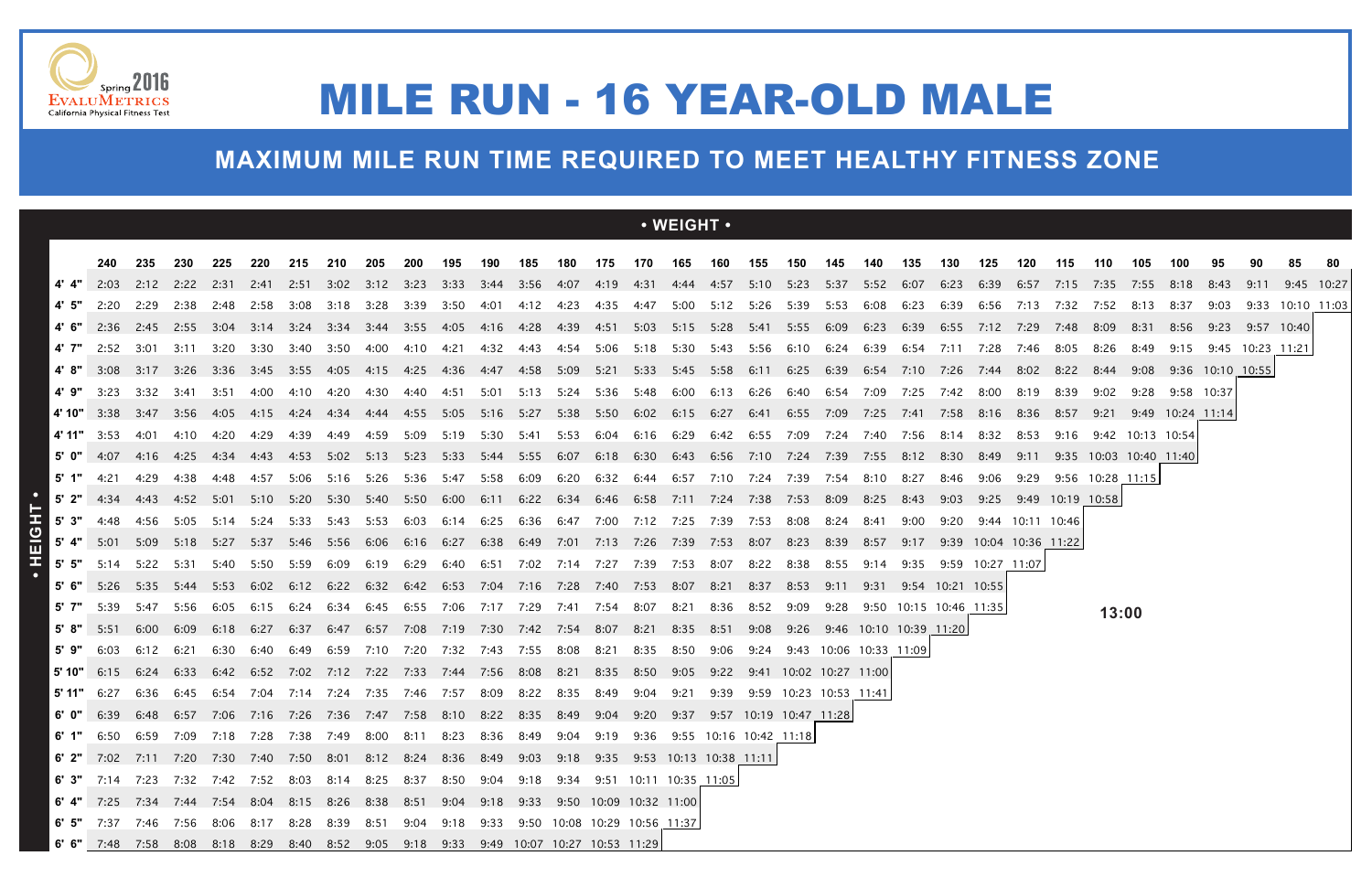### **MAXIMUM MILE RUN TIME REQUIRED TO MEET HEALTHY FITNESS ZONE**



## MILE RUN - 16 YEAR-OLD MALE

|                                                                                                                       |                                                                                                                |      |                |      |           |                          |                                                                                                                                                         |                  |                               |                |      |             |                |      |                                                                                         | $\cdot$ WEIGHT $\cdot$ |      |                        |      |      |                        |      |                               |                  |                        |                            |                               |      |                       |      |                       |                    |  |
|-----------------------------------------------------------------------------------------------------------------------|----------------------------------------------------------------------------------------------------------------|------|----------------|------|-----------|--------------------------|---------------------------------------------------------------------------------------------------------------------------------------------------------|------------------|-------------------------------|----------------|------|-------------|----------------|------|-----------------------------------------------------------------------------------------|------------------------|------|------------------------|------|------|------------------------|------|-------------------------------|------------------|------------------------|----------------------------|-------------------------------|------|-----------------------|------|-----------------------|--------------------|--|
|                                                                                                                       | 240                                                                                                            | 235  | 230            | 225  | 220       | 215                      | 210                                                                                                                                                     | 205              | 200                           | 195            | 190  | 185         | 180            | 175  | 170                                                                                     | 165                    | 160  | 155                    | 150  | 145  | 140                    | 135  | 130                           | 125              | 120                    | 115                        | 110                           | 105  | 100                   |      |                       |                    |  |
| 4'4"                                                                                                                  | 2:03                                                                                                           |      | 2:12 2:22 2:31 |      |           | 2:41 2:51                |                                                                                                                                                         |                  |                               |                |      |             |                |      | 3:02 3:12 3:23 3:33 3:44 3:56 4:07 4:19 4:31 4:44 4:57 5:10 5:23 5:37 5:52 6:07         |                        |      |                        |      |      |                        |      | 6:23 6:39                     |                  |                        |                            | 6:57 7:15 7:35 7:55 8:18 8:43 |      |                       |      | 9:11                  | 9:45 10:27         |  |
|                                                                                                                       | 2:20                                                                                                           | 2:29 |                |      |           | 2:38 2:48 2:58 3:08      | 3:18 3:28 3:39                                                                                                                                          |                  |                               | 3:50           | 4:01 |             |                |      | 4:12 4:23 4:35 4:47 5:00 5:12 5:26 5:39 5:53                                            |                        |      |                        |      |      | 6:08                   | 6:23 | 6:39                          |                  |                        |                            | 6:56 7:13 7:32 7:52 8:13      |      | 8:37                  | 9:03 |                       | $9:33$ 10:10 11:03 |  |
|                                                                                                                       | $4'$ 6" 2:36 2:45 2:55 3:04                                                                                    |      |                |      |           |                          | 3:14 3:24 3:34 3:44 3:55                                                                                                                                |                  |                               | 4:05           |      |             |                |      | 4:16 4:28 4:39 4:51 5:03 5:15 5:28 5:41 5:55 6:09 6:23                                  |                        |      |                        |      |      |                        | 6:39 | 6:55                          |                  |                        | 7:12  7:29  7:48           | 8:09                          | 8:31 | 8:56                  |      | 9:23 9:57 10:40       |                    |  |
| 4' 7"                                                                                                                 | 2:52                                                                                                           | 3:01 | 3:11           | 3:20 | 3:30      | 3:40                     | 3:50                                                                                                                                                    | 4:00             | 4:10                          | 4:21           |      | 4:32   4:43 |                |      | 4:54 5:06 5:18 5:30 5:43 5:56                                                           |                        |      |                        | 6:10 | 6:24 | 6:39                   | 6:54 | 7:11                          | 7:28             | 7:46                   | 8:05                       | 8:26                          | 8:49 |                       |      | 9:15 9:45 10:23 11:21 |                    |  |
| 4' 8"                                                                                                                 | 3:08                                                                                                           |      |                |      |           | 3:17 3:26 3:36 3:45 3:55 | - 4:05                                                                                                                                                  | 4:15 4:25        |                               | 4:36           | 4:47 |             |                |      | 4:58 5:09 5:21 5:33 5:45 5:58 6:11 6:25 6:39 6:54                                       |                        |      |                        |      |      |                        |      | 7:10 7:26 7:44 8:02 8:22 8:44 |                  |                        |                            |                               |      | 9:08 9:36 10:10 10:55 |      |                       |                    |  |
| 4' 9"                                                                                                                 | 3:23                                                                                                           | 3:32 | 3:41           | 3:51 | 4:00      | 4:10                     |                                                                                                                                                         |                  |                               | 4:51           | 5:01 | 5:13        |                |      | 5:24 5:36 5:48 6:00 6:13 6:26 6:40 6:54 7:09                                            |                        |      |                        |      |      |                        | 7:25 | 7:42 8:00                     |                  | 8:19                   | 8:39                       | 9:02                          |      | 9:28 9:58 10:37       |      |                       |                    |  |
| ∣ 4' 10" ∣                                                                                                            |                                                                                                                |      |                |      |           |                          | 3:38 3:47 3:56 4:05 4:15 4:24 4:34 4:44 4:55 5:05 5:16 5:27 5:38 5:50 6:02 6:15 6:27 6:41 6:55 7:09 7:25 7:41 7:58 8:16 8:36 8:57 9:21 9:49 10:24 11:14 |                  |                               |                |      |             |                |      |                                                                                         |                        |      |                        |      |      |                        |      |                               |                  |                        |                            |                               |      |                       |      |                       |                    |  |
| $4'11''$ 3:53                                                                                                         |                                                                                                                | 4:01 | 4:10           | 4:20 | 4:29      | 4:39                     |                                                                                                                                                         | 4:49  4:59  5:09 |                               | 5:19           |      |             |                |      | 5:30 5:41 5:53 6:04 6:16 6:29 6:42 6:55 7:09 7:24 7:40 7:56 8:14 8:32 8:53              |                        |      |                        |      |      |                        |      |                               |                  |                        |                            | 9:16 9:42 10:13 10:54         |      |                       |      |                       |                    |  |
|                                                                                                                       | $\begin{bmatrix} 5' & 0'' & 4:07 & 4:16 & 4:25 & 4:34 \end{bmatrix}$                                           |      |                |      |           |                          | 4:43  4:53  5:02  5:13  5:23  5:33  5:44  5:55  6:07  6:18  6:30  6:43  6:56  7:10  7:24  7:39  7:55  8:12  8:30                                        |                  |                               |                |      |             |                |      |                                                                                         |                        |      |                        |      |      |                        |      |                               |                  | 8:49 9:11              |                            | 9:35 10:03 10:40 11:40        |      |                       |      |                       |                    |  |
|                                                                                                                       | 4:21                                                                                                           | 4:29 | 4:38           | 4:48 | 4:57      | 5:06                     |                                                                                                                                                         |                  | 5:16 5:26 5:36                | 5:47           | 5:58 | 6:09        |                |      | 6:20 6:32 6:44 6:57 7:10 7:24 7:39                                                      |                        |      |                        |      | 7:54 | 8:10                   | 8:27 | 8:46                          | 9:06             | 9:29                   |                            | $9:56$ 10:28 11:15            |      |                       |      |                       |                    |  |
|                                                                                                                       | 5' 2" 4:34 4:43 4:52 5:01 5:10 5:20 5:30 5:40 5:50 6:00 6:11 6:22 6:34 6:46 6:58 7:11 7:24 7:38 7:53 8:09 8:25 |      |                |      |           |                          |                                                                                                                                                         |                  |                               |                |      |             |                |      |                                                                                         |                        |      |                        |      |      |                        | 8:43 |                               |                  |                        | 9:03 9:25 9:49 10:19 10:58 |                               |      |                       |      |                       |                    |  |
| $\blacksquare$ 5' 3"                                                                                                  | 4:48                                                                                                           |      | 4:56 5:05 5:14 |      | 5:24      |                          | 5:33 5:43 5:53 6:03                                                                                                                                     |                  |                               |                |      |             |                |      | 6:14 6:25 6:36 6:47 7:00 7:12 7:25 7:39 7:53 8:08                                       |                        |      |                        |      | 8:24 | 8:41                   | 9:00 | 9:20                          |                  | 9:44 10:11 10:46       |                            |                               |      |                       |      |                       |                    |  |
|                                                                                                                       | <b>5' 4"</b> 5:01 5:09 5:18 5:27                                                                               |      |                |      |           |                          | 5:37 5:46 5:56 6:06 6:16                                                                                                                                |                  |                               | 6:27           |      |             |                |      | 6:38 6:49 7:01 7:13 7:26 7:39 7:53 8:07 8:23                                            |                        |      |                        |      | 8:39 | 8:57                   | 9:17 |                               |                  | 9:39 10:04 10:36 11:22 |                            |                               |      |                       |      |                       |                    |  |
| $5'$ 5"                                                                                                               | 5:14                                                                                                           | 5:22 | 5:31           | 5:40 | 5:50      | 5:59                     | 6:09                                                                                                                                                    | 6:19             | 6:29                          | 6:40           | 6:51 |             |                |      | 7:02 7:14 7:27 7:39 7:53                                                                |                        | 8:07 | 8:22                   | 8:38 | 8:55 | 9:14                   | 9:35 |                               | 9:59 10:27 11:07 |                        |                            |                               |      |                       |      |                       |                    |  |
| 5' 6"                                                                                                                 | 5:26                                                                                                           | 5:35 | 5:44           | 5:53 |           | 6:02 6:12                | 6:22                                                                                                                                                    |                  | 6:32 6:42                     | 6:53           |      |             |                |      | 7:04 7:16 7:28 7:40 7:53 8:07 8:21 8:37                                                 |                        |      |                        | 8:53 | 9:11 | 9:31                   |      | 9:54 10:21 10:55              |                  |                        |                            |                               |      |                       |      |                       |                    |  |
| 5'7"                                                                                                                  | 5:39                                                                                                           | 5:47 | 5:56           | 6:05 | 6:15 6:24 |                          | 6:34                                                                                                                                                    |                  | 6:45 6:55                     | 7:06 7:17 7:29 |      |             | 7:41 7:54 8:07 |      |                                                                                         | 8:21                   |      | 8:36 8:52              | 9:09 |      |                        |      | 9:28 9:50 10:15 10:46 11:35   |                  |                        |                            | 13:00                         |      |                       |      |                       |                    |  |
| 5'8"                                                                                                                  | 5:51                                                                                                           | 6:00 | 6:09           | 6:18 | 6:27      | 6:37                     |                                                                                                                                                         |                  |                               |                |      |             |                |      | 6:47 6:57 7:08 7:19 7:30 7:42 7:54 8:07 8:21 8:35 8:51 9:08 9:26 9:46 10:10 10:39 11:20 |                        |      |                        |      |      |                        |      |                               |                  |                        |                            |                               |      |                       |      |                       |                    |  |
| 5' 9"                                                                                                                 | 6:03                                                                                                           | 6:12 | 6:21           | 6:30 | 6:40      | 6:49                     | 6:59                                                                                                                                                    | 7:10 7:20        |                               | 7:32 7:43      |      | 7:55 8:08   |                | 8:21 | 8:35                                                                                    | 8:50                   | 9:06 | 9:24                   |      |      | 9:43 10:06 10:33 11:09 |      |                               |                  |                        |                            |                               |      |                       |      |                       |                    |  |
| l 5' 10" l                                                                                                            | 6:15                                                                                                           | 6:24 | 6:33           | 6:42 | 6:52      | 7:02                     |                                                                                                                                                         |                  | 7:12 7:22 7:33 7:44 7:56 8:08 |                |      |             | 8:21           |      | 8:35 8:50                                                                               | 9:05                   | 9:22 | 9:41 10:02 10:27 11:00 |      |      |                        |      |                               |                  |                        |                            |                               |      |                       |      |                       |                    |  |
| 5' 11"                                                                                                                | 6:27                                                                                                           | 6:36 | 6:45           | 6:54 | 7:04      | 7:14                     | 7:24                                                                                                                                                    | 7:35  7:46       |                               | 7:57           | 8:09 | 8:22        | 8:35           | 8:49 | 9:04                                                                                    | 9:21                   | 9:39 | 9:59 10:23 10:53 11:41 |      |      |                        |      |                               |                  |                        |                            |                               |      |                       |      |                       |                    |  |
|                                                                                                                       | 6' 0" 6:39 6:48 6:57 7:06 7:16 7:26 7:36 7:47 7:58 8:10 8:22 8:35 8:49 9:04 9:20 9:37 9:57 10:19 10:47 11:28   |      |                |      |           |                          |                                                                                                                                                         |                  |                               |                |      |             |                |      |                                                                                         |                        |      |                        |      |      |                        |      |                               |                  |                        |                            |                               |      |                       |      |                       |                    |  |
|                                                                                                                       | 6' 1" 6:50 6:59 7:09 7:18 7:28 7:38 7:49 8:00 8:11 8:23 8:36 8:49 9:04 9:19 9:36 9:55 10:16 10:42 11:18 أ      |      |                |      |           |                          |                                                                                                                                                         |                  |                               |                |      |             |                |      |                                                                                         |                        |      |                        |      |      |                        |      |                               |                  |                        |                            |                               |      |                       |      |                       |                    |  |
| <b>6' 2"</b> 7:02 7:11 7:20 7:30 7:40 7:50 8:01 8:12 8:24 8:36 8:49 9:03 9:18 9:35 9:53 10:13 10:38 11:11 <b>6'</b> 2 |                                                                                                                |      |                |      |           |                          |                                                                                                                                                         |                  |                               |                |      |             |                |      |                                                                                         |                        |      |                        |      |      |                        |      |                               |                  |                        |                            |                               |      |                       |      |                       |                    |  |
| <b>6' 3"</b> 7:14 7:23 7:32 7:42 7:52 8:03 8:14 8:25 8:37 8:50 9:04 9:18 9:34 9:51 10:11 10:35 11:05 <b>6'</b>        |                                                                                                                |      |                |      |           |                          |                                                                                                                                                         |                  |                               |                |      |             |                |      |                                                                                         |                        |      |                        |      |      |                        |      |                               |                  |                        |                            |                               |      |                       |      |                       |                    |  |
|                                                                                                                       | 6 4" 7:25 7:34 7:44 7:54 8:04 8:15 8:26 8:38 8:51 9:04 9:18 9:33 9:50 10:09 10:32 11:00                        |      |                |      |           |                          |                                                                                                                                                         |                  |                               |                |      |             |                |      |                                                                                         |                        |      |                        |      |      |                        |      |                               |                  |                        |                            |                               |      |                       |      |                       |                    |  |
| <b>6' 5"</b> 7:37 7:46 7:56 8:06 8:17 8:28 8:39 8:51 9:04 9:18 9:33 9:50 10:08 10:29 10:56 11:37                      |                                                                                                                |      |                |      |           |                          |                                                                                                                                                         |                  |                               |                |      |             |                |      |                                                                                         |                        |      |                        |      |      |                        |      |                               |                  |                        |                            |                               |      |                       |      |                       |                    |  |
| <b>6' 6"</b> 7:48 7:58 8:08 8:18 8:29 8:40 8:52 9:05 9:18 9:33 9:49 10:07 10:27 10:53 11:29                           |                                                                                                                |      |                |      |           |                          |                                                                                                                                                         |                  |                               |                |      |             |                |      |                                                                                         |                        |      |                        |      |      |                        |      |                               |                  |                        |                            |                               |      |                       |      |                       |                    |  |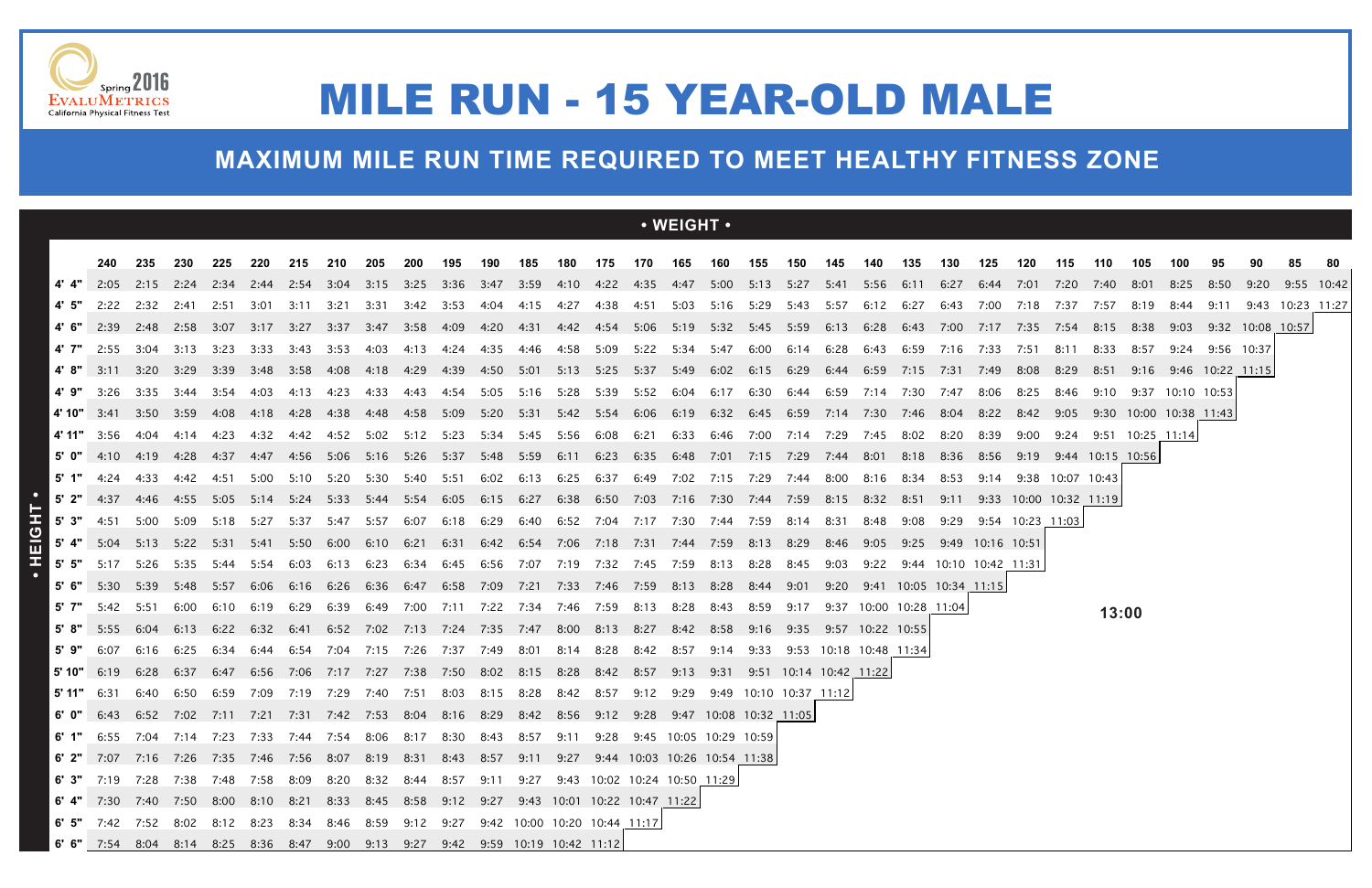|               |                           |                                    |                |       |       |                  |                                                                                                                                                          |                |                     |                                                                        |           |                          |      |      |                | $\cdot$ WEIGHT $\cdot$                                                       |                               |                        |      |      |                                                   |           |                  |           |                                 |                    |       |                       |                  |            |                       |              |  |
|---------------|---------------------------|------------------------------------|----------------|-------|-------|------------------|----------------------------------------------------------------------------------------------------------------------------------------------------------|----------------|---------------------|------------------------------------------------------------------------|-----------|--------------------------|------|------|----------------|------------------------------------------------------------------------------|-------------------------------|------------------------|------|------|---------------------------------------------------|-----------|------------------|-----------|---------------------------------|--------------------|-------|-----------------------|------------------|------------|-----------------------|--------------|--|
|               | 240                       | 235                                | 230            | 225   | 220   | 215              | 210                                                                                                                                                      | 205            | 200                 | 195                                                                    | 190       | 185                      | 180  |      | 175 170 165    |                                                                              | 160 155                       |                        | 150  | 145  | 140                                               | 135       | 130              | 125       | 120                             | 115                | 110   | 105                   | 100              | 95         |                       |              |  |
|               | 2:05                      |                                    |                |       |       |                  | 2:15 2:24 2:34 2:44 2:54 3:04 3:15 3:25 3:36 3:47 3:59 4:10 4:22 4:35 4:47 5:00 5:13 5:27 5:41 5:56 6:11 6:27 6:44 7:01                                  |                |                     |                                                                        |           |                          |      |      |                |                                                                              |                               |                        |      |      |                                                   |           |                  |           |                                 | 7:20 7:40 8:01     |       |                       | 8:25             | 8:50       | 9:20                  | $9:55$ 10:42 |  |
|               | 2:22                      |                                    | 2:32 2:41 2:51 |       | -3:01 |                  | 3:11 3:21                                                                                                                                                | 3:31           | 3:42                | 3:53                                                                   |           |                          |      |      |                | 4:04  4:15  4:27  4:38  4:51  5:03  5:16  5:29  5:43  5:57                   |                               |                        |      |      |                                                   | 6:12 6:27 |                  | 6:43 7:00 | 7:18 7:37 7:57 8:19             |                    |       |                       | 8:44             | 9:11       |                       |              |  |
|               |                           |                                    |                |       |       |                  | 4' 6" 2:39 2:48 2:58 3:07 3:17 3:27 3:37 3:47 3:58                                                                                                       |                |                     | 4:09  4:20  4:31  4:42  4:54  5:06  5:19  5:32  5:45  5:59  6:13  6:28 |           |                          |      |      |                |                                                                              |                               |                        |      |      |                                                   |           |                  |           | 6:43 7:00 7:17 7:35 7:54 8:15   |                    |       | 8:38                  |                  |            | 9:03 9:32 10:08 10:57 |              |  |
|               | 2:55                      | 3:04                               | 3:13           | 3:23  | 3:33  | 3:43             | 3:53                                                                                                                                                     | 4:03           | 4:13                | 4:24                                                                   | 4:35      | 4:46                     | 4:58 | 5:09 | 5:22           | 5:34                                                                         | 5:47                          | 6:00                   | 6:14 | 6:28 | 6:43                                              | 6:59      | 7:16             | 7:33      | 7:51                            | 8:11               | 8:33  | 8:57                  | 9:24             | 9:56 10:37 |                       |              |  |
|               |                           | 3:11 3:20 3:29 3:39 3:48 3:58 4:08 |                |       |       |                  |                                                                                                                                                          | 4:18 4:29      |                     | 4:39                                                                   |           |                          |      |      |                | 4:50 5:01 5:13 5:25 5:37 5:49                                                | 6:02 6:15 6:29                |                        |      |      | 6:44 6:59 7:15 7:31                               |           |                  |           | 7:49 8:08                       | 8:29 8:51          |       | 9:16 9:46 10:22 11:15 |                  |            |                       |              |  |
|               | 3:26                      |                                    | 3:35 3:44 3:54 |       |       | 4:03  4:13  4:23 |                                                                                                                                                          | 4:33           | 4:43                | 4:54                                                                   |           | 5:05 5:16                |      |      |                |                                                                              |                               |                        |      |      | 5:28 5:39 5:52 6:04 6:17 6:30 6:44 6:59 7:14 7:30 |           | 7:47             | 8:06      | 8:25                            | 8:46               | 9:10  |                       | 9:37 10:10 10:53 |            |                       |              |  |
| 4' 10"        |                           |                                    |                |       |       |                  | 3:41 3:50 3:59 4:08 4:18 4:28 4:38 4:48 4:58 5:09 5:20 5:31 5:42 5:54 6:06 6:19 6:32 6:45 6:59 7:14 7:30 7:46 8:04 8:22 8:42 9:05 9:30 10:00 10:38 11:43 |                |                     |                                                                        |           |                          |      |      |                |                                                                              |                               |                        |      |      |                                                   |           |                  |           |                                 |                    |       |                       |                  |            |                       |              |  |
| 4' 11" $3:56$ |                           | 4:04                               | 4:14           | 4:23  | 4:32  | 4:42             | 4:52 5:02 5:12 5:23                                                                                                                                      |                |                     |                                                                        |           | 5:34 5:45 5:56 6:08 6:21 |      |      |                |                                                                              | 6:33 6:46 7:00 7:14 7:29 7:45 |                        |      |      |                                                   | 8:02      | 8:20             | 8:39      | 9:00                            | 9:24               |       | 9:51 10:25 11:14      |                  |            |                       |              |  |
|               | 5' $0$ " 4:10             | 4:19                               | 4:28           | 4:37  |       |                  | 4:47 4:56 5:06 5:16 5:26 5:37 5:48 5:59 6:11 6:23 6:35 6:48 7:01 7:15 7:29 7:44 8:01 8:18                                                                |                |                     |                                                                        |           |                          |      |      |                |                                                                              |                               |                        |      |      |                                                   |           |                  |           | 8:36 8:56 9:19 9:44 10:15 10:56 |                    |       |                       |                  |            |                       |              |  |
|               | 4:24                      | 4:33                               | 4:42           | -4:51 | 5:00  | 5:10             | 5:20                                                                                                                                                     |                | 5:30 5:40           | 5:51                                                                   | 6:02      | 6:13                     | 6:25 |      | 6:37 6:49      | 7:02 7:15 7:29                                                               |                               |                        | 7:44 | 8:00 | 8:16                                              | 8:34      | 8:53             | 9:14      |                                 | $9:38$ 10:07 10:43 |       |                       |                  |            |                       |              |  |
|               |                           |                                    |                |       |       |                  | 5' 2" 4:37 4:46 4:55 5:05 5:14 5:24 5:33 5:44 5:54 6:05 6:15 6:27                                                                                        |                |                     |                                                                        |           |                          |      |      |                | 6:38 6:50 7:03 7:16 7:30 7:44 7:59 8:15 8:32                                 |                               |                        |      |      |                                                   | - 8:51    | 9:11             |           | 9:33 10:00 10:32 11:19          |                    |       |                       |                  |            |                       |              |  |
| $5'$ 3"       | 4:51                      | 5:00 5:09                          |                | 5:18  | 5:27  | 5:37             | 5:47 5:57 6:07                                                                                                                                           |                |                     |                                                                        |           |                          |      |      |                | 6:18 6:29 6:40 6:52 7:04 7:17 7:30 7:44 7:59 8:14 8:31                       |                               |                        |      |      | 8:48                                              | 9:08      | 9:29             |           | 9:54 10:23 11:03                |                    |       |                       |                  |            |                       |              |  |
|               | 5' 4" 5:04 5:13 5:22 5:31 |                                    |                |       |       |                  | 5:41 5:50 6:00 6:10 6:21                                                                                                                                 |                |                     | 6:31                                                                   |           |                          |      |      |                | 6:42    6:54    7:06    7:18    7:31    7:44    7:59    8:13    8:29    8:46 |                               |                        |      |      | 9:05                                              | 9:25      | 9:49 10:16 10:51 |           |                                 |                    |       |                       |                  |            |                       |              |  |
| $5'$ $5''$    | 5:17                      |                                    | 5:26 5:35 5:44 |       | 5:54  | 6:03             | 6:13                                                                                                                                                     | 6:23           | 6:34                |                                                                        |           |                          |      |      |                | 6:45 6:56 7:07 7:19 7:32 7:45 7:59 8:13 8:28                                 |                               |                        | 8:45 | 9:03 | 9:22                                              |           |                  |           | 9:44 10:10 10:42 11:31          |                    |       |                       |                  |            |                       |              |  |
|               | 5:30                      | 5:39                               | 5:48           | 5:57  | 6:06  | 6:16             | 6:26                                                                                                                                                     |                | 6:36 6:47           |                                                                        |           |                          |      |      |                | 6:58 7:09 7:21 7:33 7:46 7:59 8:13 8:28 8:44                                 |                               |                        | 9:01 |      | 9:20 9:41 10:05 10:34 11:15                       |           |                  |           |                                 |                    |       |                       |                  |            |                       |              |  |
| 5' 7"         | 5:42                      | 5:51                               | 6:00           | 6:10  | 6:19  | 6:29             |                                                                                                                                                          |                | 6:39 6:49 7:00 7:11 |                                                                        |           |                          |      |      |                | 7:22 7:34 7:46 7:59 8:13 8:28                                                | 8:43 8:59                     |                        | 9:17 |      | 9:37 10:00 10:28 11:04                            |           |                  |           |                                 |                    | 13:00 |                       |                  |            |                       |              |  |
|               | 5:55                      | 6:04                               | 6:13           |       |       |                  | 6:22 6:32 6:41 6:52 7:02 7:13 7:24 7:35 7:47 8:00 8:13 8:27 8:42 8:58 9:16 9:35 9:57 10:22 10:55                                                         |                |                     |                                                                        |           |                          |      |      |                |                                                                              |                               |                        |      |      |                                                   |           |                  |           |                                 |                    |       |                       |                  |            |                       |              |  |
| 5'9"          | 6:07                      | 6:16                               | 6:25           | 6:34  | 6:44  | 6:54             |                                                                                                                                                          | 7:04 7:15 7:26 |                     | 7:37 7:49 8:01                                                         |           |                          |      |      | 8:14 8:28 8:42 | 8:57                                                                         | 9:14                          | 9:33                   |      |      | 9:53 10:18 10:48 11:34                            |           |                  |           |                                 |                    |       |                       |                  |            |                       |              |  |
| 5' 10"        | 6:19                      | 6:28                               | 6:37           | 6:47  | 6:56  | 7:06             | 7:17 7:27 7:38                                                                                                                                           |                |                     | 7:50                                                                   |           | 8:02 8:15 8:28 8:42 8:57 |      |      |                | 9:13                                                                         | 9:31                          |                        |      |      | $9:51$ 10:14 10:42 11:22                          |           |                  |           |                                 |                    |       |                       |                  |            |                       |              |  |
| 5' 11"        | 6:31                      | 6:40                               | 6:50           | 6:59  | 7:09  | 7:19             | 7:29                                                                                                                                                     | 7:40 7:51      |                     | 8:03                                                                   | 8:15 8:28 |                          | 8:42 | 8:57 | 9:12           | 9:29                                                                         |                               | 9:49 10:10 10:37 11:12 |      |      |                                                   |           |                  |           |                                 |                    |       |                       |                  |            |                       |              |  |
|               |                           |                                    |                |       |       |                  | 6' 0" 6:43 6:52 7:02 7:11 7:21 7:31 7:42 7:53 8:04 8:16 8:29 8:42 8:56 9:12 9:28 9:47 10:08 10:32 11:05                                                  |                |                     |                                                                        |           |                          |      |      |                |                                                                              |                               |                        |      |      |                                                   |           |                  |           |                                 |                    |       |                       |                  |            |                       |              |  |
|               |                           |                                    |                |       |       |                  | 6' 1" 6:55 7:04 7:14 7:23 7:33 7:44 7:54 8:06 8:17 8:30 8:43 8:57 9:11 9:28 9:45 10:05 10:29 10:59                                                       |                |                     |                                                                        |           |                          |      |      |                |                                                                              |                               |                        |      |      |                                                   |           |                  |           |                                 |                    |       |                       |                  |            |                       |              |  |
|               |                           |                                    |                |       |       |                  | 6' 2" 7:07 7:16 7:26 7:35 7:46 7:56 8:07 8:19 8:31 8:43 8:57 9:11 9:27 9:44 10:03 10:26 10:54 11:38                                                      |                |                     |                                                                        |           |                          |      |      |                |                                                                              |                               |                        |      |      |                                                   |           |                  |           |                                 |                    |       |                       |                  |            |                       |              |  |
|               |                           |                                    |                |       |       |                  | 6' 3" 7:19 7:28 7:38 7:48 7:58 8:09 8:20 8:32 8:44 8:57 9:11 9:27 9:43 10:02 10:24 10:50 11:29                                                           |                |                     |                                                                        |           |                          |      |      |                |                                                                              |                               |                        |      |      |                                                   |           |                  |           |                                 |                    |       |                       |                  |            |                       |              |  |
|               |                           |                                    |                |       |       |                  | 6' 4" 7:30 7:40 7:50 8:00 8:10 8:21 8:33 8:45 8:58 9:12 9:27 9:43 10:01 10:22 10:47 11:22                                                                |                |                     |                                                                        |           |                          |      |      |                |                                                                              |                               |                        |      |      |                                                   |           |                  |           |                                 |                    |       |                       |                  |            |                       |              |  |
|               |                           |                                    |                |       |       |                  | 6' 5" 7:42 7:52 8:02 8:12 8:23 8:34 8:46 8:59 9:12 9:27 9:42 10:00 10:20 10:44 11:17                                                                     |                |                     |                                                                        |           |                          |      |      |                |                                                                              |                               |                        |      |      |                                                   |           |                  |           |                                 |                    |       |                       |                  |            |                       |              |  |
|               |                           |                                    |                |       |       |                  | 6' 6" 7:54 8:04 8:14 8:25 8:36 8:47 9:00 9:13 9:27 9:42 9:59 10:19 10:42 11:12                                                                           |                |                     |                                                                        |           |                          |      |      |                |                                                                              |                               |                        |      |      |                                                   |           |                  |           |                                 |                    |       |                       |                  |            |                       |              |  |



## MILE RUN - 15 YEAR-OLD MALE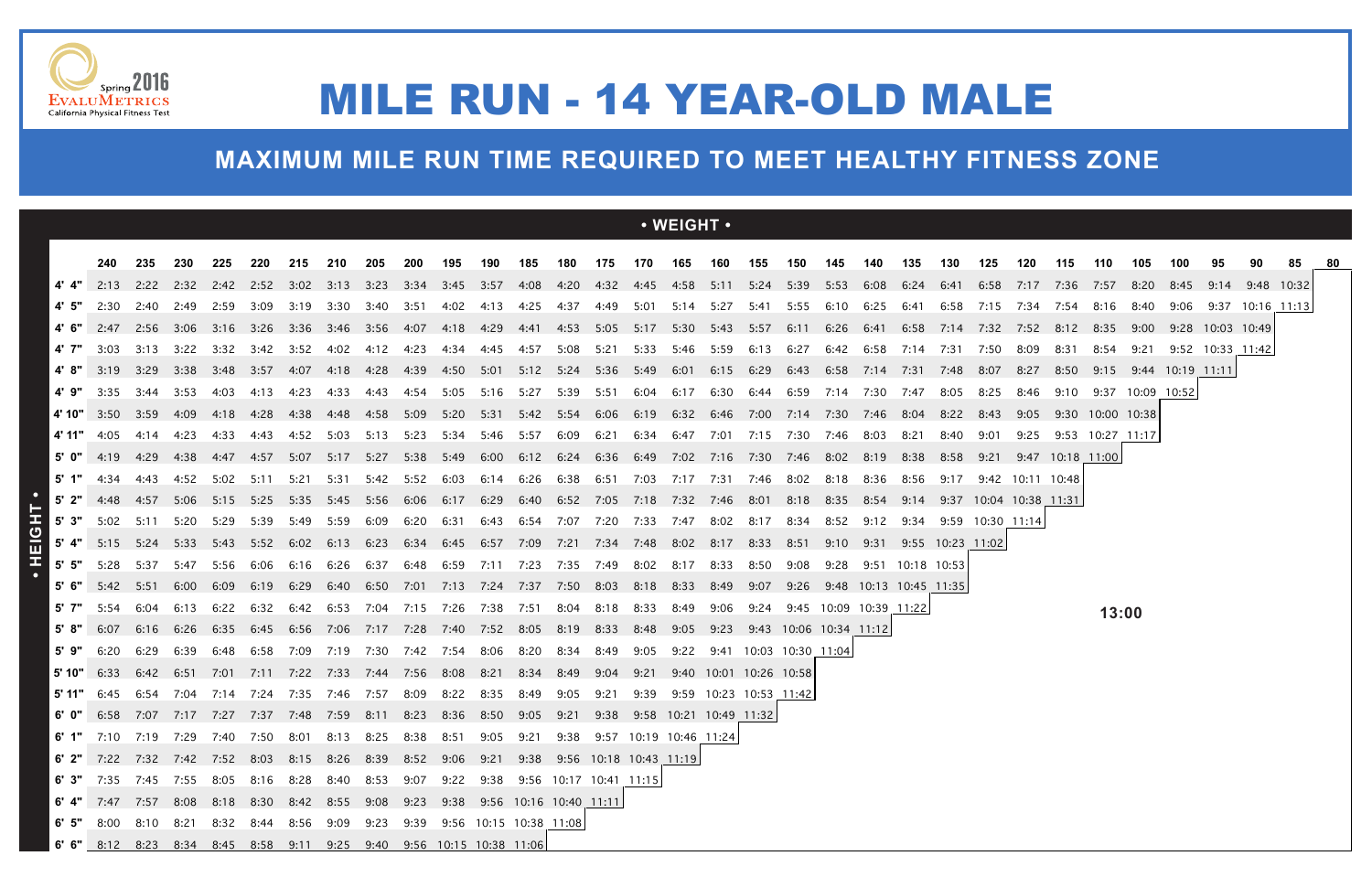|         |                                                                                               |           |      |        |                     |        |                                                                              |           |                |                |           |                          |                  |           |      | $\cdot$ WEIGHT $\cdot$ |                                                                                                                 |      |                             |           |                        |                  |                  |      |                            |      |                            |              |      |                  |                                          |  |
|---------|-----------------------------------------------------------------------------------------------|-----------|------|--------|---------------------|--------|------------------------------------------------------------------------------|-----------|----------------|----------------|-----------|--------------------------|------------------|-----------|------|------------------------|-----------------------------------------------------------------------------------------------------------------|------|-----------------------------|-----------|------------------------|------------------|------------------|------|----------------------------|------|----------------------------|--------------|------|------------------|------------------------------------------|--|
|         |                                                                                               |           |      |        |                     |        |                                                                              |           |                |                |           |                          |                  |           |      |                        |                                                                                                                 |      |                             |           |                        |                  |                  |      |                            |      |                            |              |      |                  |                                          |  |
|         | 240                                                                                           | 235       | 230  | 225    | 220                 | 215    | 210                                                                          | 205       | 200            | 195            | 190       | 185                      | 180              | 175       |      | 170  165               | 160<br>2:13 2:22 2:32 2:42 2:52 3:02 3:13 3:23 3:34 3:45 3:57 4:08 4:20 4:32 4:45 4:58 5:11 5:24 5:39 5:53 6:08 | 155  | 150                         | 145       | 140                    | 135              | 130              | 125  | 120<br>6:58 7:17 7:36 7:57 | 115  | 110                        | 105          | 100  | 95               | 90                                       |  |
| 4' 5"   | 2:30                                                                                          | 2:40 2:49 |      | 2:59   | 3:09                | 3:19   | 3:30                                                                         | 3:40 3:51 |                |                |           |                          |                  |           |      |                        | 4:02 4:13 4:25 4:37 4:49 5:01 5:14 5:27 5:41 5:55 6:10 6:25                                                     |      |                             |           |                        | 6:41             | 6:24 6:41        |      | 6:58 7:15 7:34 7:54 8:16   |      |                            | 8:20<br>8:40 | 8:45 |                  | 9:14 9:48 10:32<br>9:06 9:37 10:16 11:13 |  |
|         | 2:47                                                                                          | 2:56      | 3:06 | 3:16   | 3:26 3:36           |        | 3:46 3:56 4:07                                                               |           |                | 4:18           | 4:29      |                          |                  |           |      |                        | 4:41 4:53 5:05 5:17 5:30 5:43 5:57                                                                              |      | 6:11                        | 6:26 6:41 |                        | 6:58             | 7:14             | 7:32 | 7:52                       | 8:12 | 8:35                       | 9:00         |      | 9:28 10:03 10:49 |                                          |  |
|         | 3:03                                                                                          | 3:13      | 3:22 | 3:32   | 3:42                | 3:52   | 4:02                                                                         | 4:12      | 4:23           | 4:34           | 4:45      | 4:57                     | 5:08             | 5:21      | 5:33 | 5:46                   | 5:59                                                                                                            | 6:13 | 6:27                        | 6:42      | 6:58                   | 7:14             | 7:31             | 7:50 | 8:09                       | 8:31 | 8:54                       | -9:21        |      | 9:52 10:33 11:42 |                                          |  |
|         | 3:19                                                                                          | 3:29      |      |        | 3:38 3:48 3:57 4:07 |        | 4:18  4:28  4:39                                                             |           |                | 4:50           |           |                          |                  |           |      |                        | 5:01 5:12 5:24 5:36 5:49 6:01 6:15 6:29 6:43 6:58 7:14 7:31                                                     |      |                             |           |                        |                  | 7:48             | 8:07 | 8:27                       |      | 8:50 9:15 9:44 10:19 11:11 |              |      |                  |                                          |  |
| 4' 9"   | 3:35                                                                                          | 3:44      | 3:53 | 4:03   | 4:13                | 4:23   | 4:33                                                                         | 4:43      | 4:54           |                |           |                          |                  |           |      |                        | 5:05 5:16 5:27 5:39 5:51 6:04 6:17 6:30 6:44 6:59 7:14 7:30                                                     |      |                             |           |                        | 7:47             | 8:05             | 8:25 | 8:46                       |      | 9:10 9:37 10:09 10:52      |              |      |                  |                                          |  |
|         | 4'10" $3:50$                                                                                  | 3:59      | 4:09 | - 4:18 | 4:28                | - 4:38 |                                                                              |           |                |                |           |                          |                  |           |      |                        | 5:20 5:31 5:42 5:54 6:06 6:19 6:32 6:46 7:00 7:14 7:30 7:46 8:04                                                |      |                             |           |                        |                  | 8:22             | 8:43 |                            |      | 9:05 9:30 10:00 10:38      |              |      |                  |                                          |  |
| 4' 11"  | 4:05                                                                                          | 4:14      | 4:23 | 4:33   | 4:43                | 4:52   | 5:03                                                                         |           | 5:13 5:23      | 5:34           | 5:46 5:57 |                          | 6:09             |           |      |                        | 6:21 6:34 6:47 7:01 7:15 7:30                                                                                   |      |                             | 7:46 8:03 |                        | 8:21             | 8:40             | 9:01 |                            |      | 9:25 9:53 10:27 11:17      |              |      |                  |                                          |  |
|         | 4:19                                                                                          | 4:29      | 4:38 | - 4:47 | 4:57                | 5:07   | 5:17                                                                         | 5:27      | 5:38           | 5:49           |           | 6:00 6:12 6:24 6:36 6:49 |                  |           |      |                        | 7:02 7:16 7:30                                                                                                  |      |                             |           | 8:19                   | 8:38             | 8:58             | 9:21 |                            |      | 9:47 10:18 11:00           |              |      |                  |                                          |  |
| 5' 1"   | 4:34                                                                                          | 4:43      | 4:52 | 5:02   | 5:11                | 5:21   | 5:31                                                                         |           | 5:42 5:52      | 6:03           |           | 6:14 6:26                |                  |           |      |                        | 6:38  6:51  7:03  7:17  7:31  7:46                                                                              |      | 8:02 8:18                   |           | 8:36                   | 8:56             | 9:17             |      | 9:42 10:11 10:48           |      |                            |              |      |                  |                                          |  |
|         | $5'$ 2" $4:48$                                                                                | 4:57 5:06 |      |        |                     |        | 5:15 5:25 5:35 5:45 5:56 6:06                                                |           |                | 6:17           |           |                          |                  |           |      |                        | 6:29 6:40 6:52 7:05 7:18 7:32 7:46 8:01 8:18 8:35                                                               |      |                             |           | 8:54                   | 9:14             |                  |      | 9:37 10:04 10:38 11:31     |      |                            |              |      |                  |                                          |  |
| 5' 3"   | 5:02 5:11 5:20 5:29 5:39                                                                      |           |      |        |                     |        | 5:49 5:59                                                                    | 6:09      | 6:20           | 6:31           |           |                          |                  |           |      |                        | 6:43 6:54 7:07 7:20 7:33 7:47 8:02 8:17                                                                         |      | 8:34                        | 8:52      | 9:12                   | 9:34             | 9:59 10:30 11:14 |      |                            |      |                            |              |      |                  |                                          |  |
|         | 5:15                                                                                          | 5:24      | 5:33 | - 5:43 | 5:52                | 6:02   | 6:13                                                                         | 6:23      | 6:34           | 6:45           | 6:57      | 7:09                     |                  |           |      |                        | 7:21 7:34 7:48 8:02 8:17 8:33                                                                                   |      | 8:51                        | 9:10      | 9:31                   |                  | 9:55 10:23 11:02 |      |                            |      |                            |              |      |                  |                                          |  |
| $5'$ 5" | 5:28                                                                                          | 5:37      | 5:47 | 5:56   | 6:06                | 6:16   | 6:26                                                                         | 6:37      | 6:48           | 6:59           | 7:11      | 7:23                     | 7:35             | 7:49      | 8:02 | 8:17                   | 8:33                                                                                                            | 8:50 | 9:08                        | 9:28      |                        | 9:51 10:18 10:53 |                  |      |                            |      |                            |              |      |                  |                                          |  |
| 5'6"    | 5:42                                                                                          | 5:51      | 6:00 | 6:09   | 6:19 6:29           |        | 6:40    6:50    7:01    7:13    7:24    7:37    7:50    8:03    8:18    8:33 |           |                |                |           |                          |                  |           |      |                        | 8:49  9:07  9:26  9:48  10:13  10:45  11:35                                                                     |      |                             |           |                        |                  |                  |      |                            |      |                            |              |      |                  |                                          |  |
| 5' 7"   | 5:54                                                                                          | 6:04      | 6:13 | 6:22   | 6:32                | 6:42   |                                                                              |           | 6:53 7:04 7:15 | 7:26           | 7:38      | 7:51                     | 8:04             | 8:18 8:33 |      | 8:49                   | 9:06                                                                                                            | 9:24 |                             |           | 9:45 10:09 10:39 11:22 |                  |                  |      |                            |      |                            |              |      |                  |                                          |  |
| 5'8"    | 6:07                                                                                          | 6:16      | 6:26 |        | 6:35 6:45 6:56      |        | 7:06 7:17 7:28                                                               |           |                | 7:40 7:52 8:05 |           |                          | 8:19             | 8:33 8:48 |      | 9:05                   |                                                                                                                 |      | 9:23 9:43 10:06 10:34 11:12 |           |                        |                  |                  |      |                            |      | 13:00                      |              |      |                  |                                          |  |
| 5' 9"   | 6:20                                                                                          | 6:29      | 6:39 | 6:48   | 6:58                | 7:09   | 7:19                                                                         |           | 7:30 7:42 7:54 |                | 8:06 8:20 |                          | 8:34             | 8:49      | 9:05 | 9:22                   | 9:41 10:03 10:30 11:04                                                                                          |      |                             |           |                        |                  |                  |      |                            |      |                            |              |      |                  |                                          |  |
|         | $5'10''$ 6:33                                                                                 | 6:42 6:51 |      | 7:01   | 7:11                |        | 7:22 7:33 7:44 7:56 8:08 8:21                                                |           |                |                |           | 8:34                     | 8:49  9:04  9:21 |           |      |                        | 9:40 10:01 10:26 10:58                                                                                          |      |                             |           |                        |                  |                  |      |                            |      |                            |              |      |                  |                                          |  |
|         | <b>5' 11"</b> 6:45 6:54 7:04 7:14 7:24 7:35 7:46 7:57 8:09 8:22 8:35 8:49 9:05 9:21 9:39      |           |      |        |                     |        |                                                                              |           |                |                |           |                          |                  |           |      |                        | 9:59 10:23 10:53 11:42                                                                                          |      |                             |           |                        |                  |                  |      |                            |      |                            |              |      |                  |                                          |  |
|         |                                                                                               |           |      |        |                     |        |                                                                              |           |                |                |           |                          |                  |           |      |                        | 6' 0" 6:58 7:07 7:17 7:27 7:37 7:48 7:59 8:11 8:23 8:36 8:50 9:05 9:21 9:38 9:58 10:21 10:49 11:32              |      |                             |           |                        |                  |                  |      |                            |      |                            |              |      |                  |                                          |  |
|         | 6' 1" 7:10 7:19 7:29 7:40 7:50 8:01 8:13 8:25 8:38 8:51 9:05 9:21 9:38 9:57 10:19 10:46 11:24 |           |      |        |                     |        |                                                                              |           |                |                |           |                          |                  |           |      |                        |                                                                                                                 |      |                             |           |                        |                  |                  |      |                            |      |                            |              |      |                  |                                          |  |
|         | 6' 2" 7:22 7:32 7:42 7:52 8:03 8:15 8:26 8:39 8:52 9:06 9:21 9:38 9:56 10:18 10:43 11:19      |           |      |        |                     |        |                                                                              |           |                |                |           |                          |                  |           |      |                        |                                                                                                                 |      |                             |           |                        |                  |                  |      |                            |      |                            |              |      |                  |                                          |  |
|         | 6' 3" 7:35 7:45 7:55 8:05 8:16 8:28 8:40 8:53 9:07 9:22 9:38 9:56 10:17 10:41 11:15           |           |      |        |                     |        |                                                                              |           |                |                |           |                          |                  |           |      |                        |                                                                                                                 |      |                             |           |                        |                  |                  |      |                            |      |                            |              |      |                  |                                          |  |
|         | 6' 4" 7:47 7:57 8:08 8:18 8:30 8:42 8:55 9:08 9:23 9:38 9:56 10:16 10:40 11:11                |           |      |        |                     |        |                                                                              |           |                |                |           |                          |                  |           |      |                        |                                                                                                                 |      |                             |           |                        |                  |                  |      |                            |      |                            |              |      |                  |                                          |  |
|         | 6' 5" 8:00 8:10 8:21 8:32 8:44 8:56 9:09 9:23 9:39 9:56 10:15 10:38 11:08                     |           |      |        |                     |        |                                                                              |           |                |                |           |                          |                  |           |      |                        |                                                                                                                 |      |                             |           |                        |                  |                  |      |                            |      |                            |              |      |                  |                                          |  |
|         | 6' 6" 8:12 8:23 8:34 8:45 8:58 9:11 9:25 9:40 9:56 10:15 10:38 11:06                          |           |      |        |                     |        |                                                                              |           |                |                |           |                          |                  |           |      |                        |                                                                                                                 |      |                             |           |                        |                  |                  |      |                            |      |                            |              |      |                  |                                          |  |





## MILE RUN - 14 YEAR-OLD MALE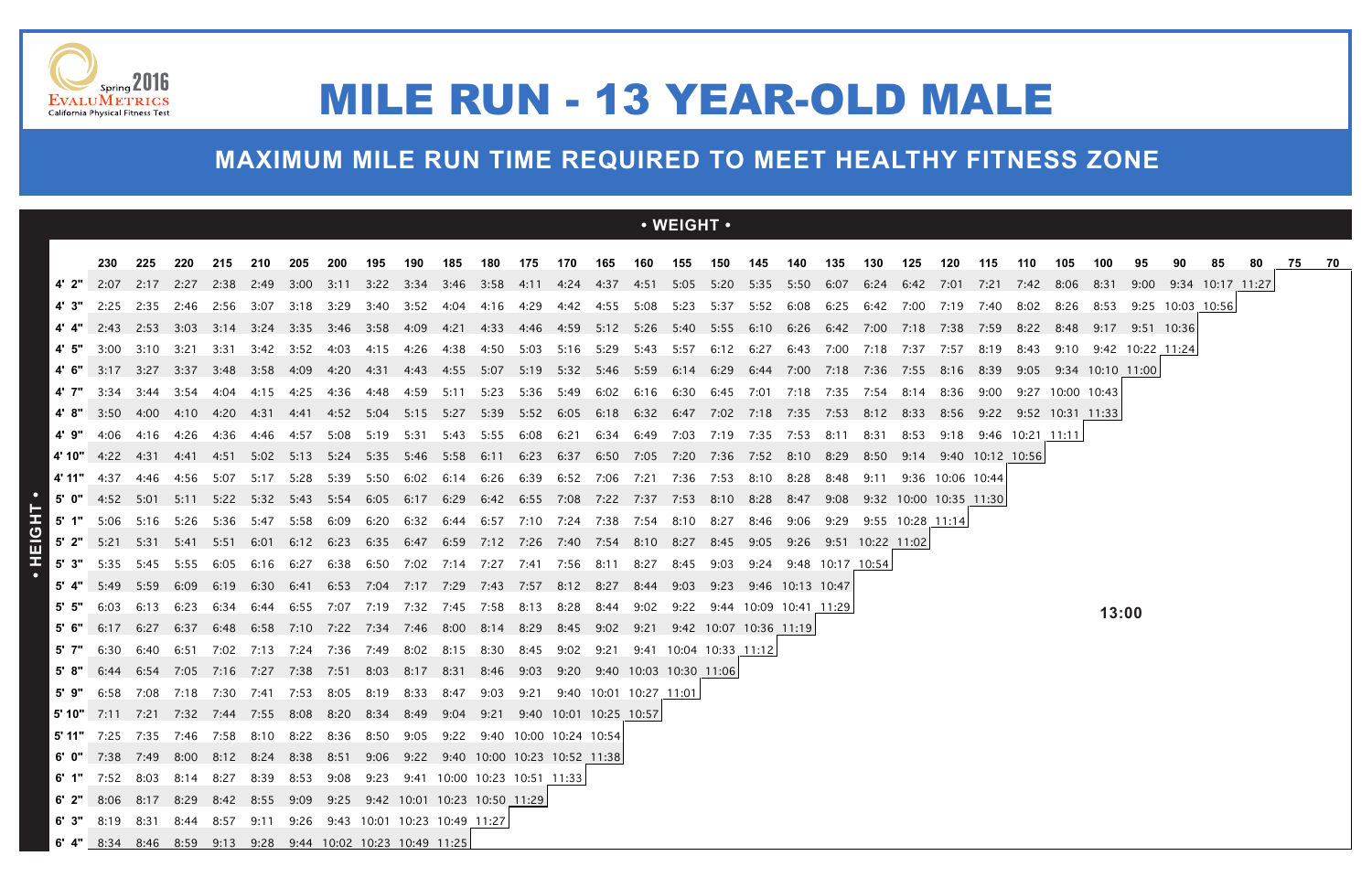|         |                                                                                              |           |                  |           |                |      |                                              |                |                |                                              |                |      |      |                               |         | $\cdot$ WEIGHT $\cdot$                                                                                               |           |      |                        |                       |      |                           |                       |      |                  |                                 |       |                       |                  |    |     |    |
|---------|----------------------------------------------------------------------------------------------|-----------|------------------|-----------|----------------|------|----------------------------------------------|----------------|----------------|----------------------------------------------|----------------|------|------|-------------------------------|---------|----------------------------------------------------------------------------------------------------------------------|-----------|------|------------------------|-----------------------|------|---------------------------|-----------------------|------|------------------|---------------------------------|-------|-----------------------|------------------|----|-----|----|
|         | 230                                                                                          | 225       | 220              | 215       | 210            | -205 | 200                                          | 195            | 190            | 185                                          | 180            | 175  | 170  | 165                           | 160 155 |                                                                                                                      | 150       | 145  | 140                    | 135                   | 130  | 125                       | 120                   | 115  | 110              | 105                             | 100   | 95                    |                  | 80 | 75. | 70 |
|         | 2:07                                                                                         | 2:17 2:27 |                  |           | 2:38 2:49 3:00 |      |                                              |                |                |                                              |                |      |      |                               |         | 3:11 3:22 3:34 3:46 3:58 4:11 4:24 4:37 4:51 5:05 5:20 5:35 5:50 6:07 6:24                                           |           |      |                        |                       |      | 6:42 7:01                 |                       | 7:21 |                  | 7:42 8:06                       | -8:31 | 9:00                  | 9:34 10:17 11:27 |    |     |    |
|         | 2:25                                                                                         | 2:35 2:46 |                  |           |                |      | 2:56 3:07 3:18 3:29                          |                | 3:40 3:52 4:04 |                                              | 4:16 4:29      |      |      |                               |         | 4:42  4:55  5:08  5:23  5:37  5:52  6:08  6:25  6:42  7:00                                                           |           |      |                        |                       |      |                           | 7:19 7:40             |      |                  | 8:02 8:26 8:53 9:25 10:03 10:56 |       |                       |                  |    |     |    |
|         | 4' 4" 2:43 2:53 3:03                                                                         |           |                  |           |                |      | 3:14 3:24 3:35 3:46 3:58 4:09                |                |                |                                              |                |      |      |                               |         | 4:21 4:33 4:46 4:59 5:12 5:26 5:40 5:55 6:10 6:26 6:42 7:00                                                          |           |      |                        |                       |      | 7:18                      | 7:38                  | 7:59 |                  | 8:22 8:48 9:17 9:51 10:36       |       |                       |                  |    |     |    |
|         | 3:00                                                                                         | 3:10      | -3:21            | -3:31     | 3:42           | 3:52 | 4:03                                         | 4:15 4:26      |                | 4:38                                         | 4:50 5:03      |      |      | 5:16 5:29 5:43                |         | 5:57                                                                                                                 | 6:12 6:27 |      | 6:43                   | 7:00                  | 7:18 | 7:37                      | 7:57                  | 8:19 | 8:43             |                                 |       | 9:10 9:42 10:22 11:24 |                  |    |     |    |
|         | 3:17                                                                                         | 3:27      | 3:37             |           | 3:48 3:58 4:09 |      | 4:20                                         | 4:31 4:43      |                | 4:55                                         | 5:07 5:19      |      |      | 5:32 5:46 5:59                |         |                                                                                                                      |           |      |                        | 7:00 7:18             | 7:36 | 7:55                      | 8:16 8:39             |      |                  | 9:05 9:34 10:10 11:00           |       |                       |                  |    |     |    |
|         | 3:34                                                                                         | 3:44 3:54 |                  | -4:04     | 4:15           | 4:25 |                                              |                |                | 5:11                                         | 5:23           | 5:36 |      |                               |         | 5:49 6:02 6:16 6:30 6:45 7:01                                                                                        |           |      | 7:18 7:35              |                       | 7:54 | - 8:14                    | 8:36                  | 9:00 |                  | 9:27 10:00 10:43                |       |                       |                  |    |     |    |
|         | 3:50                                                                                         |           | 4:00  4:10  4:20 |           |                |      |                                              |                |                |                                              |                |      |      |                               |         | 4:31 4:41 4:52 5:04 5:15 5:27 5:39 5:52 6:05 6:18 6:32 6:47 7:02 7:18 7:35 7:53 8:12 8:33 8:56 9:22 9:52 10:31 11:33 |           |      |                        |                       |      |                           |                       |      |                  |                                 |       |                       |                  |    |     |    |
| 4'9"    | 4:06                                                                                         | 4:16      | 4:26             | 4:36      | 4:46           | 4:57 | 5:08                                         | 5:19           | 5:31           |                                              | 5:43 5:55 6:08 |      |      | 6:21 6:34 6:49                |         | 7:03                                                                                                                 | 7:19 7:35 |      | 7:53                   | 8:11                  | 8:31 | 8:53                      | 9:18                  |      | 9:46 10:21 11:11 |                                 |       |                       |                  |    |     |    |
|         | <b>4' 10"</b> 4:22                                                                           |           |                  | 4:51      |                |      |                                              |                |                |                                              |                |      |      |                               |         | 5:02 5:13 5:24 5:35 5:46 5:58 6:11 6:23 6:37 6:50 7:05 7:20 7:36 7:52 8:10 8:29                                      |           |      |                        |                       | 8:50 |                           | 9:14 9:40 10:12 10:56 |      |                  |                                 |       |                       |                  |    |     |    |
| 4' 11"  | 4:37                                                                                         | 4:46      | 4:56             | 5:07      | 5:17 5:28      |      | 5:39                                         | 5:50           | 6:02           | 6:14                                         | 6:26           | 6:39 |      |                               |         | 6:52 7:06 7:21 7:36 7:53 8:10                                                                                        |           |      | 8:28                   | 8:48                  | 9:11 |                           | 9:36 10:06 10:44      |      |                  |                                 |       |                       |                  |    |     |    |
|         |                                                                                              |           |                  |           |                |      |                                              |                |                |                                              |                |      |      |                               |         | 5' 0" 4:52 5:01 5:11 5:22 5:32 5:43 5:54 6:05 6:17 6:29 6:42 6:55 7:08 7:22 7:37 7:53 8:10 8:28                      |           |      | 8:47                   | 9:08                  |      | 9:32 10:00 10:35 11:30    |                       |      |                  |                                 |       |                       |                  |    |     |    |
| 5' 1"   | 5:06 5:16 5:26                                                                               |           |                  | 5:36      | 5:47           | 5:58 | 6:09                                         |                | 6:20 6:32      |                                              |                |      |      |                               |         | 6:44 6:57 7:10 7:24 7:38 7:54 8:10 8:27                                                                              |           | 8:46 | 9:06                   |                       |      | $9:29$ $9:55$ 10:28 11:14 |                       |      |                  |                                 |       |                       |                  |    |     |    |
|         | 5' 2" 5:21 5:31 5:41                                                                         |           |                  | - 5:51    | 6:01           |      | 6:12 6:23 6:35 6:47                          |                |                |                                              |                |      |      | 6:59 7:12 7:26 7:40 7:54 8:10 |         | 8:27 8:45 9:05                                                                                                       |           |      |                        | 9:26 9:51 10:22 11:02 |      |                           |                       |      |                  |                                 |       |                       |                  |    |     |    |
| $5'$ 3" | 5:35                                                                                         | 5:45 5:55 |                  | 6:05      | 6:16           | 6:27 |                                              |                |                | 6:38 6:50 7:02 7:14 7:27 7:41 7:56 8:11 8:27 |                |      |      |                               |         | 8:45                                                                                                                 | 9:03      |      |                        | 9:24 9:48 10:17 10:54 |      |                           |                       |      |                  |                                 |       |                       |                  |    |     |    |
|         | 5:49                                                                                         | 5:59      | 6:09             | 6:19      | 6:30           | 6:41 | 6:53                                         | 7:04           | 7:17           | 7:29                                         | 7:43           | 7:57 |      |                               | 8:44    | 9:03                                                                                                                 | 9:23      |      | 9:46 10:13 10:47       |                       |      |                           |                       |      |                  |                                 |       |                       |                  |    |     |    |
|         | 6:03                                                                                         | 6:13      | 6:23             | 6:34      | 6:44           | 6:55 |                                              | 7:07 7:19 7:32 |                | 7:45  7:58                                   |                | 8:13 | 8:28 | 8:44                          | 9:02    | 9:22                                                                                                                 |           |      | 9:44 10:09 10:41 11:29 |                       |      |                           |                       |      |                  |                                 | 13:00 |                       |                  |    |     |    |
|         | 6:17                                                                                         | 6:27      | 6:37             |           |                |      | 6:48 6:58 7:10 7:22 7:34 7:46 8:00 8:14 8:29 |                |                |                                              |                |      |      |                               |         | 8:45 9:02 9:21 9:42 10:07 10:36 11:19                                                                                |           |      |                        |                       |      |                           |                       |      |                  |                                 |       |                       |                  |    |     |    |
| 5' 7"   | 6:30                                                                                         | 6:40      | 6:51             | 7:02      | 7:13           |      | 7:24 7:36 7:49                               |                | 8:02           | 8:15                                         | 8:30           | 8:45 | 9:02 | 9:21                          |         | 9:41 10:04 10:33 11:12                                                                                               |           |      |                        |                       |      |                           |                       |      |                  |                                 |       |                       |                  |    |     |    |
| 5'8"    | 6:44                                                                                         | 6:54 7:05 |                  | 7:16 7:27 |                | 7:38 | 7:51 8:03 8:17                               |                |                | 8:31                                         | 8:46 9:03      |      |      |                               |         | 9:20 9:40 10:03 10:30 11:06                                                                                          |           |      |                        |                       |      |                           |                       |      |                  |                                 |       |                       |                  |    |     |    |
| 5'9"    | 6:58<br>5' 10" 7:11 7:21 7:32 7:44 7:55 8:08 8:20 8:34 8:49 9:04 9:21 9:40 10:01 10:25 10:57 |           | 7:08 7:18 7:30   |           | 7:41           | 7:53 | 8:05                                         | 8:19           | 8:33           | 8:47                                         | 9:03 9:21      |      |      | 9:40 10:01 10:27 11:01        |         |                                                                                                                      |           |      |                        |                       |      |                           |                       |      |                  |                                 |       |                       |                  |    |     |    |
|         | 5' 11" 7:25 7:35 7:46 7:58 8:10 8:22 8:36 8:50 9:05 9:22 9:40 10:00 10:24 10:54              |           |                  |           |                |      |                                              |                |                |                                              |                |      |      |                               |         |                                                                                                                      |           |      |                        |                       |      |                           |                       |      |                  |                                 |       |                       |                  |    |     |    |
|         | 6' 0" 7:38 7:49 8:00 8:12 8:24 8:38 8:51 9:06 9:22 9:40 10:00 10:23 10:52 11:38              |           |                  |           |                |      |                                              |                |                |                                              |                |      |      |                               |         |                                                                                                                      |           |      |                        |                       |      |                           |                       |      |                  |                                 |       |                       |                  |    |     |    |
|         | 6' 1" 7:52 8:03 8:14 8:27 8:39 8:53 9:08 9:23 9:41 10:00 10:23 10:51 11:33                   |           |                  |           |                |      |                                              |                |                |                                              |                |      |      |                               |         |                                                                                                                      |           |      |                        |                       |      |                           |                       |      |                  |                                 |       |                       |                  |    |     |    |
|         | 6' 2" 8:06 8:17 8:29 8:42 8:55 9:09 9:25 9:42 10:01 10:23 10:50 11:29                        |           |                  |           |                |      |                                              |                |                |                                              |                |      |      |                               |         |                                                                                                                      |           |      |                        |                       |      |                           |                       |      |                  |                                 |       |                       |                  |    |     |    |
|         | 6' 3" 8:19 8:31 8:44 8:57 9:11 9:26 9:43 10:01 10:23 10:49 11:27                             |           |                  |           |                |      |                                              |                |                |                                              |                |      |      |                               |         |                                                                                                                      |           |      |                        |                       |      |                           |                       |      |                  |                                 |       |                       |                  |    |     |    |
|         | 6' 4" 8:34 8:46 8:59 9:13 9:28 9:44 10:02 10:23 10:49 11:25                                  |           |                  |           |                |      |                                              |                |                |                                              |                |      |      |                               |         |                                                                                                                      |           |      |                        |                       |      |                           |                       |      |                  |                                 |       |                       |                  |    |     |    |





## MILE RUN - 13 YEAR-OLD MALE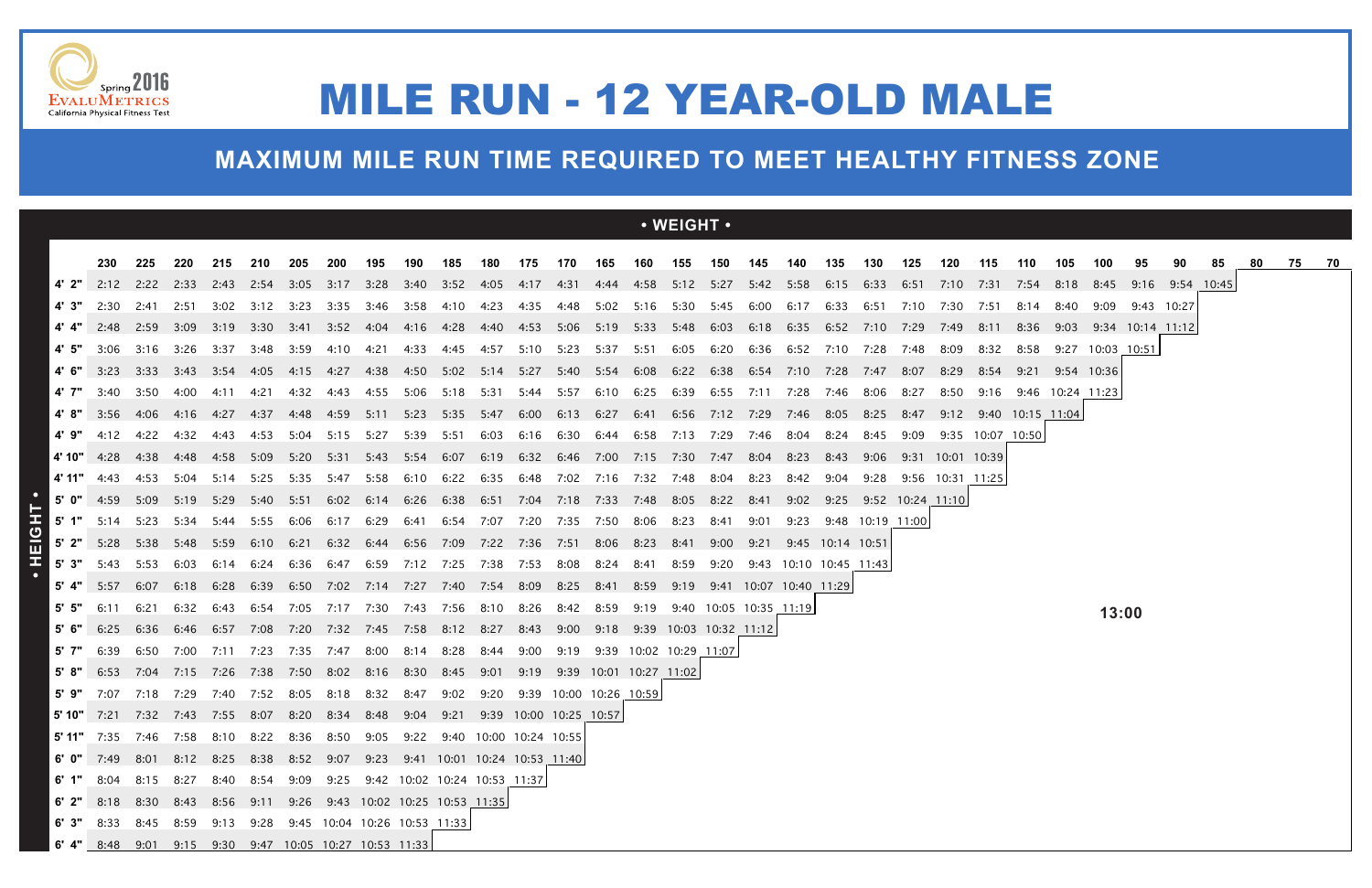|         |                                                                                            |                |                |                |                   |      |                                                                                      |      |      |                                                                      |            |                                 |      |                |              | $\cdot$ WEIGHT $\cdot$        |                                 |      |           |                                      |                  |      |                          |      |                  |                  |                  |                           |    |    |    |       |  |
|---------|--------------------------------------------------------------------------------------------|----------------|----------------|----------------|-------------------|------|--------------------------------------------------------------------------------------|------|------|----------------------------------------------------------------------|------------|---------------------------------|------|----------------|--------------|-------------------------------|---------------------------------|------|-----------|--------------------------------------|------------------|------|--------------------------|------|------------------|------------------|------------------|---------------------------|----|----|----|-------|--|
|         | 230                                                                                        | 225            | 220            | 215            | 210               | 205  | 200                                                                                  | 195  | 190  | 185                                                                  | 180        | 175                             | 170  | 165            | 160          | 155                           | 150                             | 145  | 140       | 135                                  | 130              | 125  | 120                      | 115  | 110              | 105              | 100              | 95                        | 90 | 85 | 80 | 75 70 |  |
| 4' 2"   |                                                                                            | 2:12 2:22 2:33 |                |                |                   |      | 2:43 2:54 3:05 3:17 3:28 3:40 3:52 4:05 4:17 4:31 4:44 4:58 5:12 5:27 5:42 5:58 6:15 |      |      |                                                                      |            |                                 |      |                |              |                               |                                 |      |           |                                      | 6:33             |      | 6:51 7:10 7:31 7:54 8:18 |      |                  |                  | 8:45             | 9:16 9:54 10:45           |    |    |    |       |  |
| 4' 3"   | 2:30                                                                                       | 2:41           | 2:51           | 3:02           | 3:12              | 3:23 | 3:35                                                                                 | 3:46 | 3:58 | 4:10                                                                 | 4:23       | 4:35                            | 4:48 | 5:02           | 5:16         | 5:30                          | 5:45                            | 6:00 | 6:17      | 6:33                                 | 6:51             |      | 7:30                     | 7:51 |                  |                  | 9:09             | 9:43 10:27                |    |    |    |       |  |
|         |                                                                                            | 2:48 2:59 3:09 |                | 3:19           |                   |      | 3:30 3:41 3:52 4:04                                                                  |      |      | 4:16 4:28 4:40 4:53 5:06 5:19 5:33 5:48 6:03 6:18 6:35 6:52 7:10     |            |                                 |      |                |              |                               |                                 |      |           |                                      |                  | 7:29 | 7:49                     | 8:11 | 8:36             |                  |                  | $9:03$ $9:34$ 10:14 11:12 |    |    |    |       |  |
| 4'5"    | 3:06                                                                                       | 3:16           | 3:26           | 3:37           | 3:48              | 3:59 | 4:10   4:21                                                                          |      | 4:33 |                                                                      |            | 4:45 4:57 5:10 5:23 5:37 5:51   |      |                |              |                               | 6:05 6:20 6:36 6:52 7:10        |      |           |                                      | 7:28             | 7:48 | 8:09                     | 8:32 | 8:58             |                  | 9:27 10:03 10:51 |                           |    |    |    |       |  |
| 4'6"    | 3:23 3:33                                                                                  |                | 3:43 3:54 4:05 |                |                   |      | 4:15 4:27 4:38                                                                       |      |      | 4:50 5:02 5:14 5:27 5:40 5:54 6:08 6:22 6:38 6:54 7:10 7:28          |            |                                 |      |                |              |                               |                                 |      |           |                                      | 7:47             | 8:07 | 8:29                     | 8:54 |                  | 9:21 9:54 10:36  |                  |                           |    |    |    |       |  |
|         | 4' 7" $3:40$                                                                               | 3:50           | 4:00           | 4:11           | 4:21              |      | 4:32 4:43 4:55 5:06                                                                  |      |      | 5:18 5:31 5:44 5:57 6:10 6:25 6:39 6:55 7:11 7:28                    |            |                                 |      |                |              |                               |                                 |      |           | 7:46                                 | 8:06             | 8:27 | 8:50                     | 9:16 |                  | 9:46 10:24 11:23 |                  |                           |    |    |    |       |  |
| 4' 8"   | 3:56 4:06                                                                                  |                | 4:16           | 4:27           | 4:37              | 4:48 | 4:59 5:11 5:23                                                                       |      |      | 5:35 5:47                                                            |            |                                 |      | 6:00 6:13 6:27 |              |                               | 6:41 6:56 7:12 7:29             |      | 7:46 8:05 |                                      | 8:25             | 8:47 | 9:12 9:40 10:15 11:04    |      |                  |                  |                  |                           |    |    |    |       |  |
| 4' 9"   | 4:12                                                                                       | 4:22           | 4:32           | 4:43           | 4:53              | 5:04 | 5:15                                                                                 | 5:27 | 5:39 | 5:51                                                                 | 6:03       |                                 |      |                |              | 6:16 6:30 6:44 6:58 7:13 7:29 |                                 | 7:46 | 8:04      | 8:24                                 | 8:45             | 9:09 |                          |      | 9:35 10:07 10:50 |                  |                  |                           |    |    |    |       |  |
|         | <b>4'10"</b> 4:28 4:38                                                                     |                |                |                |                   |      | 5:20 5:31 5:43 5:54                                                                  |      |      | 6:07 6:19 6:32 6:46 7:00 7:15 7:30 7:47 8:04                         |            |                                 |      |                |              |                               |                                 |      | 8:23      | 8:43                                 | 9:06             |      | 9:31 10:01 10:39         |      |                  |                  |                  |                           |    |    |    |       |  |
|         | 4'11" 4:43                                                                                 | 4:53           |                |                |                   |      | 5:04 5:14 5:25 5:35 5:47 5:58 6:10 6:22 6:35 6:48 7:02 7:16 7:32 7:48 8:04 8:23      |      |      |                                                                      |            |                                 |      |                |              |                               |                                 |      | 8:42 9:04 |                                      | 9:28             |      | 9:56 10:31 11:25         |      |                  |                  |                  |                           |    |    |    |       |  |
|         | 5' $0''$ 4:59 5:09 5:19                                                                    |                |                | 5:29           |                   |      | 5:40 5:51 6:02 6:14                                                                  |      | 6:26 | 6:38    6:51    7:04    7:18    7:33    7:48    8:05    8:22    8:41 |            |                                 |      |                |              |                               |                                 |      |           | $9:02$ $9:25$ $9:52$ $10:24$ $11:10$ |                  |      |                          |      |                  |                  |                  |                           |    |    |    |       |  |
|         | 5' 1" $5:14$ $5:23$                                                                        |                | 5:34           | 5:44           | 5:55              | 6:06 | 6:17                                                                                 | 6:29 | 6:41 |                                                                      | 6:54  7:07 | 7:20 7:35 7:50                  |      |                | 8:06         | 8:23                          | 8:41                            | 9:01 | 9:23      |                                      | 9:48 10:19 11:00 |      |                          |      |                  |                  |                  |                           |    |    |    |       |  |
| $5'$ 2" |                                                                                            | 5:28 5:38      | 5:48           |                | 5:59 6:10         |      | 6:21 6:32 6:44 6:56 7:09 7:22 7:36 7:51 8:06 8:23                                    |      |      |                                                                      |            |                                 |      |                |              |                               | 8:41 9:00 9:21 9:45 10:14 10:51 |      |           |                                      |                  |      |                          |      |                  |                  |                  |                           |    |    |    |       |  |
|         | 5' 3" $5:43$ $5:53$<br>$5'$ 4" $5:57$                                                      | 6:07           | 6:03           | 6:14           | 6:24              |      | 6:36 6:47 6:59 7:12 7:25 7:38                                                        |      |      |                                                                      |            | 7:53                            | 8:08 | 8:24           | 8:41         | 8:59                          | 9:20                            |      |           |                                      |                  |      |                          |      |                  |                  |                  |                           |    |    |    |       |  |
| 5 5 5   | 6:11                                                                                       | 6:21           | 6:18<br>6:32   | 6:43           | 6:28 6:39<br>6:54 |      | 6:50 7:02 7:14 7:27 7:40 7:54 8:09 8:25 8:41<br>7:05 7:17 7:30                       |      |      | 7:43 7:56 8:10                                                       |            | 8:26                            |      | 8:42 8:59      | 8:59<br>9:19 | 9:19                          | 9:40 10:05 10:35 11:19          |      |           |                                      |                  |      |                          |      |                  |                  |                  |                           |    |    |    |       |  |
| 5' 6"   | 6:25                                                                                       | 6:36           | 6:46           | 6:57           | 7:08              |      | 7:20 7:32 7:45 7:58                                                                  |      |      | 8:12 8:27                                                            |            | 8:43                            | 9:00 |                |              |                               | 9:18 9:39 10:03 10:32 11:12     |      |           |                                      |                  |      |                          |      |                  |                  | 13:00            |                           |    |    |    |       |  |
| 5' 7"   | 6:39                                                                                       | 6:50           |                | 7:00 7:11 7:23 |                   |      | 7:35 7:47 8:00                                                                       |      | 8:14 | 8:28                                                                 | 8:44       | 9:00                            | 9:19 |                |              | 9:39 10:02 10:29 11:07        |                                 |      |           |                                      |                  |      |                          |      |                  |                  |                  |                           |    |    |    |       |  |
| 5 8 "   |                                                                                            |                |                |                |                   |      | 6:53 7:04 7:15 7:26 7:38 7:50 8:02 8:16 8:30                                         |      |      | 8:45 9:01                                                            |            | 9:19  9:39  10:01  10:27  11:02 |      |                |              |                               |                                 |      |           |                                      |                  |      |                          |      |                  |                  |                  |                           |    |    |    |       |  |
|         | <b>5' 9"</b> 7:07 7:18 7:29 7:40 7:52 8:05 8:18 8:32 8:47 9:02 9:20 9:39 10:00 10:26 10:59 |                |                |                |                   |      |                                                                                      |      |      |                                                                      |            |                                 |      |                |              |                               |                                 |      |           |                                      |                  |      |                          |      |                  |                  |                  |                           |    |    |    |       |  |
|         | 5' 10" 7:21 7:32 7:43 7:55 8:07 8:20 8:34 8:48 9:04 9:21 9:39 10:00 10:25 10:57            |                |                |                |                   |      |                                                                                      |      |      |                                                                      |            |                                 |      |                |              |                               |                                 |      |           |                                      |                  |      |                          |      |                  |                  |                  |                           |    |    |    |       |  |
|         | 5' 11" 7:35 7:46 7:58 8:10 8:22 8:36 8:50 9:05 9:22 9:40 10:00 10:24 10:55                 |                |                |                |                   |      |                                                                                      |      |      |                                                                      |            |                                 |      |                |              |                               |                                 |      |           |                                      |                  |      |                          |      |                  |                  |                  |                           |    |    |    |       |  |
|         | 6' 0" 7:49 8:01 8:12 8:25 8:38 8:52 9:07 9:23 9:41 10:01 10:24 10:53 11:40                 |                |                |                |                   |      |                                                                                      |      |      |                                                                      |            |                                 |      |                |              |                               |                                 |      |           |                                      |                  |      |                          |      |                  |                  |                  |                           |    |    |    |       |  |
|         | 6' 1" 8:04 8:15 8:27 8:40 8:54 9:09 9:25 9:42 10:02 10:24 10:53 11:37                      |                |                |                |                   |      |                                                                                      |      |      |                                                                      |            |                                 |      |                |              |                               |                                 |      |           |                                      |                  |      |                          |      |                  |                  |                  |                           |    |    |    |       |  |
|         | 6' 2" 8:18 8:30 8:43 8:56 9:11 9:26 9:43 10:02 10:25 10:53 11:35                           |                |                |                |                   |      |                                                                                      |      |      |                                                                      |            |                                 |      |                |              |                               |                                 |      |           |                                      |                  |      |                          |      |                  |                  |                  |                           |    |    |    |       |  |
|         | 6' 3" 8:33 8:45 8:59 9:13 9:28 9:45 10:04 10:26 10:53 11:33                                |                |                |                |                   |      |                                                                                      |      |      |                                                                      |            |                                 |      |                |              |                               |                                 |      |           |                                      |                  |      |                          |      |                  |                  |                  |                           |    |    |    |       |  |
|         | 6' 4" 8:48 9:01 9:15 9:30 9:47 10:05 10:27 10:53 11:33                                     |                |                |                |                   |      |                                                                                      |      |      |                                                                      |            |                                 |      |                |              |                               |                                 |      |           |                                      |                  |      |                          |      |                  |                  |                  |                           |    |    |    |       |  |





## MILE RUN - 12 YEAR-OLD MALE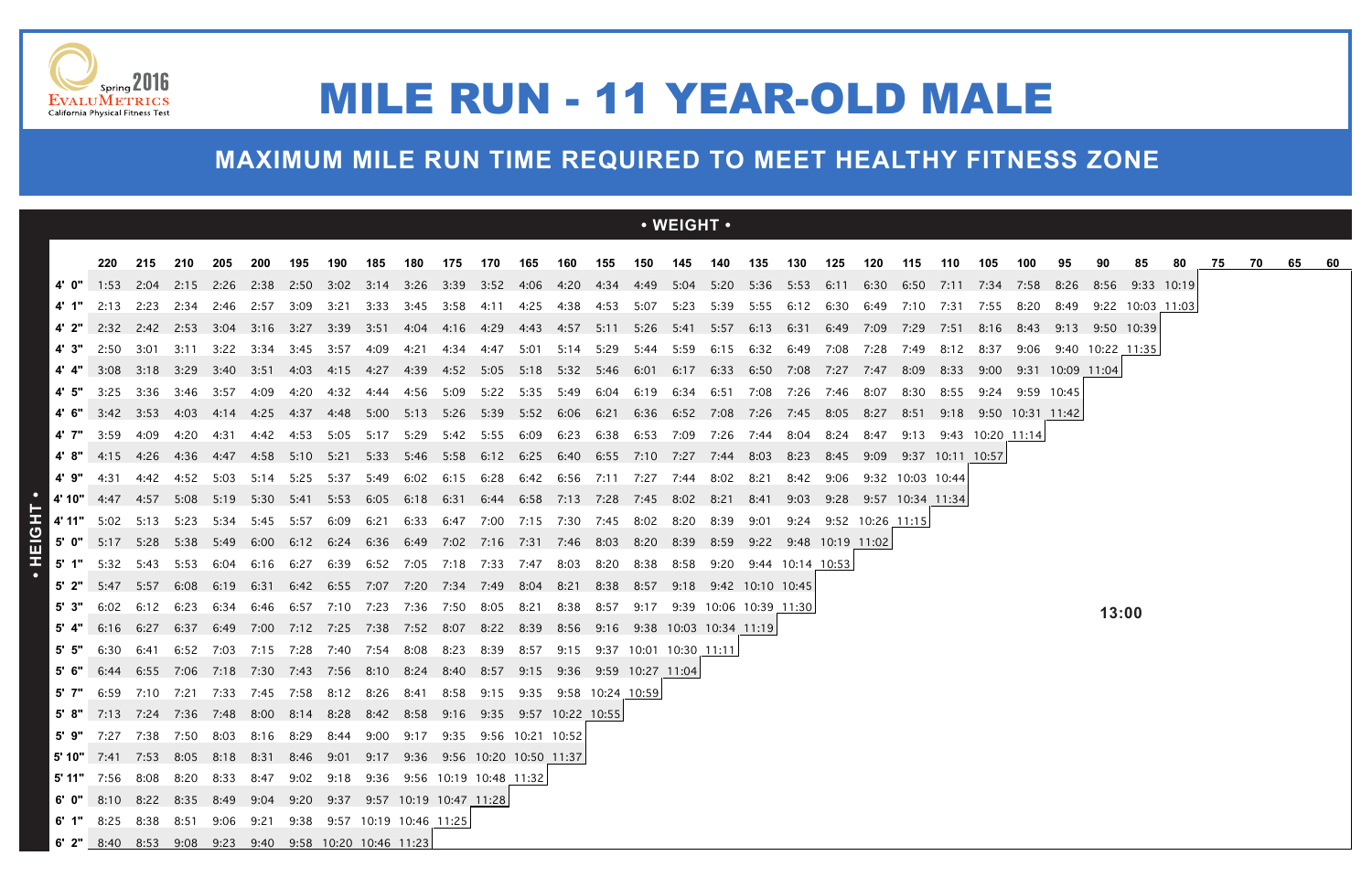|                |                                                                                                                |                        |                |           |                               |       |                                    |           |      |                               |              |                          |                |           |                    | $\cdot$ WEIGHT $\cdot$                                                                         |                       |      |                            |      |                       |      |                            |      |            |                       |       |                  |    |    |    |    |  |
|----------------|----------------------------------------------------------------------------------------------------------------|------------------------|----------------|-----------|-------------------------------|-------|------------------------------------|-----------|------|-------------------------------|--------------|--------------------------|----------------|-----------|--------------------|------------------------------------------------------------------------------------------------|-----------------------|------|----------------------------|------|-----------------------|------|----------------------------|------|------------|-----------------------|-------|------------------|----|----|----|----|--|
|                | 220                                                                                                            | 215                    | 210            | 205       | 200                           | 195   | 190                                | 185       | 180  | 175                           | 170          | 165                      | 160            | 155       |                    | 150 145 140 135                                                                                |                       |      | 130                        | 125  | 120                   | 115  | - 110                      | 105  | 100        | 95                    | 90    | 85               | 80 | 75 | 70 | 65 |  |
|                |                                                                                                                | 1:53 2:04 2:15         |                |           |                               |       |                                    |           |      |                               |              |                          |                |           |                    | 2:26 2:38 2:50 3:02 3:14 3:26 3:39 3:52 4:06 4:20 4:34 4:49 5:04 5:20 5:36 5:53 6:11 6:30 6:50 |                       |      |                            |      |                       |      | 7:11                       | 7:34 | 7:58       | 8:26                  |       | 8:56 9:33 10:19  |    |    |    |    |  |
| 4' 1"          |                                                                                                                | 2:13 2:23 2:34         |                |           | 2:46 2:57 3:09 3:21 3:33 3:45 |       |                                    |           |      | 3:58                          |              |                          |                |           |                    | 4:11 4:25 4:38 4:53 5:07 5:23 5:39 5:55 6:12 6:30                                              |                       |      |                            |      | 6:49                  | 7:10 | 7:31                       | 7:55 | 8:20       | 8:49                  |       | 9:22 10:03 11:03 |    |    |    |    |  |
|                |                                                                                                                | 2:32 2:42 2:53         |                | -3:04     | 3:16 3:27                     |       | 3:39 3:51 4:04                     |           |      |                               |              |                          |                |           |                    | 4:16 4:29 4:43 4:57 5:11 5:26 5:41 5:57 6:13                                                   |                       |      | 6:31                       | 6:49 | 7:09                  | 7:29 | 7:51                       | 8:16 | 8:43       | 9:13 9:50 10:39       |       |                  |    |    |    |    |  |
| 4' 3"          | 2:50                                                                                                           | -3:01                  | 3:11           | - 3:22    | -3:34                         | -3:45 | 3:57                               | 4:09      | 4:21 | 4:34                          | 4:47         | 5:01                     |                | 5:14 5:29 | 5:44               | 5:59                                                                                           | 6:15                  | 6:32 | 6:49                       | 7:08 | 7:28                  | 7:49 | 8:12                       | 8:37 | 9:06       |                       |       | 9:40 10:22 11:35 |    |    |    |    |  |
|                | 3:08                                                                                                           | 3:18 3:29              |                | 3:40 3:51 |                               | 4:03  |                                    |           |      |                               |              |                          |                |           |                    | 4:15 4:27 4:39 4:52 5:05 5:18 5:32 5:46 6:01 6:17 6:33 6:50 7:08 7:27                          |                       |      |                            |      | 7:47                  | 8:09 | 8:33                       |      |            | 9:00 9:31 10:09 11:04 |       |                  |    |    |    |    |  |
|                | 3:25                                                                                                           |                        | 3:36 3:46 3:57 |           | 4:09                          |       | 4:20  4:32  4:44                   |           |      | 4:56 5:09                     |              | 5:22 5:35 5:49 6:04 6:19 |                |           |                    | 6:34 6:51                                                                                      |                       |      | 7:08 7:26                  | 7:46 | 8:07                  | 8:30 | 8:55                       | 9:24 | 9:59 10:45 |                       |       |                  |    |    |    |    |  |
|                | 4' 6" 3:42 3:53 4:03 4:14 4:25 4:37 4:48 5:00 5:13 5:26 5:39 5:52 6:06 6:21 6:36 6:52 7:08 7:26 7:45 8:05 8:27 |                        |                |           |                               |       |                                    |           |      |                               |              |                          |                |           |                    |                                                                                                |                       |      |                            |      |                       |      | 8:51 9:18 9:50 10:31 11:42 |      |            |                       |       |                  |    |    |    |    |  |
| 4' 7"          | 3:59                                                                                                           | 4:09                   | 4:20           | 4:31      |                               |       | 5:05 5:17 5:29                     |           |      | 5:42 5:55 6:09                |              |                          | 6:23 6:38 6:53 |           |                    | 7:09                                                                                           | 7:26                  | 7:44 | 8:04                       | 8:24 | 8:47                  | 9:13 | 9:43 10:20 11:14           |      |            |                       |       |                  |    |    |    |    |  |
| 4'8"           | 4:15 4:26 4:36                                                                                                 |                        |                | 4:47      | 4:58 5:10                     |       |                                    |           |      |                               |              |                          |                |           |                    | 5:21 5:33 5:46 5:58 6:12 6:25 6:40 6:55 7:10 7:27 7:44                                         |                       | 8:03 | 8:23                       | 8:45 | 9:09                  |      | 9:37 10:11 10:57           |      |            |                       |       |                  |    |    |    |    |  |
| 4'9"           | 4:31                                                                                                           | 4:42                   | 4:52           | 5:03      | 5:14                          | 5:25  | 5:37                               | 5:49      | 6:02 | 6:15 6:28 6:42 6:56 7:11 7:27 |              |                          |                |           |                    | 7:44 8:02                                                                                      |                       | 8:21 | 8:42                       | 9:06 | 9:32 10:03 10:44      |      |                            |      |            |                       |       |                  |    |    |    |    |  |
|                | 4'10" 4:47 4:57 5:08 5:19 5:30 5:41 5:53 6:05 6:18                                                             |                        |                |           |                               |       |                                    |           |      |                               |              |                          |                |           |                    | 6:31 6:44 6:58 7:13 7:28 7:45 8:02 8:21                                                        |                       | 8:41 | 9:03                       |      | 9:28 9:57 10:34 11:34 |      |                            |      |            |                       |       |                  |    |    |    |    |  |
| 4' 11"         | 5:02 5:13 5:23                                                                                                 |                        |                |           | 5:34 5:45 5:57                |       | 6:09                               | 6:21 6:33 |      |                               |              |                          |                |           |                    | 6:47 7:00 7:15 7:30 7:45 8:02 8:20 8:39                                                        |                       | 9:01 |                            |      | 9:24 9:52 10:26 11:15 |      |                            |      |            |                       |       |                  |    |    |    |    |  |
|                | 5' 0" $5:17$ $5:28$ $5:38$                                                                                     |                        |                | 5:49      | 6:00                          |       | 6:12 6:24 6:36 6:49                |           |      | 7:02 7:16 7:31 7:46 8:03      |              |                          |                |           | 8:20               | 8:39                                                                                           |                       |      | 8:59 9:22 9:48 10:19 11:02 |      |                       |      |                            |      |            |                       |       |                  |    |    |    |    |  |
| $5'$ 1"        | 5:32                                                                                                           | 5:43                   | 5:53           | 6:04      | 6:16                          | 6:27  | 6:39                               | 6:52 7:05 |      | 7:18                          | 7:33         | 7:47                     | 8:03           | 8:20      | 8:38               | 8:58                                                                                           |                       |      | 9:20 9:44 10:14 10:53      |      |                       |      |                            |      |            |                       |       |                  |    |    |    |    |  |
| 5' 2"          | 5:47                                                                                                           | 5:57                   | 6:08           | 6:19      | 6:31                          |       | 6:42 6:55 7:07 7:20 7:34 7:49 8:04 |           |      |                               |              |                          | 8:21 8:38      |           | 8:57               |                                                                                                | 9:18 9:42 10:10 10:45 |      |                            |      |                       |      |                            |      |            |                       |       |                  |    |    |    |    |  |
| 5' 3"          | 6:02                                                                                                           | 6:12                   | 6:23           | 6:34      | 6:46 6:57                     |       | 7:10  7:23  7:36  7:50  8:05       |           |      |                               |              | 8:21                     | 8:38           | 8:57      | 9:17               |                                                                                                |                       |      | 9:39 10:06 10:39 11:30     |      |                       |      |                            |      |            |                       | 13:00 |                  |    |    |    |    |  |
| 5' 4"<br>5' 5" | 6:16 6:27                                                                                                      |                        | 6:37           |           | 7:15 7:28 7:40 7:54 8:08      |       |                                    |           |      |                               |              |                          |                |           |                    | 6:49 7:00 7:12 7:25 7:38 7:52 8:07 8:22 8:39 8:56 9:16 9:38 10:03 10:34 11:19                  |                       |      |                            |      |                       |      |                            |      |            |                       |       |                  |    |    |    |    |  |
| 5' 6"          | 6:30<br>6:44                                                                                                   | 6:41<br>6:55 7:06 7:18 |                | 6:52 7:03 | 7:30 7:43                     |       | 7:56 8:10 8:24                     |           |      | 8:23<br>8:40                  | 8:39<br>8:57 | 8:57<br>9:15             |                |           |                    | 9:15 9:37 10:01 10:30 11:11<br>$9:36$ $9:59$ $10:27$ $11:04$                                   |                       |      |                            |      |                       |      |                            |      |            |                       |       |                  |    |    |    |    |  |
| 5' 7"          | 6:59                                                                                                           | 7:10                   | 7:21           | 7:33      | 7:45                          | 7:58  | 8:12                               | 8:26      | 8:41 | 8:58                          | 9:15         | 9:35                     |                |           | $9:58$ 10:24 10:59 |                                                                                                |                       |      |                            |      |                       |      |                            |      |            |                       |       |                  |    |    |    |    |  |
|                | 5' 8" 7:13 7:24 7:36 7:48 8:00 8:14 8:28 8:42 8:58 9:16 9:35 9:57 10:22 10:55                                  |                        |                |           |                               |       |                                    |           |      |                               |              |                          |                |           |                    |                                                                                                |                       |      |                            |      |                       |      |                            |      |            |                       |       |                  |    |    |    |    |  |
|                | 5' 9" 7:27 7:38 7:50 8:03 8:16 8:29 8:44 9:00 9:17 9:35 9:56 10:21 10:52                                       |                        |                |           |                               |       |                                    |           |      |                               |              |                          |                |           |                    |                                                                                                |                       |      |                            |      |                       |      |                            |      |            |                       |       |                  |    |    |    |    |  |
|                | 5' 10" 7:41 7:53 8:05 8:18 8:31 8:46 9:01 9:17 9:36 9:56 10:20 10:50 11:37                                     |                        |                |           |                               |       |                                    |           |      |                               |              |                          |                |           |                    |                                                                                                |                       |      |                            |      |                       |      |                            |      |            |                       |       |                  |    |    |    |    |  |
|                | 5' 11" 7:56 8:08 8:20 8:33 8:47 9:02 9:18 9:36 9:56 10:19 10:48 11:32                                          |                        |                |           |                               |       |                                    |           |      |                               |              |                          |                |           |                    |                                                                                                |                       |      |                            |      |                       |      |                            |      |            |                       |       |                  |    |    |    |    |  |
|                | 6' 0" 8:10 8:22 8:35 8:49 9:04 9:20 9:37 9:57 10:19 10:47 11:28                                                |                        |                |           |                               |       |                                    |           |      |                               |              |                          |                |           |                    |                                                                                                |                       |      |                            |      |                       |      |                            |      |            |                       |       |                  |    |    |    |    |  |
|                | 6' 1" 8:25 8:38 8:51 9:06 9:21 9:38 9:57 10:19 10:46 11:25                                                     |                        |                |           |                               |       |                                    |           |      |                               |              |                          |                |           |                    |                                                                                                |                       |      |                            |      |                       |      |                            |      |            |                       |       |                  |    |    |    |    |  |
|                | 6' 2" 8:40 8:53 9:08 9:23 9:40 9:58 10:20 10:46 11:23                                                          |                        |                |           |                               |       |                                    |           |      |                               |              |                          |                |           |                    |                                                                                                |                       |      |                            |      |                       |      |                            |      |            |                       |       |                  |    |    |    |    |  |





# MILE RUN - 11 YEAR-OLD MALE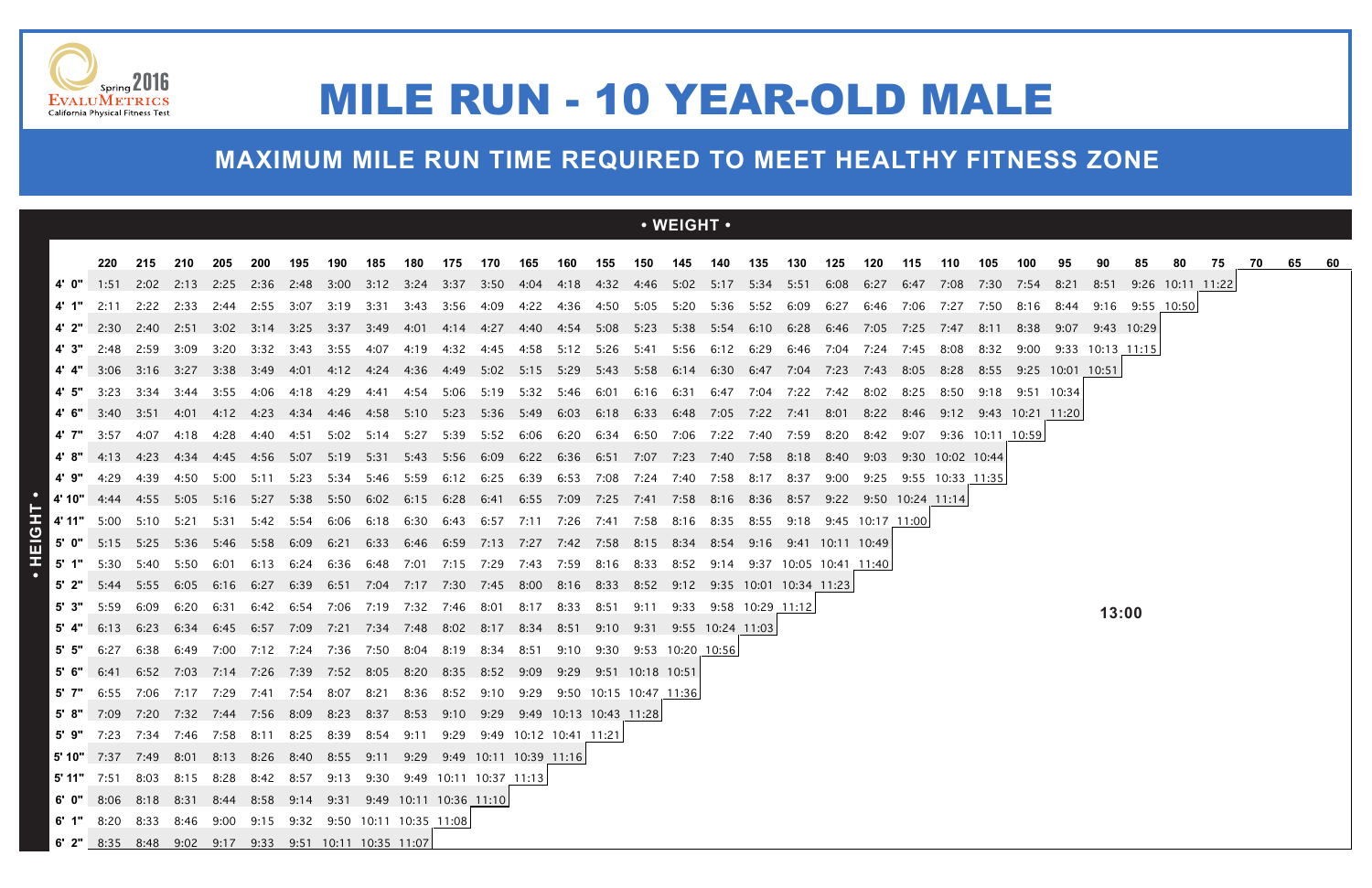|       |                                                                                                                                                                              |                |      |           |           |       |                                              |                |                     |                     |           |      |                                                                                                     |           |                        | $\cdot$ WEIGHT $\cdot$           |                |                  |      |                             |                       |      |                       |      |                  |                      |                  |                 |                  |    |    |    |  |
|-------|------------------------------------------------------------------------------------------------------------------------------------------------------------------------------|----------------|------|-----------|-----------|-------|----------------------------------------------|----------------|---------------------|---------------------|-----------|------|-----------------------------------------------------------------------------------------------------|-----------|------------------------|----------------------------------|----------------|------------------|------|-----------------------------|-----------------------|------|-----------------------|------|------------------|----------------------|------------------|-----------------|------------------|----|----|----|--|
|       | 220                                                                                                                                                                          | 215            | 210  | 205       | 200       | 195   | 190                                          | 185            | 180                 | 175                 | 170       | 165  | 160                                                                                                 |           |                        | 155 150 145 140 135              |                |                  | 130  | 125                         | 120                   | 115  | 110                   | 105  | 100              | 95                   | 90               | 85              | 80               | 75 | 70 | 65 |  |
|       | 1:51                                                                                                                                                                         |                |      |           |           |       |                                              |                |                     |                     |           |      | 2:02 2:13 2:25 2:36 2:48 3:00 3:12 3:24 3:37 3:50 4:04 4:18 4:32 4:46 5:02 5:17 5:34 5:51 6:08 6:27 |           |                        |                                  |                |                  |      |                             |                       | 6:47 | 7:08                  | 7:30 | 7:54             | - 8:21               | 8:51             |                 | 9:26 10:11 11:22 |    |    |    |  |
| 4' 1" | 2:11                                                                                                                                                                         |                |      |           |           |       |                                              |                |                     |                     |           |      | 2:22 2:33 2:44 2:55 3:07 3:19 3:31 3:43 3:56 4:09 4:22 4:36 4:50 5:05 5:20 5:36 5:52 6:09           |           |                        |                                  |                |                  |      |                             |                       |      | 7:27                  |      | 7:50 8:16 8:44   |                      |                  | 9:16 9:55 10:50 |                  |    |    |    |  |
|       | 4' 2" 2:30 2:40 2:51 3:02 3:14 3:25 3:37 3:49 4:01 4:14 4:27 4:40 4:54 5:08 5:23 5:38 5:54 6:10 6:28 6:46                                                                    |                |      |           |           |       |                                              |                |                     |                     |           |      |                                                                                                     |           |                        |                                  |                |                  |      |                             | 7:05                  | 7:25 | 7:47                  | 8:11 |                  | 8:38 9:07 9:43 10:29 |                  |                 |                  |    |    |    |  |
| 4'3"  | 2:48                                                                                                                                                                         | 2:59           | 3:09 | 3:20      | 3:32      | -3:43 | 3:55                                         | 4:07           | 4:19                | 4:32                | 4:45      | 4:58 | 5:12 5:26                                                                                           |           | 5:41                   | 5:56                             | 6:12 6:29      |                  | 6:46 | 7:04                        | 7:24                  | 7:45 | 8:08                  | 8:32 | 9:00             |                      | 9:33 10:13 11:15 |                 |                  |    |    |    |  |
|       |                                                                                                                                                                              | 3:06 3:16 3:27 |      |           | 3:38 3:49 | -4:01 |                                              |                | 4:12 4:24 4:36 4:49 |                     |           |      | 5:02 5:15 5:29 5:43 5:58 6:14 6:30 6:47 7:04 7:23                                                   |           |                        |                                  |                |                  |      |                             | 7:43                  | 8:05 | 8:28                  | 8:55 | 9:25 10:01 10:51 |                      |                  |                 |                  |    |    |    |  |
| 4' 5" | 3:23                                                                                                                                                                         | 3:34           | 3:44 |           | 3:55 4:06 |       |                                              | 4:41           | 4:54                |                     |           |      | 5:06 5:19 5:32 5:46 6:01 6:16 6:31 6:47 7:04                                                        |           |                        |                                  |                |                  | 7:22 | 7:42                        | 8:02                  | 8:25 | 8:50                  | 9:18 | 9:51 10:34       |                      |                  |                 |                  |    |    |    |  |
| 4'6"  | 3:40 3:51                                                                                                                                                                    |                |      |           |           |       |                                              |                |                     |                     |           |      | 4:01 4:12 4:23 4:34 4:46 4:58 5:10 5:23 5:36 5:49 6:03 6:18 6:33 6:48 7:05 7:22 7:41 8:01           |           |                        |                                  |                |                  |      |                             | 8:22 8:46             |      | 9:12 9:43 10:21 11:20 |      |                  |                      |                  |                 |                  |    |    |    |  |
| 4' 7" | 3:57                                                                                                                                                                         | 4:07           | 4:18 | 4:28      | 4:40      | 4:51  |                                              | 5:02 5:14 5:27 |                     | 5:39                |           |      | 5:52 6:06 6:20 6:34 6:50 7:06                                                                       |           |                        |                                  | 7:22 7:40 7:59 |                  |      | 8:20                        | 8:42                  | 9:07 |                       |      | 9:36 10:11 10:59 |                      |                  |                 |                  |    |    |    |  |
| 4'8"  | 4:13                                                                                                                                                                         | 4:23           | 4:34 | 4:45      | - 4:56    | 5:07  | 5:19                                         | 5:31 5:43      |                     | 5:56                | 6:09      |      | 6:22 6:36 6:51 7:07                                                                                 |           |                        | 7:23                             | 7:40           | 7:58             | 8:18 | 8:40                        | 9:03                  | 9:30 | 10:02 10:44           |      |                  |                      |                  |                 |                  |    |    |    |  |
| 4'9"  | 4:29                                                                                                                                                                         | 4:39           | 4:50 | 5:00      | 5:11      | 5:23  | 5:34                                         | 5:46           | 5:59                | 6:12                | 6:25      | 6:39 | 6:53 7:08 7:24                                                                                      |           |                        | 7:40                             | 7:58           | 8:17             | 8:37 | 9:00                        | 9:25                  |      | 9:55 10:33 11:35      |      |                  |                      |                  |                 |                  |    |    |    |  |
|       | 4' 10" 4:44 4:55 5:05                                                                                                                                                        |                |      | 5:16 5:27 |           |       | 5:38 5:50 6:02 6:15                          |                |                     | 6:28                | 6:41      |      | 6:55 7:09 7:25 7:41 7:58 8:16 8:36                                                                  |           |                        |                                  |                |                  | 8:57 |                             | 9:22 9:50 10:24 11:14 |      |                       |      |                  |                      |                  |                 |                  |    |    |    |  |
|       | 4' 11" 5:00 5:10 5:21 5:31 5:42 5:54                                                                                                                                         |                |      |           |           |       |                                              |                |                     |                     |           |      | 6:06 6:18 6:30 6:43 6:57 7:11 7:26 7:41 7:58 8:16 8:35 8:55 9:18 9:45 10:17 11:00                   |           |                        |                                  |                |                  |      |                             |                       |      |                       |      |                  |                      |                  |                 |                  |    |    |    |  |
|       | <b>5' 0"</b> 5:15 5:25 5:36 5:46 5:58                                                                                                                                        |                |      |           |           | 6:09  |                                              | 6:21 6:33      |                     |                     |           |      | 6:46 6:59 7:13 7:27 7:42 7:58 8:15                                                                  |           |                        | 8:34 8:54 9:16 9:41 10:11 10:49  |                |                  |      |                             |                       |      |                       |      |                  |                      |                  |                 |                  |    |    |    |  |
|       | 5' $1"$ 5:30 5:40                                                                                                                                                            |                | 5:50 | -6:01     | 6:13      | 6:24  | 6:36                                         | 6:48           | 7:01                | 7:15 7:29 7:43 7:59 |           |      |                                                                                                     | 8:16 8:33 |                        | 8:52                             |                |                  |      | 9:14 9:37 10:05 10:41 11:40 |                       |      |                       |      |                  |                      |                  |                 |                  |    |    |    |  |
| 5' 2" | 5:44                                                                                                                                                                         | 5:55           | 6:05 | 6:16      | 6:27      | 6:39  |                                              | 6:51 7:04      | 7:17                |                     |           |      | 7:30 7:45 8:00 8:16 8:33                                                                            |           |                        | 8:52 9:12 9:35 10:01 10:34 11:23 |                |                  |      |                             |                       |      |                       |      |                  |                      |                  |                 |                  |    |    |    |  |
| 5' 3" | 5:59                                                                                                                                                                         | 6:09           | 6:20 | 6:31      | 6:42      | 6:54  | 7:06 7:19 7:32 7:46 8:01                     |                |                     |                     |           | 8:17 | 8:33                                                                                                | 8:51      | 9:11                   | 9:33                             |                | 9:58 10:29 11:12 |      |                             |                       |      |                       |      |                  |                      | 13:00            |                 |                  |    |    |    |  |
|       | 6:13                                                                                                                                                                         | 6:23           | 6:34 |           |           |       | 6:45 6:57 7:09 7:21 7:34 7:48 8:02 8:17 8:34 |                |                     |                     |           |      | 8:51 9:10 9:31 9:55 10:24 11:03                                                                     |           |                        |                                  |                |                  |      |                             |                       |      |                       |      |                  |                      |                  |                 |                  |    |    |    |  |
| 5' 5" | 6:27                                                                                                                                                                         | 6:38           | 6:49 | 7:00      | 7:12 7:24 |       | 7:36 7:50                                    |                | 8:04                | 8:19                | 8:34      | 8:51 | 9:10                                                                                                |           |                        | 9:30 9:53 10:20 10:56            |                |                  |      |                             |                       |      |                       |      |                  |                      |                  |                 |                  |    |    |    |  |
|       | 6:41                                                                                                                                                                         | 6:52           | 7:03 | 7:14      | 7:26      | 7:39  | 7:52 8:05 8:20                               |                |                     | 8:35                | 8:52      | 9:09 | 9:29                                                                                                |           | 9:51 10:18 10:51       |                                  |                |                  |      |                             |                       |      |                       |      |                  |                      |                  |                 |                  |    |    |    |  |
|       | $5'$ 7" $6:55$                                                                                                                                                               | 7:06           | 7:17 | 7:29      | 7:41      | 7:54  | 8:07                                         | 8:21           | 8:36                | 8:52                | 9:10 9:29 |      |                                                                                                     |           | 9:50 10:15 10:47 11:36 |                                  |                |                  |      |                             |                       |      |                       |      |                  |                      |                  |                 |                  |    |    |    |  |
|       | <b>5' 8"</b> 7:09 7:20 7:32 7:44 7:56 8:09 8:23 8:37 8:53 9:10 9:29 9:49 10:13 10:43 11:28<br>5' 9" 7:23 7:34 7:46 7:58 8:11 8:25 8:39 8:54 9:11 9:29 9:49 10:12 10:41 11:21 |                |      |           |           |       |                                              |                |                     |                     |           |      |                                                                                                     |           |                        |                                  |                |                  |      |                             |                       |      |                       |      |                  |                      |                  |                 |                  |    |    |    |  |
|       | <b>5' 10"</b> 7:37 7:49 8:01 8:13 8:26 8:40 8:55 9:11 9:29 9:49 10:11 10:39 11:16                                                                                            |                |      |           |           |       |                                              |                |                     |                     |           |      |                                                                                                     |           |                        |                                  |                |                  |      |                             |                       |      |                       |      |                  |                      |                  |                 |                  |    |    |    |  |
|       | <b>5' 11"</b> 7:51 8:03 8:15 8:28 8:42 8:57 9:13 9:30 9:49 10:11 10:37 11:13                                                                                                 |                |      |           |           |       |                                              |                |                     |                     |           |      |                                                                                                     |           |                        |                                  |                |                  |      |                             |                       |      |                       |      |                  |                      |                  |                 |                  |    |    |    |  |
|       | 6' 0" 8:06 8:18 8:31 8:44 8:58 9:14 9:31 9:49 10:11 10:36 11:10                                                                                                              |                |      |           |           |       |                                              |                |                     |                     |           |      |                                                                                                     |           |                        |                                  |                |                  |      |                             |                       |      |                       |      |                  |                      |                  |                 |                  |    |    |    |  |
|       | 6' 1" 8:20 8:33 8:46 9:00 9:15 9:32 9:50 10:11 10:35 11:08                                                                                                                   |                |      |           |           |       |                                              |                |                     |                     |           |      |                                                                                                     |           |                        |                                  |                |                  |      |                             |                       |      |                       |      |                  |                      |                  |                 |                  |    |    |    |  |
|       | 6' 2" 8:35 8:48 9:02 9:17 9:33 9:51 10:11 10:35 11:07                                                                                                                        |                |      |           |           |       |                                              |                |                     |                     |           |      |                                                                                                     |           |                        |                                  |                |                  |      |                             |                       |      |                       |      |                  |                      |                  |                 |                  |    |    |    |  |
|       |                                                                                                                                                                              |                |      |           |           |       |                                              |                |                     |                     |           |      |                                                                                                     |           |                        |                                  |                |                  |      |                             |                       |      |                       |      |                  |                      |                  |                 |                  |    |    |    |  |





## MILE RUN - 10 YEAR-OLD MALE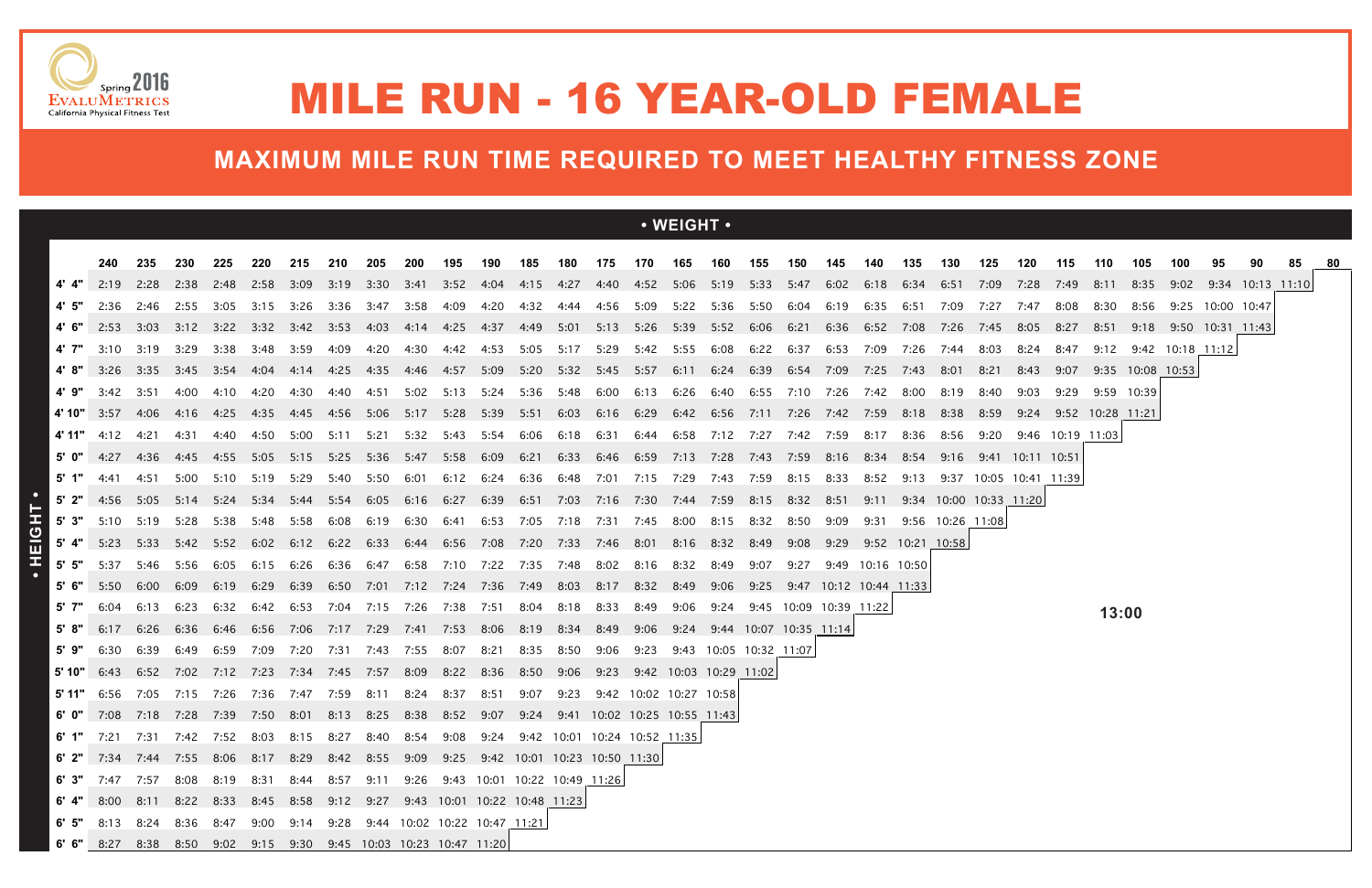|            |                                                                                                                                                                   |                  |                |             |                  |      |                                         |                  |           |                                                                                           |           |                               |      |                |           | $\cdot$ WEIGHT $\cdot$                                 |                   |      |                                  |           |                       |                  |                        |                        |                  |                  |             |                       |                  |                       |  |
|------------|-------------------------------------------------------------------------------------------------------------------------------------------------------------------|------------------|----------------|-------------|------------------|------|-----------------------------------------|------------------|-----------|-------------------------------------------------------------------------------------------|-----------|-------------------------------|------|----------------|-----------|--------------------------------------------------------|-------------------|------|----------------------------------|-----------|-----------------------|------------------|------------------------|------------------------|------------------|------------------|-------------|-----------------------|------------------|-----------------------|--|
|            |                                                                                                                                                                   |                  |                |             |                  |      |                                         |                  |           |                                                                                           |           |                               |      |                |           |                                                        |                   |      |                                  |           |                       |                  |                        |                        |                  |                  |             |                       |                  |                       |  |
|            | 240<br>2:19                                                                                                                                                       | 235<br>2:28 2:38 | 230            | 225<br>2:48 | 220<br>2:58 3:09 | 215  | 210                                     | 205              | 200       | 195<br>3:19 3:30 3:41 3:52 4:04                                                           | 190       | 185                           | 180  | 175            | 170       | 165<br>4:15  4:27  4:40  4:52  5:06  5:19  5:33  5:47  | 160               | 155  | 150                              | 145       | 140<br>6:02 6:18      | 135<br>6:34 6:51 | 130                    | 125<br>7:09            | 120<br>7:28      | 115<br>7:49      | 110<br>8:11 | 105<br>8:35           | 100              | 9:02 9:34 10:13 11:10 |  |
| 4' 5"      | 2:36                                                                                                                                                              |                  | 2:46 2:55      | 3:05        | 3:15 3:26        |      | 3:36                                    | 3:47             | 3:58      | 4:09                                                                                      |           |                               |      |                |           | 4:56 5:09 5:22 5:36 5:50 6:04                          |                   |      |                                  | 6:19      | 6:35                  | 6:51             | 7:09                   | 7:27                   | 7:47             | 8:08             | 8:30        | 8:56                  | 9:25 10:00 10:47 |                       |  |
|            | 2:53                                                                                                                                                              | $3:03$ $3:12$    |                | 3:22        | 3:32 3:42        |      | 3:53                                    | 4:03             | 4:14      | 4:25                                                                                      | 4:37      | 4:49                          |      |                |           | 5:01 5:13 5:26 5:39 5:52 6:06                          |                   |      | 6:21                             |           | 6:36 6:52             | 7:08             | 7:26                   | 7:45                   | 8:05             | 8:27             | 8:51        | 9:18 9:50 10:31 11:43 |                  |                       |  |
|            | 3:10                                                                                                                                                              | 3:19             | 3:29           | 3:38        | 3:48             | 3:59 | 4:09                                    | 4:20             | 4:30      | 4:42                                                                                      | 4:53      | 5:05                          | 5:17 | 5:29           | 5:42      | 5:55                                                   | 6:08              | 6:22 | 6:37                             | 6:53      | 7:09                  | 7:26             | 7:44                   |                        |                  | 8:47             | 9:12        | 9:42                  | 10:18 11:12      |                       |  |
|            | 3:26                                                                                                                                                              |                  | 3:35 3:45 3:54 |             |                  |      |                                         | 4:35 4:46        |           | 4:57                                                                                      |           |                               |      |                |           | 5:09 5:20 5:32 5:45 5:57 6:11 6:24 6:39 6:54 7:09 7:25 |                   |      |                                  |           |                       | 7:43             | 8:01                   | 8:21                   | 8:43             |                  |             | 9:07 9:35 10:08 10:53 |                  |                       |  |
| 4'9"       | 3:42                                                                                                                                                              | 3:51             | 4:00           | 4:10        | 4:20             | 4:30 | 4:40                                    | 4:51             | 5:02      | 5:13                                                                                      | 5:24      |                               |      |                |           | 5:36 5:48 6:00 6:13 6:26                               | 6:40 6:55         |      | 7:10                             | 7:26 7:42 |                       | 8:00             | 8:19                   | 8:40                   | 9:03             | 9:29             | 9:59 10:39  |                       |                  |                       |  |
|            | 4' 10" $3:57$                                                                                                                                                     | 4:06 4:16        |                |             |                  |      |                                         |                  |           | 4:25 4:35 4:45 4:56 5:06 5:17 5:28 5:39 5:51 6:03 6:16 6:29 6:42 6:56 7:11 7:26 7:42 7:59 |           |                               |      |                |           |                                                        |                   |      |                                  |           |                       | 8:18 8:38 8:59   |                        |                        |                  |                  |             |                       |                  |                       |  |
| 4' 11"     | 4:12                                                                                                                                                              | 4:21             | 4:31           | 4:40        | 4:50             | 5:00 | 5:11                                    |                  | 5:21 5:32 | 5:43                                                                                      | 5:54      | 6:06                          | 6:18 | 6:31           |           | 6:44 6:58                                              |                   |      | 7:12 7:27 7:42 7:59              |           | 8:17                  | 8:36             | 8:56                   | 9:20                   |                  | 9:46 10:19 11:03 |             |                       |                  |                       |  |
|            | 4:27                                                                                                                                                              | 4:36             | 4:45           | 4:55        | 5:05             | 5:15 | 5:25 5:36 5:47                          |                  |           | 5:58                                                                                      | 6:09      | 6:21                          |      | 6:33 6:46 6:59 |           | 7:13                                                   | 7:28              | 7:43 | 7:59                             | 8:16      | 8:34                  |                  | 9:16                   |                        | 9:41 10:11 10:51 |                  |             |                       |                  |                       |  |
|            | 4:41                                                                                                                                                              | 4:51             | 5:00           | 5:10        | 5:19 5:29        |      | 5:40                                    | 5:50             | 6:01      | 6:12                                                                                      |           | 6:24 6:36 6:48 7:01 7:15 7:29 |      |                |           |                                                        | 7:43 7:59         |      | 8:15                             | 8:33      | 8:52                  | 9:13             |                        | 9:37 10:05 10:41 11:39 |                  |                  |             |                       |                  |                       |  |
|            | 5' 2" $4:56$ $5:05$ $5:14$ $5:24$                                                                                                                                 |                  |                |             |                  |      | 5:34 5:44 5:54 6:05 6:16                |                  |           | 6:27                                                                                      |           |                               |      |                |           | 6:39 6:51 7:03 7:16 7:30 7:44 7:59 8:15 8:32 8:51      |                   |      |                                  |           | 9:11                  |                  | 9:34 10:00 10:33 11:20 |                        |                  |                  |             |                       |                  |                       |  |
| 5'3"       | 5:10                                                                                                                                                              | 5:19             | 5:28           | 5:38        | 5:48             | 5:58 | 6:08                                    | 6:19             | 6:30      | 6:41                                                                                      |           | 6:53 7:05 7:18 7:31 7:45      |      |                |           | 8:00                                                   | 8:15 8:32         |      | 8:50                             | 9:09      | 9:31                  |                  | 9:56 10:26 11:08       |                        |                  |                  |             |                       |                  |                       |  |
| 5' 4"      | 5:23                                                                                                                                                              | 5:33             | 5:42           | 5:52        | 6:02             | 6:12 | 6:22                                    | 6:33             | 6:44      | 6:56                                                                                      | 7:08      | 7:20                          |      |                |           | 8:16 8:32 8:49                                         |                   |      | 9:08                             |           | 9:29 9:52 10:21 10:58 |                  |                        |                        |                  |                  |             |                       |                  |                       |  |
| $5'$ $5''$ | 5:37                                                                                                                                                              | 5:46             | 5:56           | 6:05        | 6:15             | 6:26 | 6:36                                    | 6:47             | 6:58      | 7:10                                                                                      | 7:22      | 7:35                          | 7:48 |                | 8:02 8:16 | 8:32                                                   | 8:49              | 9:07 | 9:27                             |           | 9:49 10:16 10:50      |                  |                        |                        |                  |                  |             |                       |                  |                       |  |
| 5'6"       | 5:50                                                                                                                                                              | 6:00             | 6:09           | 6:19        | 6:29             | 6:39 |                                         |                  |           | 6:50 7:01 7:12 7:24 7:36 7:49 8:03 8:17 8:32 8:49                                         |           |                               |      |                |           |                                                        |                   |      | 9:06 9:25 9:47 10:12 10:44 11:33 |           |                       |                  |                        |                        |                  |                  |             |                       |                  |                       |  |
| 5' 7"      | 6:04                                                                                                                                                              | 6:13             | 6:23           | 6:32        | 6:42             | 6:53 |                                         | 7:04  7:15  7:26 |           | 7:38                                                                                      | 7:51      | 8:04                          | 8:18 | 8:33           | 8:49      | 9:06                                                   | 9:24              |      | 9:45 10:09 10:39 11:22           |           |                       |                  |                        |                        |                  |                  | 13:00       |                       |                  |                       |  |
| 5'8"       | 6:17                                                                                                                                                              | 6:26             | 6:36           | 6:46        | 6:56 7:06        |      | 7:17 7:29 7:41                          |                  |           | 7:53                                                                                      | 8:06      | 8:19                          | 8:34 | 8:49           | 9:06      | 9:24                                                   |                   |      | 9:44 10:07 10:35 11:14           |           |                       |                  |                        |                        |                  |                  |             |                       |                  |                       |  |
| 5' 9"      | 6:30                                                                                                                                                              | 6:39             | 6:49           | 6:59        | 7:09             | 7:20 | 7:31                                    |                  | 7:43 7:55 | 8:07                                                                                      | 8:21      | 8:35                          | 8:50 | 9:06           | 9:23      | 9:43                                                   | 10:05 10:32 11:07 |      |                                  |           |                       |                  |                        |                        |                  |                  |             |                       |                  |                       |  |
| 5' 10"     | 6:43                                                                                                                                                              |                  |                |             |                  |      | 6:52 7:02 7:12 7:23 7:34 7:45 7:57 8:09 |                  |           | 8:22                                                                                      | 8:36 8:50 |                               | 9:06 |                |           | 9:23 9:42 10:03 10:29 11:02                            |                   |      |                                  |           |                       |                  |                        |                        |                  |                  |             |                       |                  |                       |  |
|            | 5' 11" 6:56 7:05 7:15 7:26 7:36 7:47 7:59 8:11 8:24 8:37 8:51 9:07 9:23 9:42 10:02 10:27 10:58                                                                    |                  |                |             |                  |      |                                         |                  |           |                                                                                           |           |                               |      |                |           |                                                        |                   |      |                                  |           |                       |                  |                        |                        |                  |                  |             |                       |                  |                       |  |
|            | 6' 0" 7:08 7:18 7:28 7:39 7:50 8:01 8:13 8:25 8:38 8:52 9:07 9:24 9:41 10:02 10:25 10:55 11:43                                                                    |                  |                |             |                  |      |                                         |                  |           |                                                                                           |           |                               |      |                |           |                                                        |                   |      |                                  |           |                       |                  |                        |                        |                  |                  |             |                       |                  |                       |  |
|            | 6' 1" 7:21 7:31 7:42 7:52 8:03 8:15 8:27 8:40 8:54 9:08 9:24 9:42 10:01 10:24 10:52 11:35                                                                         |                  |                |             |                  |      |                                         |                  |           |                                                                                           |           |                               |      |                |           |                                                        |                   |      |                                  |           |                       |                  |                        |                        |                  |                  |             |                       |                  |                       |  |
|            | 6' 2" 7:34 7:44 7:55 8:06 8:17 8:29 8:42 8:55 9:09 9:25 9:42 10:01 10:23 10:50 11:30<br>7:47 7:57 8:08 8:19 8:31 8:44 8:57 9:11 9:26 9:43 10:01 10:22 10:49 11:26 |                  |                |             |                  |      |                                         |                  |           |                                                                                           |           |                               |      |                |           |                                                        |                   |      |                                  |           |                       |                  |                        |                        |                  |                  |             |                       |                  |                       |  |
| 6'3"       | 6' 4" 8:00 8:11 8:22 8:33 8:45 8:58 9:12 9:27 9:43 10:01 10:22 10:48 11:23                                                                                        |                  |                |             |                  |      |                                         |                  |           |                                                                                           |           |                               |      |                |           |                                                        |                   |      |                                  |           |                       |                  |                        |                        |                  |                  |             |                       |                  |                       |  |
|            | 6' 5" 8:13 8:24 8:36 8:47 9:00 9:14 9:28 9:44 10:02 10:22 10:47 11:21                                                                                             |                  |                |             |                  |      |                                         |                  |           |                                                                                           |           |                               |      |                |           |                                                        |                   |      |                                  |           |                       |                  |                        |                        |                  |                  |             |                       |                  |                       |  |
|            | 6' 6" 8:27 8:38 8:50 9:02 9:15 9:30 9:45 10:03 10:23 10:47 11:20                                                                                                  |                  |                |             |                  |      |                                         |                  |           |                                                                                           |           |                               |      |                |           |                                                        |                   |      |                                  |           |                       |                  |                        |                        |                  |                  |             |                       |                  |                       |  |





## MILE RUN - 16 YEAR-OLD FEMALE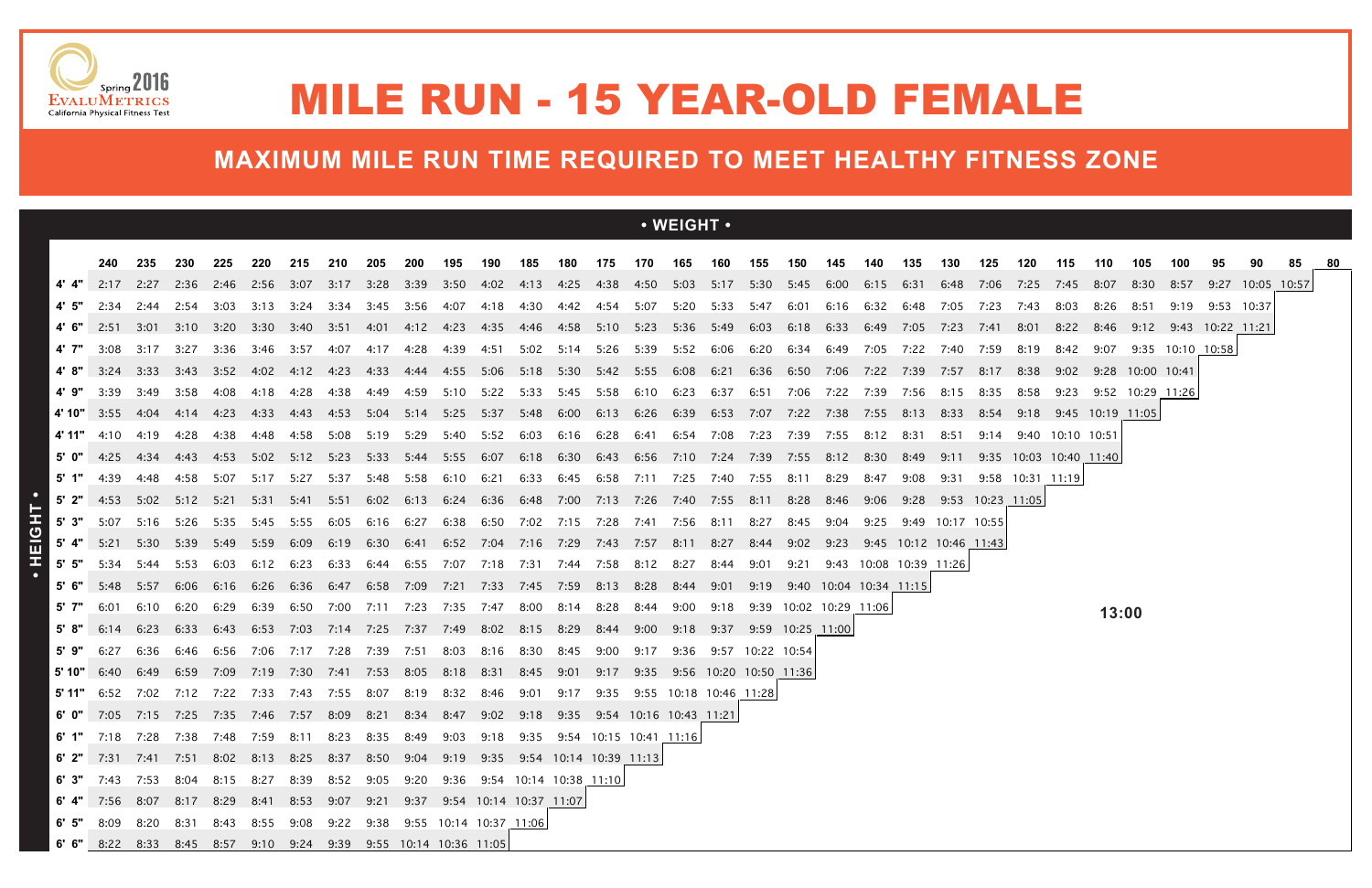|            |                                                                                                                                                   |                       |      |             |                  |       |                                                                       |                |           |      |      |                               |                |           |      | • WEIGHT •                                                                                            |           |                        |                        |           |                             |                        |                  |      |                  |                                |             |                       |                  |            |                  |  |
|------------|---------------------------------------------------------------------------------------------------------------------------------------------------|-----------------------|------|-------------|------------------|-------|-----------------------------------------------------------------------|----------------|-----------|------|------|-------------------------------|----------------|-----------|------|-------------------------------------------------------------------------------------------------------|-----------|------------------------|------------------------|-----------|-----------------------------|------------------------|------------------|------|------------------|--------------------------------|-------------|-----------------------|------------------|------------|------------------|--|
|            |                                                                                                                                                   |                       |      |             |                  |       |                                                                       |                |           |      |      |                               |                |           |      |                                                                                                       |           |                        |                        |           |                             |                        |                  |      |                  |                                |             |                       | 100              |            | 90               |  |
|            | 240                                                                                                                                               | 235<br>2:17 2:27 2:36 | 230  | 225<br>2:46 | 220<br>2:56 3:07 | 215   | 210<br>3:17 3:28 3:39                                                 | 205            | 200       | 195  | 190  | 185                           | 180            | 175       | 170  | 165<br>3:50 4:02 4:13 4:25 4:38 4:50 5:03 5:17 5:30 5:45 6:00 6:15                                    | 160       | 155                    | 150                    | 145       | 140                         | 135<br>6:31            | 130<br>6:48 7:06 | 125  | 120              | 115<br>7:25  7:45              | 110<br>8:07 | 105<br>8:30           | 8:57             | 95         | 9:27 10:05 10:57 |  |
|            | 2:34                                                                                                                                              | 2:44                  | 2:54 | 3:03        | 3:13             | 3:24  | - 3:34                                                                | 3:45           | 3:56      | 4:07 | 4:18 | 4:30                          |                |           |      | 4:42  4:54  5:07  5:20                                                                                | 5:33 5:47 |                        | 6:01                   | 6:16 6:32 |                             | 6:48                   | 7:05 7:23        |      | 7:43             | 8:03                           | 8:26        | 8:51                  | 9:19             | 9:53 10:37 |                  |  |
|            | 2:51                                                                                                                                              | 3:01 3:10             |      |             | 3:20 3:30 3:40   |       |                                                                       |                |           | 4:23 |      |                               |                |           |      | 4:35 4:46 4:58 5:10 5:23 5:36 5:49 6:03                                                               |           |                        | 6:18 6:33 6:49         |           |                             | 7:05                   | 7:23             | 7:41 | 8:01             |                                | 8:22 8:46   | 9:12 9:43 10:22 11:21 |                  |            |                  |  |
| 4' 7"      | 3:08                                                                                                                                              | 3:17                  | 3:27 | -3:36       | 3:46             | -3:57 | 4:07                                                                  | 4:17           | 4:28      | 4:39 | 4:51 | 5:02                          | 5:14 5:26 5:39 |           |      | 5:52 6:06 6:20                                                                                        |           |                        | 6:34                   | 6:49      | 7:05                        | 7:22                   | 7:40             | 7:59 | 8:19             | 8:42                           | 9:07        |                       | 9:35 10:10 10:58 |            |                  |  |
|            | 3:24                                                                                                                                              | 3:33                  |      |             |                  |       |                                                                       |                | 4:33 4:44 |      |      |                               |                |           |      | 4:55 5:06 5:18 5:30 5:42 5:55 6:08 6:21 6:36 6:50 7:06 7:22 7:39 7:57 8:17 8:38 9:02 9:28 10:00 10:41 |           |                        |                        |           |                             |                        |                  |      |                  |                                |             |                       |                  |            |                  |  |
| 4'9"       | 3:39                                                                                                                                              | 3:49                  | 3:58 | 4:08        | 4:18             | 4:28  | 4:38                                                                  | 4:49           | 4:59      | 5:10 |      | 5:22 5:33 5:45 5:58 6:10      |                |           |      | 6:23                                                                                                  | 6:37      | 6:51                   | 7:06 7:22 7:39         |           |                             | 7:56                   | 8:15             | 8:35 | 8:58             |                                |             | 9:23 9:52 10:29 11:26 |                  |            |                  |  |
|            | $4'10''$ 3:55                                                                                                                                     |                       |      |             |                  |       | 4:04 4:14 4:23 4:33 4:43 4:53 5:04 5:14 5:25 5:37 5:48 6:00 6:13 6:26 |                |           |      |      |                               |                |           |      |                                                                                                       |           |                        |                        |           |                             | 8:13                   | 8:33             |      |                  | 8:54  9:18  9:45  10:19  11:05 |             |                       |                  |            |                  |  |
| 4' 11"     | 4:10                                                                                                                                              | 4:19                  | 4:28 | 4:38        | 4:48             | 4:58  | 5:08                                                                  | 5:19           | 5:29      | 5:40 | 5:52 | 6:03                          |                | 6:16 6:28 | 6:41 | 6:54 7:08                                                                                             |           | 7:23                   | 7:39                   | 7:55      | 8:12                        | 8:31                   | 8:51             | 9:14 |                  | 9:40 10:10 10:51               |             |                       |                  |            |                  |  |
|            |                                                                                                                                                   | 4:25 4:34 4:43 4:53   |      |             |                  |       | 5:02 5:12 5:23 5:33 5:44 5:55 6:07                                    |                |           |      |      |                               |                |           |      | 6:18 6:30 6:43 6:56 7:10 7:24 7:39                                                                    |           |                        | 7:55 8:12              |           | 8:30                        | 8:49                   | 9:11             |      |                  | 9:35 10:03 10:40 11:40         |             |                       |                  |            |                  |  |
| 5' 1"      | 4:39                                                                                                                                              | 4:48                  | 4:58 | 5:07        | 5:17             | 5:27  | 5:37                                                                  |                | 5:48 5:58 | 6:10 | 6:21 | 6:33                          |                |           |      | 6:45 6:58 7:11 7:25 7:40 7:55 8:11                                                                    |           |                        |                        | 8:29      | 8:47                        | 9:08                   | 9:31             |      | 9:58 10:31 11:19 |                                |             |                       |                  |            |                  |  |
|            | $5'$ 2" 4:53                                                                                                                                      | 5:02 5:12             |      | 5:21        | 5:31             | 5:41  | 5:51                                                                  | 6:02           | 6:13      |      |      | 6:24 6:36 6:48 7:00 7:13 7:26 |                |           |      | 7:40 7:55 8:11                                                                                        |           |                        | 8:28                   | 8:46      | 9:06                        | 9:28                   | 9:53 10:23 11:05 |      |                  |                                |             |                       |                  |            |                  |  |
| $5'$ 3"    | 5:07                                                                                                                                              | 5:16                  | 5:26 | 5:35        | 5:45             | 5:55  | 6:05                                                                  | 6:16           | 6:27      | 6:38 | 6:50 | 7:02                          | 7:15           | 7:28      | 7:41 | 7:56                                                                                                  | 8:11      | 8:27                   | 8:45                   |           | 9:25                        | 9:49                   | 10:17 10:55      |      |                  |                                |             |                       |                  |            |                  |  |
|            | 5:21                                                                                                                                              | 5:30                  | 5:39 | 5:49        | 5:59             | 6:09  | 6:19                                                                  | 6:30           | 6:41      | 6:52 | 7:04 | 7:16                          | 7:29 7:43 7:57 |           |      | 8:11 8:27                                                                                             |           | 8:44                   | 9:02                   | 9:23      |                             | 9:45 10:12 10:46 11:43 |                  |      |                  |                                |             |                       |                  |            |                  |  |
| $5'$ $5''$ | 5:34                                                                                                                                              | 5:44                  | 5:53 | 6:03        | 6:12             | 6:23  | 6:33                                                                  | 6:44           | 6:55      | 7:07 | 7:18 | 7:31                          | 7:44           | 7:58      | 8:12 | 8:27                                                                                                  | 8:44      | 9:01                   | 9:21                   |           | 9:43 10:08 10:39 11:26      |                        |                  |      |                  |                                |             |                       |                  |            |                  |  |
| 5'6"       | 5:48                                                                                                                                              | 5:57                  | 6:06 | 6:16        | 6:26             | 6:36  | 6:47 6:58 7:09                                                        |                |           | 7:21 |      | 7:33 7:45 7:59 8:13 8:28      |                |           |      | 8:44                                                                                                  | 9:01      |                        |                        |           | 9:19 9:40 10:04 10:34 11:15 |                        |                  |      |                  |                                |             |                       |                  |            |                  |  |
| 5' 7"      | 6:01                                                                                                                                              | 6:10                  | 6:20 | 6:29        | 6:39             | 6:50  |                                                                       | 7:00 7:11 7:23 |           | 7:35 | 7:47 | 8:00                          | 8:14 8:28      |           | 8:44 | 9:00                                                                                                  | 9:18      |                        | 9:39 10:02 10:29 11:06 |           |                             |                        |                  |      |                  |                                | 13:00       |                       |                  |            |                  |  |
| 5'8"       | 6:14                                                                                                                                              | 6:23                  | 6:33 | 6:43        | 6:53             | 7:03  |                                                                       | 7:14 7:25 7:37 |           | 7:49 | 8:02 | 8:15                          | 8:29           | 8:44      | 9:00 | 9:18                                                                                                  | 9:37      | 9:59 10:25 11:00       |                        |           |                             |                        |                  |      |                  |                                |             |                       |                  |            |                  |  |
| 5' 9"      | 6:27                                                                                                                                              | 6:36                  | 6:46 | 6:56        | 7:06             | 7:17  | 7:28                                                                  | 7:39           | 7:51      | 8:03 | 8:16 | 8:30                          | 8:45           | 9:00      | 9:17 | 9:36                                                                                                  |           | 9:57 10:22 10:54       |                        |           |                             |                        |                  |      |                  |                                |             |                       |                  |            |                  |  |
|            | 6:40                                                                                                                                              | 6:49 6:59             |      | 7:09 7:19   |                  | 7:30  | 7:41                                                                  | 7:53 8:05      |           | 8:18 | 8:31 | 8:45                          | - 9:01         | 9:17      | 9:35 |                                                                                                       |           | 9:56 10:20 10:50 11:36 |                        |           |                             |                        |                  |      |                  |                                |             |                       |                  |            |                  |  |
|            | <b>5' 11"</b> 6:52 7:02 7:12 7:22 7:33 7:43 7:55 8:07 8:19 8:32 8:46 9:01                                                                         |                       |      |             |                  |       |                                                                       |                |           |      |      |                               |                |           |      | 9:17    9:35    9:55    10:18    10:46    11:28                                                       |           |                        |                        |           |                             |                        |                  |      |                  |                                |             |                       |                  |            |                  |  |
|            | 6' 0" 7:05 7:15 7:25 7:35 7:46 7:57 8:09 8:21 8:34 8:47 9:02 9:18 9:35 9:54 10:16 10:43 11:21                                                     |                       |      |             |                  |       |                                                                       |                |           |      |      |                               |                |           |      |                                                                                                       |           |                        |                        |           |                             |                        |                  |      |                  |                                |             |                       |                  |            |                  |  |
|            | 6' 1" 7:18 7:28 7:38 7:48 7:59 8:11 8:23 8:35 8:49 9:03 9:18 9:35 9:54 10:15 10:41 11:16                                                          |                       |      |             |                  |       |                                                                       |                |           |      |      |                               |                |           |      |                                                                                                       |           |                        |                        |           |                             |                        |                  |      |                  |                                |             |                       |                  |            |                  |  |
|            | 6' 2" 7:31 7:41 7:51 8:02 8:13 8:25 8:37 8:50 9:04 9:19 9:35 9:54 10:14 10:39 11:13                                                               |                       |      |             |                  |       |                                                                       |                |           |      |      |                               |                |           |      |                                                                                                       |           |                        |                        |           |                             |                        |                  |      |                  |                                |             |                       |                  |            |                  |  |
|            | 6' 3" 7:43 7:53 8:04 8:15 8:27 8:39 8:52 9:05 9:20 9:36 9:54 10:14 10:38 11:10                                                                    |                       |      |             |                  |       |                                                                       |                |           |      |      |                               |                |           |      |                                                                                                       |           |                        |                        |           |                             |                        |                  |      |                  |                                |             |                       |                  |            |                  |  |
|            | 6' 4" 7:56 8:07 8:17 8:29 8:41 8:53 9:07 9:21 9:37 9:54 10:14 10:37 11:07<br>6' 5" 8:09 8:20 8:31 8:43 8:55 9:08 9:22 9:38 9:55 10:14 10:37 11:06 |                       |      |             |                  |       |                                                                       |                |           |      |      |                               |                |           |      |                                                                                                       |           |                        |                        |           |                             |                        |                  |      |                  |                                |             |                       |                  |            |                  |  |
|            | 6' 6" 8:22 8:33 8:45 8:57 9:10 9:24 9:39 9:55 10:14 10:36 11:05                                                                                   |                       |      |             |                  |       |                                                                       |                |           |      |      |                               |                |           |      |                                                                                                       |           |                        |                        |           |                             |                        |                  |      |                  |                                |             |                       |                  |            |                  |  |





## MILE RUN - 15 YEAR-OLD FEMALE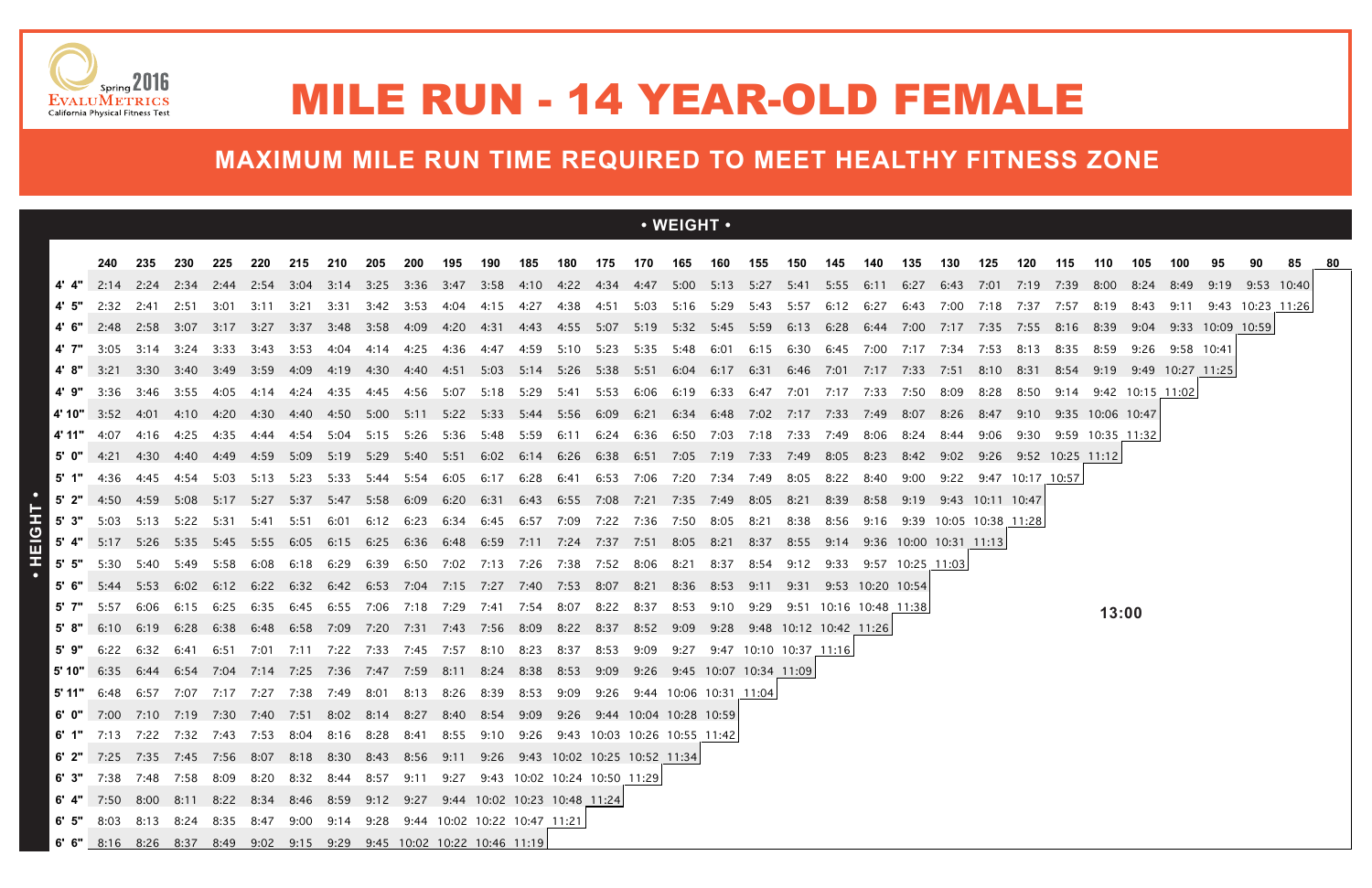|            |                                                                                                |                |              |           |                                       |      |                     |                |           |                                                        |                        |            |                        |           |           | $\cdot$ WEIGHT $\cdot$                                                                                        |           |      |                        |                             |                             |      |                        |                  |                       |                                 |                       |      |                        |    |                  |  |
|------------|------------------------------------------------------------------------------------------------|----------------|--------------|-----------|---------------------------------------|------|---------------------|----------------|-----------|--------------------------------------------------------|------------------------|------------|------------------------|-----------|-----------|---------------------------------------------------------------------------------------------------------------|-----------|------|------------------------|-----------------------------|-----------------------------|------|------------------------|------------------|-----------------------|---------------------------------|-----------------------|------|------------------------|----|------------------|--|
|            | 240                                                                                            | 235            | 230          | 225       | 220                                   | 215  | 210                 | 205            | 200       | 195                                                    | 190                    | 185        | 180                    |           |           | 175 170 165 160 155                                                                                           |           |      | 150                    | 145                         | 140                         | 135  | 130                    | 125              | 120                   | 115                             | 110                   | 105  | 100                    | 95 | 90.              |  |
|            |                                                                                                |                |              |           |                                       |      |                     |                |           |                                                        |                        |            |                        |           |           | 2:14 2:24 2:34 2:44 2:54 3:04 3:14 3:25 3:36 3:47 3:58 4:10 4:22 4:34 4:47 5:00 5:13 5:27 5:41 5:55 6:11 6:27 |           |      |                        |                             |                             |      |                        |                  |                       | 6:43 7:01 7:19 7:39 8:00        |                       | 8:24 | 8:49 9:19 9:53 10:40   |    |                  |  |
|            | 2:32                                                                                           | 2:41           |              |           | 2:51 3:01 3:11 3:21 3:31 3:42 3:53    |      |                     |                |           | 4:04                                                   |                        |            |                        |           |           | 4:15 4:27 4:38 4:51 5:03 5:16 5:29 5:43 5:57 6:12 6:27                                                        |           |      |                        |                             |                             |      |                        |                  |                       | 6:43 7:00 7:18 7:37 7:57 8:19   |                       | 8:43 | 9:11                   |    | 9:43 10:23 11:26 |  |
|            |                                                                                                | 2:48 2:58 3:07 |              |           | 3:17 3:27 3:37 3:48 3:58 4:09         |      |                     |                |           | 4:20                                                   |                        |            |                        |           |           | 4:31  4:43  4:55  5:07  5:19  5:32  5:45  5:59  6:13  6:28  6:44                                              |           |      |                        |                             |                             |      | 7:00 7:17 7:35         |                  |                       | 7:55 8:16 8:39                  |                       |      | 9:04 9:33 10:09 10:591 |    |                  |  |
| 4' 7"      | 3:05                                                                                           | 3:14           | -3:24        | 3:33      | 3:43                                  | 3:53 | 4:04                | 4:14           | 4:25      | 4:36                                                   | 4:47                   | 4:59       | 5:10                   |           | 5:23 5:35 | 5:48                                                                                                          | 6:01      | 6:15 | 6:30                   | 6:45 7:00                   |                             | 7:17 | 7:34                   | 7:53             | 8:13                  | 8:35                            | 8:59                  | 9:26 | 9:58 10:41             |    |                  |  |
|            | 3:21                                                                                           |                |              |           | 3:30 3:40 3:49 3:59 4:09              |      |                     |                |           | 4:51                                                   |                        |            |                        |           |           | 5:03 5:14 5:26 5:38 5:51 6:04 6:17 6:31 6:46 7:01 7:17 7:33                                                   |           |      |                        |                             |                             |      | 7:51 8:10              |                  | 8:31                  | 8:54                            | 9:19                  |      | 9:49 10:27 11:25       |    |                  |  |
|            | 3:36                                                                                           | 3:46           | 3:55         | 4:05      | 4:14                                  | 4:24 | 4:35                | 4:45 4:56      |           | 5:07                                                   | 5:18 5:29              |            |                        |           |           | 5:41 5:53 6:06 6:19                                                                                           | 6:33 6:47 |      |                        | 7:01 7:17 7:33              |                             | 7:50 | 8:09                   | 8:28             | 8:50                  |                                 | 9:14 9:42 10:15 11:02 |      |                        |    |                  |  |
|            | <b>4' 10"</b> 3:52                                                                             | -4:01          | 4:10 4:20    |           |                                       |      |                     |                |           |                                                        |                        |            |                        |           |           | 4:30 4:40 4:50 5:00 5:11 5:22 5:33 5:44 5:56 6:09 6:21 6:34 6:48 7:02 7:17 7:33 7:49                          |           |      |                        |                             |                             | 8:07 |                        |                  |                       | 8:26 8:47 9:10 9:35 10:06 10:47 |                       |      |                        |    |                  |  |
| 4' 11"     | 4:07                                                                                           | 4:16           | 4:25         | 4:35      | 4:44                                  | 4:54 | 5:04                | 5:15 5:26      |           |                                                        |                        |            |                        |           |           | 5:36 5:48 5:59 6:11 6:24 6:36 6:50 7:03 7:18 7:33 7:49 8:06                                                   |           |      |                        |                             |                             | 8:24 | 8:44 9:06              |                  |                       | 9:30 9:59 10:35 11:32           |                       |      |                        |    |                  |  |
| 5'0"       | 4:21                                                                                           | 4:30           | 4:40         | 4:49      | 4:59                                  | 5:09 | 5:19 5:29 5:40      |                |           | 5:51                                                   |                        |            |                        |           |           | 6:02 6:14 6:26 6:38 6:51 7:05 7:19 7:33 7:49                                                                  |           |      |                        | 8:05 8:23                   |                             | 8:42 |                        |                  |                       | 9:02 9:26 9:52 10:25 11:12      |                       |      |                        |    |                  |  |
|            | 4:36                                                                                           | 4:45           | 4:54         | 5:03      | 5:13                                  | 5:23 | 5:33                | 5:44 5:54      |           | 6:05                                                   | 6:17                   | 6:28       | 6:41                   |           |           | 6:53 7:06 7:20 7:34 7:49                                                                                      |           |      | 8:05                   | 8:22                        | 8:40                        | 9:00 |                        |                  | 9:22 9:47 10:17 10:57 |                                 |                       |      |                        |    |                  |  |
|            | $5'$ 2" 4:50 4:59                                                                              |                | 5:08         | 5:17      | 5:27                                  | 5:37 | 5:47 5:58           |                | 6:09      | 6:20                                                   | 6:31                   |            |                        |           |           | 6:43 6:55 7:08 7:21 7:35 7:49 8:05                                                                            |           |      | 8:21                   | 8:39                        | 8:58                        | 9:19 |                        | 9:43 10:11 10:47 |                       |                                 |                       |      |                        |    |                  |  |
| 5' 3"      | 5:03                                                                                           |                |              |           | 5:13 5:22 5:31 5:41                   | 5:51 |                     | 6:01 6:12 6:23 |           |                                                        |                        |            |                        |           |           | 6:34 6:45 6:57 7:09 7:22 7:36 7:50 8:05 8:21                                                                  |           |      | 8:38                   | 8:56 9:16                   |                             |      | 9:39 10:05 10:38 11:28 |                  |                       |                                 |                       |      |                        |    |                  |  |
|            | 5' 4" 5:17 5:26 5:35                                                                           |                |              |           | 5:45 5:55                             | 6:05 | 6:15 6:25           |                | 6:36      |                                                        |                        |            |                        |           |           | 6:48 6:59 7:11 7:24 7:37 7:51 8:05 8:21 8:37                                                                  |           |      | 8:55                   |                             | 9:14 9:36 10:00 10:31 11:13 |      |                        |                  |                       |                                 |                       |      |                        |    |                  |  |
| $5'$ $5''$ | 5:30                                                                                           | 5:40           | 5:49         | 5:58      | 6:08                                  | 6:18 | 6:29                |                | 6:39 6:50 | 7:02 7:13 7:26 7:38 7:52 8:06                          |                        |            |                        |           |           | 8:21                                                                                                          | 8:37      | 8:54 | 9:12                   |                             | 9:33 9:57 10:25 11:03       |      |                        |                  |                       |                                 |                       |      |                        |    |                  |  |
|            | 5:44                                                                                           | 5:53           | 6:02         | 6:12      | 6:22                                  | 6:32 |                     | 6:42 6:53 7:04 |           |                                                        |                        |            |                        |           |           | 7:15 7:27 7:40 7:53 8:07 8:21 8:36 8:53 9:11                                                                  |           |      | 9:31                   |                             | 9:53 10:20 10:54            |      |                        |                  |                       |                                 |                       |      |                        |    |                  |  |
| 5' 7"      | 5:57                                                                                           | 6:06           | 6:15         | 6:25      | 6:35                                  | 6:45 |                     |                |           | 6:55 7:06 7:18 7:29 7:41                               |                        | 7:54  8:07 |                        | 8:22 8:37 |           | 8:53                                                                                                          | 9:10      | 9:29 |                        | 9:51 10:16 10:48 11:38      |                             |      |                        |                  |                       |                                 | 13:00                 |      |                        |    |                  |  |
| 5'9"       | 6:10<br>6:22                                                                                   | 6:19           | 6:28         | 6:38      | 6:48                                  |      | 7:11 7:22 7:33 7:45 |                |           | 6:58 7:09 7:20 7:31 7:43 7:56 8:09 8:22 8:37 8:52 9:09 |                        |            |                        |           |           |                                                                                                               |           |      | 9:47 10:10 10:37 11:16 | 9:28 9:48 10:12 10:42 11:26 |                             |      |                        |                  |                       |                                 |                       |      |                        |    |                  |  |
| 5' 10"     | 6:35                                                                                           | 6:32<br>6:44   | 6:41<br>6:54 | 6:51      | 7:01<br>7:04 7:14 7:25 7:36 7:47 7:59 |      |                     |                |           | 7:57<br>8:11                                           | 8:10 8:23<br>8:24 8:38 |            | 8:37<br>8:53 9:09 9:26 | 8:53      | 9:09      | 9:27<br>9:45 10:07 10:34 11:09                                                                                |           |      |                        |                             |                             |      |                        |                  |                       |                                 |                       |      |                        |    |                  |  |
| 5' 11"     | 6:48                                                                                           | 6:57           | 7:07         | 7:17 7:27 |                                       | 7:38 | 7:49                | 8:01           | 8:13      | 8:26                                                   | 8:39                   | 8:53       | 9:09                   |           |           | 9:26 9:44 10:06 10:31 11:04                                                                                   |           |      |                        |                             |                             |      |                        |                  |                       |                                 |                       |      |                        |    |                  |  |
|            | 6' 0" 7:00 7:10 7:19 7:30 7:40 7:51 8:02 8:14 8:27 8:40 8:54 9:09 9:26 9:44 10:04 10:28 10:59  |                |              |           |                                       |      |                     |                |           |                                                        |                        |            |                        |           |           |                                                                                                               |           |      |                        |                             |                             |      |                        |                  |                       |                                 |                       |      |                        |    |                  |  |
|            | 6' 1" 7:13 7:22 7:32 7:43 7:53 8:04 8:16 8:28 8:41 8:55 9:10 9:26 9:43 10:03 10:26 10:55 11:42 |                |              |           |                                       |      |                     |                |           |                                                        |                        |            |                        |           |           |                                                                                                               |           |      |                        |                             |                             |      |                        |                  |                       |                                 |                       |      |                        |    |                  |  |
|            | 6' 2" 7:25 7:35 7:45 7:56 8:07 8:18 8:30 8:43 8:56 9:11 9:26 9:43 10:02 10:25 10:52 11:34      |                |              |           |                                       |      |                     |                |           |                                                        |                        |            |                        |           |           |                                                                                                               |           |      |                        |                             |                             |      |                        |                  |                       |                                 |                       |      |                        |    |                  |  |
|            | 6' 3" 7:38 7:48 7:58 8:09 8:20 8:32 8:44 8:57 9:11 9:27 9:43 10:02 10:24 10:50 11:29           |                |              |           |                                       |      |                     |                |           |                                                        |                        |            |                        |           |           |                                                                                                               |           |      |                        |                             |                             |      |                        |                  |                       |                                 |                       |      |                        |    |                  |  |
|            | 6' 4" 7:50 8:00 8:11 8:22 8:34 8:46 8:59 9:12 9:27 9:44 10:02 10:23 10:48 11:24                |                |              |           |                                       |      |                     |                |           |                                                        |                        |            |                        |           |           |                                                                                                               |           |      |                        |                             |                             |      |                        |                  |                       |                                 |                       |      |                        |    |                  |  |
|            | 6' 5" 8:03 8:13 8:24 8:35 8:47 9:00 9:14 9:28 9:44 10:02 10:22 10:47 11:21                     |                |              |           |                                       |      |                     |                |           |                                                        |                        |            |                        |           |           |                                                                                                               |           |      |                        |                             |                             |      |                        |                  |                       |                                 |                       |      |                        |    |                  |  |
|            | 6' 6" 8:16 8:26 8:37 8:49 9:02 9:15 9:29 9:45 10:02 10:22 10:46 11:19                          |                |              |           |                                       |      |                     |                |           |                                                        |                        |            |                        |           |           |                                                                                                               |           |      |                        |                             |                             |      |                        |                  |                       |                                 |                       |      |                        |    |                  |  |



## MILE RUN - 14 YEAR-OLD FEMALE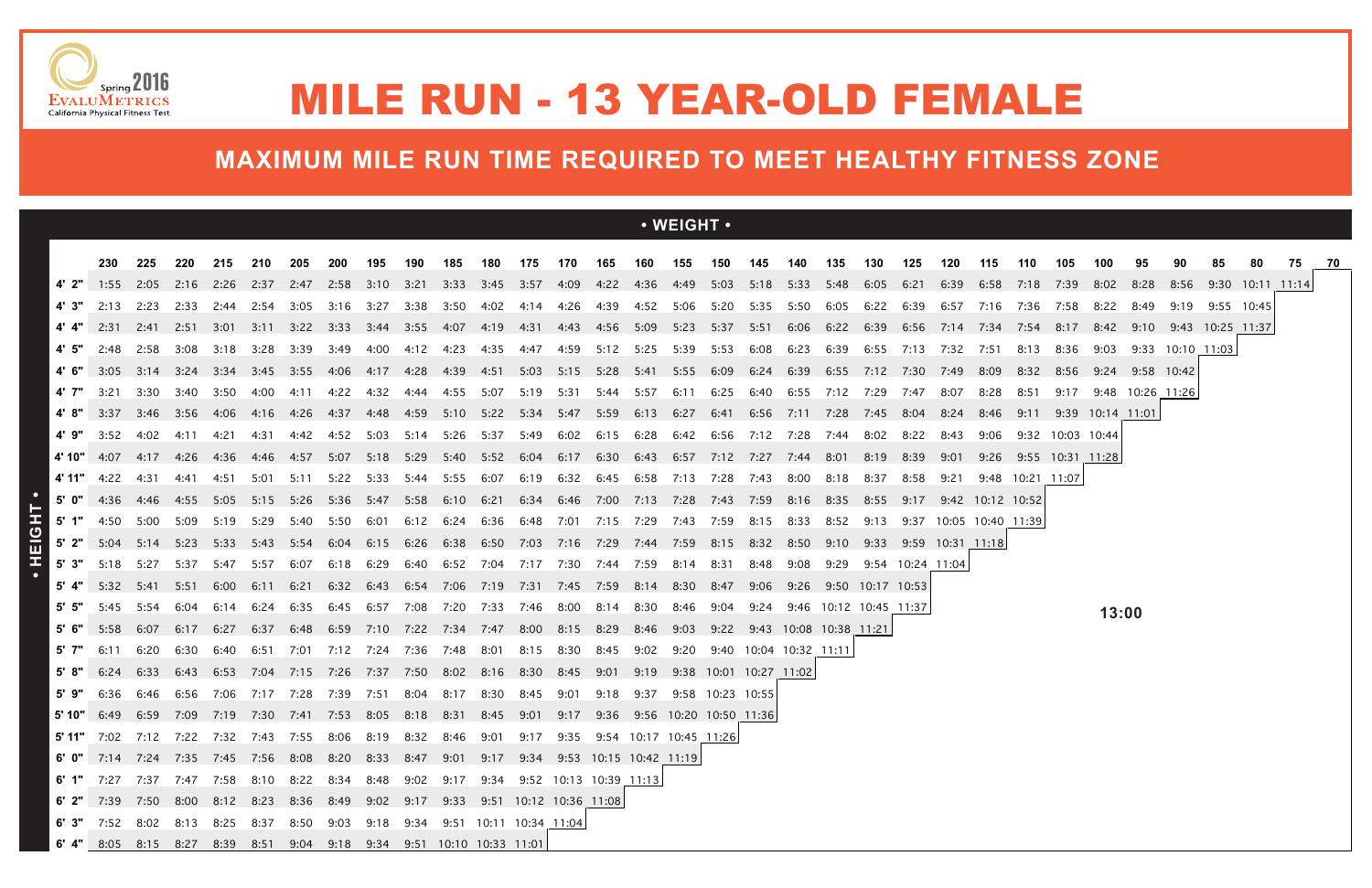|           |                                                                                                       |                                 |                |        |       |      |                                                                                                                                          |                |           |            |                |           |           |      |                | $\cdot$ WEIGHT $\cdot$                                           |      |                          |                |      |                        |                  |                   |                  |                  |                                 |                       |                 |                               |                 |                             |  |
|-----------|-------------------------------------------------------------------------------------------------------|---------------------------------|----------------|--------|-------|------|------------------------------------------------------------------------------------------------------------------------------------------|----------------|-----------|------------|----------------|-----------|-----------|------|----------------|------------------------------------------------------------------|------|--------------------------|----------------|------|------------------------|------------------|-------------------|------------------|------------------|---------------------------------|-----------------------|-----------------|-------------------------------|-----------------|-----------------------------|--|
|           |                                                                                                       |                                 |                |        |       |      |                                                                                                                                          |                |           |            |                |           |           |      |                |                                                                  |      |                          |                |      |                        |                  |                   |                  |                  |                                 |                       |                 |                               |                 |                             |  |
|           | 230                                                                                                   | 225<br>1:55 2:05 2:16 2:26 2:37 | 220            | 215    | 210   | 205  | <b>200</b><br>2:47 2:58 3:10 3:21 3:33 3:45 3:57 4:09 4:22 4:36 4:49 5:03 5:18 5:33 5:48 6:05                                            | 195            | 190       | 185        | 180            | 175       | 170       | 165  | 160            | 155                                                              | 150  | 145                      | 140            | 135  | 130                    | 125<br>6:21      | 120               | 115              | 110              | 105<br>6:39 6:58 7:18 7:39 8:02 | 100                   | 95<br>8:28      |                               |                 | 80<br>8:56 9:30 10:11 11:14 |  |
| 4' 3"     | 2:13                                                                                                  | 2:23 2:33                       |                | 2:44   | 2:54  |      | 3:05 3:16                                                                                                                                | 3:27           | 3:38      | 3:50       |                |           |           |      |                | 4:02 4:14 4:26 4:39 4:52 5:06 5:20 5:35 5:50 6:05 6:22           |      |                          |                |      |                        | 6:39             | 6:57              | 7:16             | 7:36             | 7:58                            | 8:22                  | 8:49            |                               | 9:19 9:55 10:45 |                             |  |
|           | 2:31                                                                                                  |                                 | 2:41 2:51 3:01 |        | 3:11  |      | 3:22 3:33 3:44 3:55 4:07                                                                                                                 |                |           |            | 4:19           |           |           |      |                | 4:31 4:43 4:56 5:09 5:23 5:37 5:51                               |      |                          | 6:06 6:22 6:39 |      |                        | 6:56             | 7:14              | 7:34             |                  | 7:54 8:17 8:42                  |                       |                 | $9:10$ $9:43$ $10:25$ $11:37$ |                 |                             |  |
| 4' 5"     | 2:48                                                                                                  | 2:58                            | 3:08           | 3:18   | 3:28  | 3:39 | 3:49                                                                                                                                     | 4:00           | 4:12      | 4:23       | 4:35           | 4:47      | 4:59      | 5:12 | 5:25           | 5:39                                                             | 5:53 | 6:08                     | 6:23           | 6:39 | 6:55                   | 7:13             | 7:32              | 7:51             | 8:13             | 8:36                            | 9:03                  |                 | 9:33 10:10 11:03              |                 |                             |  |
|           | 3:05                                                                                                  |                                 |                |        |       |      | 3:14 3:24 3:34 3:45 3:55 4:06 4:17 4:28                                                                                                  |                |           | 4:39       |                |           |           |      |                | 4:51 5:03 5:15 5:28 5:41 5:55 6:09 6:24 6:39 6:55 7:12 7:30      |      |                          |                |      |                        |                  | 7:49              | 8:09             | 8:32             | 8:56                            |                       | 9:24 9:58 10:42 |                               |                 |                             |  |
| 4' 7"     | - 3:21                                                                                                |                                 | 3:30 3:40 3:50 |        | 4:00  | 4:11 | 4:22                                                                                                                                     | 4:32           | 4:44      | 4:55       | 5:07           | 5:19 5:31 |           |      | 5:44 5:57      | 6:11                                                             |      | 6:25 6:40 6:55 7:12 7:29 |                |      |                        | 7:47             | 8:07              | 8:28             | 8:51             |                                 | 9:17 9:48 10:26 11:26 |                 |                               |                 |                             |  |
|           | 4' 8" $3:37$                                                                                          |                                 |                |        |       |      | 3:46 3:56 4:06 4:16 4:26 4:37 4:48 4:59 5:10 5:22 5:34 5:47 5:59 6:13 6:27 6:41 6:56 7:11 7:28 7:45 8:04 8:24 8:46 9:11 9:39 10:14 11:01 |                |           |            |                |           |           |      |                |                                                                  |      |                          |                |      |                        |                  |                   |                  |                  |                                 |                       |                 |                               |                 |                             |  |
| 4'9"      | 3:52                                                                                                  | 4:02                            | 4:11           | -4:21  | 4:31  | 4:42 | 4:52                                                                                                                                     |                | 5:03 5:14 | 5:26       | 5:37           | 5:49      |           |      |                | 6:02 6:15 6:28 6:42 6:56 7:12 7:28 7:44                          |      |                          |                |      | 8:02                   | 8:22             | 8:43              | 9:06             |                  | 9:32 10:03 10:44                |                       |                 |                               |                 |                             |  |
|           | <b>4' 10"</b> 4:07 4:17 4:26                                                                          |                                 |                |        |       |      |                                                                                                                                          |                |           |            |                |           |           |      |                | 5:40  5:52  6:04  6:17  6:30  6:43  6:57  7:12  7:27  7:44  8:01 |      |                          |                |      | 8:19                   | 8:39             | 9:01              | 9:26             |                  | 9:55 10:31 11:28                |                       |                 |                               |                 |                             |  |
| 4' 11"    | 4:22                                                                                                  | 4:31                            | 4:41           | 4:51   | 5:01  | 5:11 | 5:22 5:33                                                                                                                                |                | 5:44      | 5:55       | 6:07           | 6:19      |           |      |                | 6:32 6:45 6:58 7:13 7:28                                         |      | 7:43                     | 8:00           | 8:18 | 8:37                   | 8:58             | 9:21              |                  | 9:48 10:21 11:07 |                                 |                       |                 |                               |                 |                             |  |
|           | 5' $0''$ 4:36 4:46 4:55                                                                               |                                 |                | 5:05   | 5:15  | 5:26 | 5:36 5:47                                                                                                                                |                | 5:58      |            |                |           |           |      |                | 6:34 6:46 7:00 7:13 7:28 7:43 7:59 8:16 8:35                     |      |                          |                |      | 8:55                   | 9:17             |                   | 9:42 10:12 10:52 |                  |                                 |                       |                 |                               |                 |                             |  |
| $5'$ 1"   | 4:50                                                                                                  | 5:00                            | 5:09           | 5:19   | 5:29  |      | 5:40 5:50                                                                                                                                | 6:01           | 6:12      |            | 6:24 6:36 6:48 |           |           |      |                | 7:01 7:15 7:29 7:43 7:59 8:15                                    |      |                          | 8:33           | 8:52 | 9:13                   | 9:37             | 10:05 10:40 11:39 |                  |                  |                                 |                       |                 |                               |                 |                             |  |
| $5'$ 2"   | 5:04                                                                                                  | 5:14                            | 5:23           | - 5:33 | -5:43 | 5:54 | 6:04                                                                                                                                     | 6:15           | 6:26      | 6:38       |                |           |           |      |                | 6:50 7:03 7:16 7:29 7:44 7:59 8:15 8:32                          |      |                          | 8:50           | 9:10 | 9:33                   |                  | 9:59 10:31 11:18  |                  |                  |                                 |                       |                 |                               |                 |                             |  |
| $5'$ $3"$ | 5:18                                                                                                  | 5:27                            | 5:37           | -5:47  | 5:57  | 6:07 | 6:18                                                                                                                                     | 6:29           | 6:40      | 6:52       | 7:04           | 7:17      | 7:30      | 7:44 | 7:59           | 8:14                                                             | 8:31 | 8:48                     | 9:08           | 9:29 |                        | 9:54 10:24 11:04 |                   |                  |                  |                                 |                       |                 |                               |                 |                             |  |
|           | 5:32                                                                                                  | 5:41                            | 5:51           | 6:00   | 6:11  | 6:21 | 6:32                                                                                                                                     |                | 6:43 6:54 | 7:06       | 7:19           |           |           |      |                | 7:31 7:45 7:59 8:14 8:30                                         | 8:47 | 9:06                     |                |      | 9:26 9:50 10:17 10:53  |                  |                   |                  |                  |                                 |                       |                 |                               |                 |                             |  |
| 5' 5"     | 5:45                                                                                                  | 5:54                            | 6:04           |        | 6:24  | 6:35 | 6:45                                                                                                                                     | 6:57           | 7:08      | 7:20       | 7:33           | 7:46      | 8:00      |      | 8:14 8:30      | 8:46                                                             | 9:04 | 9:24                     |                |      | 9:46 10:12 10:45 11:37 |                  |                   |                  |                  |                                 | 13:00                 |                 |                               |                 |                             |  |
|           | 5:58                                                                                                  | 6:07                            | 6:17           | 6:27   | 6:37  | 6:48 |                                                                                                                                          | 6:59 7:10 7:22 |           | 7:34  7:47 |                | 8:00      | 8:15 8:29 |      | 8:46           | 9:03                                                             | 9:22 |                          |                |      |                        |                  |                   |                  |                  |                                 |                       |                 |                               |                 |                             |  |
| 5' 7"     | 6:11                                                                                                  | 6:20                            | 6:30           | 6:40   | 6:51  | 7:01 | 7:12                                                                                                                                     | 7:24           | 7:36      | 7:48       | 8:01           | 8:15      | 8:30      | 8:45 | 9:02           | 9:20                                                             |      | 9:40 10:04 10:32 11:11   |                |      |                        |                  |                   |                  |                  |                                 |                       |                 |                               |                 |                             |  |
|           | 6:24                                                                                                  | 6:33                            | 6:43           | 6:53   |       |      | 7:04 7:15 7:26 7:37 7:50 8:02 8:16 8:30                                                                                                  |                |           |            |                |           |           |      | 8:45 9:01 9:19 | 9:38 10:01 10:27 11:02                                           |      |                          |                |      |                        |                  |                   |                  |                  |                                 |                       |                 |                               |                 |                             |  |
| 5'9"      |                                                                                                       |                                 |                |        |       |      | 6:36 6:46 6:56 7:06 7:17 7:28 7:39 7:51 8:04 8:17 8:30 8:45 9:01                                                                         |                |           |            |                |           |           |      |                | 9:18 9:37 9:58 10:23 10:55                                       |      |                          |                |      |                        |                  |                   |                  |                  |                                 |                       |                 |                               |                 |                             |  |
|           | 5' 10" 6:49 6:59 7:09 7:19 7:30 7:41 7:53 8:05 8:18 8:31 8:45 9:01 9:17 9:36 9:56 10:20 10:50 11:36   |                                 |                |        |       |      |                                                                                                                                          |                |           |            |                |           |           |      |                |                                                                  |      |                          |                |      |                        |                  |                   |                  |                  |                                 |                       |                 |                               |                 |                             |  |
|           | <b>5' 11"</b> 7:02 7:12 7:22 7:32 7:43 7:55 8:06 8:19 8:32 8:46 9:01 9:17 9:35 9:54 10:17 10:45 11:26 |                                 |                |        |       |      |                                                                                                                                          |                |           |            |                |           |           |      |                |                                                                  |      |                          |                |      |                        |                  |                   |                  |                  |                                 |                       |                 |                               |                 |                             |  |
|           | 6' 0" 7:14 7:24 7:35 7:45 7:56 8:08 8:20 8:33 8:47 9:01 9:17 9:34 9:53 10:15 10:42 11:19              |                                 |                |        |       |      |                                                                                                                                          |                |           |            |                |           |           |      |                |                                                                  |      |                          |                |      |                        |                  |                   |                  |                  |                                 |                       |                 |                               |                 |                             |  |
|           | 6' 1" 7:27 7:37 7:47 7:58 8:10 8:22 8:34 8:48 9:02 9:17 9:34 9:52 10:13 10:39 11:13                   |                                 |                |        |       |      |                                                                                                                                          |                |           |            |                |           |           |      |                |                                                                  |      |                          |                |      |                        |                  |                   |                  |                  |                                 |                       |                 |                               |                 |                             |  |
|           | 6' 2" 7:39 7:50 8:00 8:12 8:23 8:36 8:49 9:02 9:17 9:33 9:51 10:12 10:36 11:08                        |                                 |                |        |       |      |                                                                                                                                          |                |           |            |                |           |           |      |                |                                                                  |      |                          |                |      |                        |                  |                   |                  |                  |                                 |                       |                 |                               |                 |                             |  |
|           | 6' 3" 7:52 8:02 8:13 8:25 8:37 8:50 9:03 9:18 9:34 9:51 10:11 10:34 11:04                             |                                 |                |        |       |      |                                                                                                                                          |                |           |            |                |           |           |      |                |                                                                  |      |                          |                |      |                        |                  |                   |                  |                  |                                 |                       |                 |                               |                 |                             |  |
|           | 6' 4" 8:05 8:15 8:27 8:39 8:51 9:04 9:18 9:34 9:51 10:10 10:33 11:01                                  |                                 |                |        |       |      |                                                                                                                                          |                |           |            |                |           |           |      |                |                                                                  |      |                          |                |      |                        |                  |                   |                  |                  |                                 |                       |                 |                               |                 |                             |  |





## MILE RUN - 13 YEAR-OLD FEMALE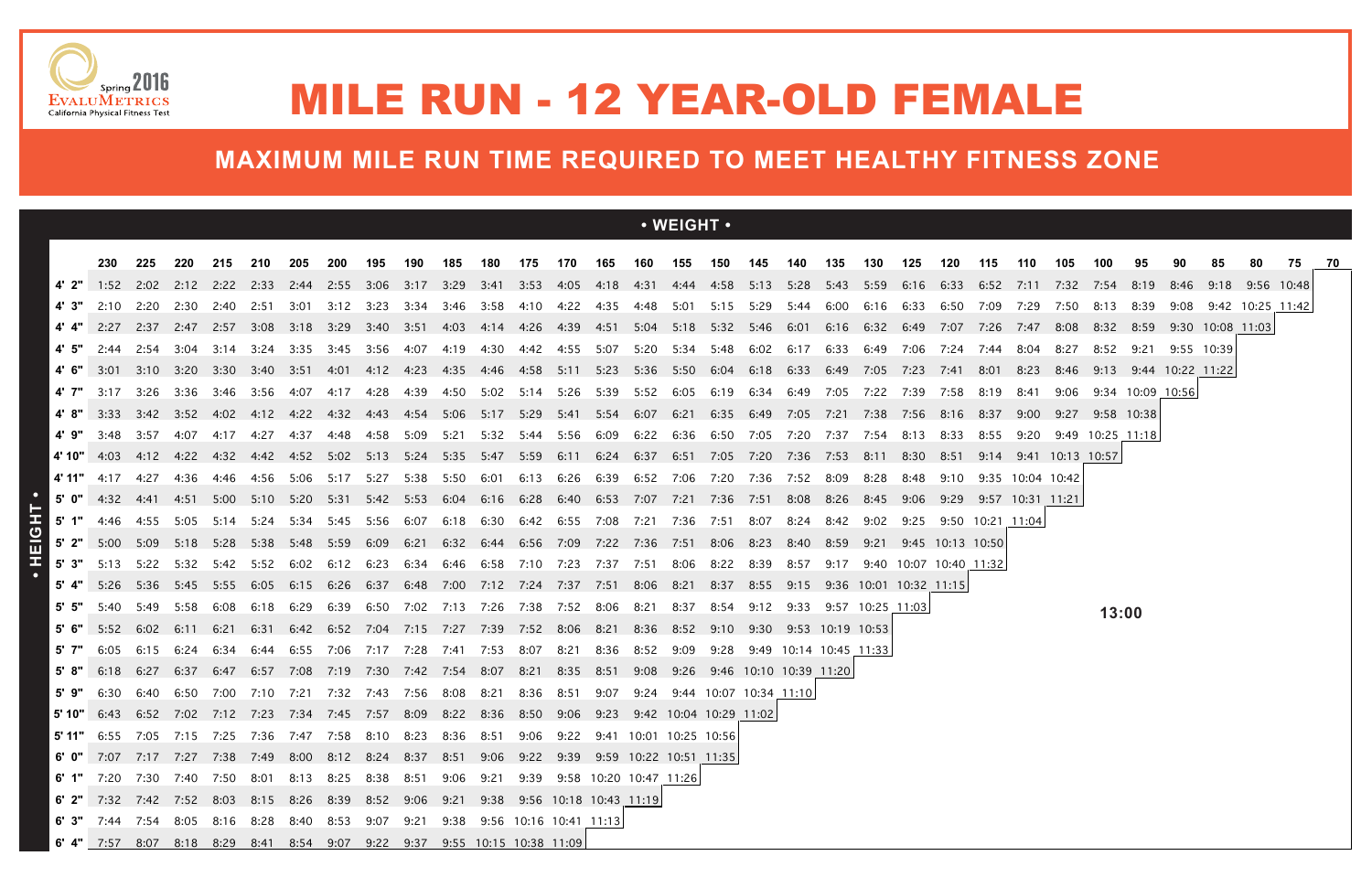|        |                                                                                                                                                                                |           |      |      |                |      |                                                   |            |      |                |                |      |                          |           |                | · WEIGHT ·                                                                                                                              |           |      |      |      |                        |      |                        |                  |                       |                       |                |                  |                            |                       |  |
|--------|--------------------------------------------------------------------------------------------------------------------------------------------------------------------------------|-----------|------|------|----------------|------|---------------------------------------------------|------------|------|----------------|----------------|------|--------------------------|-----------|----------------|-----------------------------------------------------------------------------------------------------------------------------------------|-----------|------|------|------|------------------------|------|------------------------|------------------|-----------------------|-----------------------|----------------|------------------|----------------------------|-----------------------|--|
|        | 230                                                                                                                                                                            | 225       | 220  | 215  | 210            | 205  | 200                                               | 195        | 190  | 185            | 180            | 175  | 170                      |           | 165 160        | 155                                                                                                                                     | 150 145   |      | 140  | 135  | 130                    | 125  | 120                    | 115              | 110                   | 105                   | 100            | 95               |                            | 80                    |  |
| 4' 2"  | 1:52                                                                                                                                                                           |           |      |      |                |      |                                                   |            |      |                |                |      |                          |           |                | 2:02 2:12 2:22 2:33 2:44 2:55 3:06 3:17 3:29 3:41 3:53 4:05 4:18 4:31 4:44 4:58 5:13 5:28 5:43 5:59 6:16 6:33 6:52                      |           |      |      |      |                        |      |                        |                  |                       | 7:11 7:32 7:54        |                | 8:19             |                            | 8:46 9:18 9:56 10:48  |  |
|        | 2:10                                                                                                                                                                           |           |      |      |                |      |                                                   |            |      |                |                |      |                          |           |                | 2:20 2:30 2:40 2:51 3:01 3:12 3:23 3:34 3:46 3:58 4:10 4:22 4:35 4:48 5:01 5:15 5:29 5:44 6:00 6:16 6:33 6:50 7:09 7:29                 |           |      |      |      |                        |      |                        |                  |                       |                       | 7:50 8:13 8:39 |                  |                            | 9:08 9:42 10:25 11:42 |  |
|        | 2:27                                                                                                                                                                           |           |      |      |                |      |                                                   |            |      |                |                |      |                          |           |                | 2:37 2:47 2:57 3:08 3:18 3:29 3:40 3:51 4:03 4:14 4:26 4:39 4:51 5:04 5:18 5:32 5:46 6:01 6:16 6:32 6:49                                |           |      |      |      |                        |      | 7:07 7:26              |                  | 7:47                  | 8:08 8:32             |                |                  | 8:59 9:30 10:08 11:03      |                       |  |
| 4'5"   | 2:44                                                                                                                                                                           | 2:54      | 3:04 | 3:14 | 3:24           | 3:35 | 3:45                                              | 3:56       | 4:07 | 4:19           |                |      |                          |           |                | 4:30 4:42 4:55 5:07 5:20 5:34 5:48 6:02 6:17                                                                                            |           |      |      |      | 6:33 6:49              | 7:06 | 7:24                   | 7:44             | 8:04                  | 8:27                  | 8:52           | 9:21             | 9:55 10:39                 |                       |  |
| 4'6"   | 3:01                                                                                                                                                                           | 3:10 3:20 |      | 3:30 | 3:40 3:51 4:01 |      |                                                   | 4:12  4:23 |      |                |                |      |                          |           |                | 4:35 4:46 4:58 5:11 5:23 5:36 5:50 6:04 6:18 6:33 6:49 7:05                                                                             |           |      |      |      |                        | 7:23 | 7:41                   | 8:01             | 8:23                  |                       |                |                  | 8:46 9:13 9:44 10:22 11:22 |                       |  |
| 4' 7"  | 3:17                                                                                                                                                                           | 3:26      | 3:36 | 3:46 | -3:56          | 4:07 | 4:17                                              | 4:28       | 4:39 | 4:50           | 5:02 5:14 5:26 |      |                          |           |                |                                                                                                                                         |           |      |      | 7:05 | 7:22                   | 7:39 | 7:58                   | 8:19             | 8:41                  | 9:06                  |                | 9:34 10:09 10:56 |                            |                       |  |
|        | 3:33                                                                                                                                                                           |           |      |      |                |      |                                                   |            |      |                |                |      |                          |           |                | 3:42 3:52 4:02 4:12 4:22 4:32 4:43 4:54 5:06 5:17 5:29 5:41 5:54 6:07 6:21 6:35 6:49 7:05 7:21 7:38 7:56 8:16 8:37 9:00 9:27 9:58 10:38 |           |      |      |      |                        |      |                        |                  |                       |                       |                |                  |                            |                       |  |
| 4'9"   | 3:48 3:57                                                                                                                                                                      |           | 4:07 | 4:17 | 4:27           | 4:37 | 4:48                                              | 4:58 5:09  |      | 5:21           |                |      |                          |           |                | 5:32 5:44 5:56 6:09 6:22 6:36 6:50 7:05 7:20 7:37 7:54                                                                                  |           |      |      |      |                        | 8:13 | 8:33 8:55              |                  |                       | 9:20 9:49 10:25 11:18 |                |                  |                            |                       |  |
|        | 4' 10" 4:03 4:12 4:22 4:32 4:42 4:52 5:02 5:13 5:24 5:35 5:47 5:59 6:11 6:24 6:37 6:51 7:05 7:20 7:36 7:53 8:11 8:30                                                           |           |      |      |                |      |                                                   |            |      |                |                |      |                          |           |                |                                                                                                                                         |           |      |      |      |                        |      | 8:51                   |                  |                       | 9:14 9:41 10:13 10:57 |                |                  |                            |                       |  |
| 4' 11" | 4:17                                                                                                                                                                           | 4:27      | 4:36 | 4:46 | 4:56           | 5:06 | 5:17 5:27                                         |            | 5:38 | 5:50           | 6:01           |      | 6:13 6:26                |           |                | 6:39 6:52 7:06 7:20 7:36                                                                                                                |           |      | 7:52 | 8:09 | 8:28                   | 8:48 | 9:10                   |                  | 9:35 10:04 10:42      |                       |                |                  |                            |                       |  |
| 5' 0"  | 4:32 4:41                                                                                                                                                                      |           |      |      |                |      | 4:51 5:00 5:10 5:20 5:31 5:42 5:53                |            |      | 6:04 6:16 6:28 |                |      |                          |           |                | 6:40 6:53 7:07 7:21 7:36 7:51                                                                                                           |           |      | 8:08 | 8:26 | 8:45                   | 9:06 |                        |                  | 9:29 9:57 10:31 11:21 |                       |                |                  |                            |                       |  |
|        | 4:46                                                                                                                                                                           | 4:55 5:05 |      | 5:14 |                |      | 5:24 5:34 5:45 5:56 6:07                          |            |      |                |                |      |                          |           |                | 6:18 6:30 6:42 6:55 7:08 7:21 7:36 7:51                                                                                                 |           | 8:07 | 8:24 | 8:42 | 9:02                   | 9:25 |                        | 9:50 10:21 11:04 |                       |                       |                |                  |                            |                       |  |
|        | 5' 2" 5:00 5:09 5:18                                                                                                                                                           |           |      | 5:28 | 5:38           |      | 5:48 5:59 6:09                                    |            | 6:21 |                |                |      |                          |           |                | 6:32 6:44 6:56 7:09 7:22 7:36 7:51 8:06 8:23                                                                                            |           |      | 8:40 | 8:59 | 9:21                   |      | 9:45 10:13 10:50       |                  |                       |                       |                |                  |                            |                       |  |
| 5'3"   | 5:13 5:22 5:32 5:42                                                                                                                                                            |           |      |      | 5:52           | 6:02 |                                                   |            |      |                |                |      |                          |           |                | 6:34 6:46 6:58 7:10 7:23 7:37 7:51 8:06                                                                                                 | 8:22 8:39 |      | 8:57 | 9:17 |                        |      | 9:40 10:07 10:40 11:32 |                  |                       |                       |                |                  |                            |                       |  |
| 5' 4"  | 5:26                                                                                                                                                                           | 5:36      | 5:45 | 5:55 | 6:05           | 6:15 | 6:26                                              | 6:37       | 6:48 | 7:00           |                |      | 7:12 7:24 7:37 7:51 8:06 |           |                | 8:21                                                                                                                                    | 8:37      | 8:55 | 9:15 |      | 9:36 10:01 10:32 11:15 |      |                        |                  |                       |                       |                |                  |                            |                       |  |
| 5'5"   | 5:40                                                                                                                                                                           | 5:49      | 5:58 | 6:08 | 6:18           | 6:29 | 6:39                                              | 6:50       | 7:02 | 7:13           | 7:26           | 7:38 | 7:52                     | 8:06 8:21 |                | 8:37                                                                                                                                    | 8:54      | 9:12 | 9:33 |      | 9:57 10:25 11:03       |      |                        |                  |                       |                       | 13:00          |                  |                            |                       |  |
|        | 5:52                                                                                                                                                                           | 6:02      | 6:11 | 6:21 | 6:31           |      | 6:42 6:52 7:04 7:15 7:27                          |            |      |                |                |      |                          |           |                | 7:39 7:52 8:06 8:21 8:36 8:52 9:10 9:30 9:53 10:19 10:53                                                                                |           |      |      |      |                        |      |                        |                  |                       |                       |                |                  |                            |                       |  |
| 5' 7"  | 6:05                                                                                                                                                                           | 6:15      | 6:24 | 6:34 | 6:44           |      | 6:55 7:06 7:17                                    |            | 7:28 | 7:41           | 7:53 8:07      |      | 8:21                     |           | 8:36 8:52 9:09 |                                                                                                                                         | 9:28      |      |      |      | 9:49 10:14 10:45 11:33 |      |                        |                  |                       |                       |                |                  |                            |                       |  |
| 5'8"   | 6:18                                                                                                                                                                           | 6:27      | 6:37 | 6:47 |                |      | 6:57 7:08 7:19 7:30 7:42 7:54 8:07 8:21 8:35 8:51 |            |      |                |                |      |                          |           | 9:08           | 9:26 9:46 10:10 10:39 11:20                                                                                                             |           |      |      |      |                        |      |                        |                  |                       |                       |                |                  |                            |                       |  |
| 5'9"   | 6:30                                                                                                                                                                           | 6:40      | 6:50 | 7:00 | 7:10 7:21      |      | 7:32 7:43 7:56                                    |            |      | 8:08           | 8:21           | 8:36 | 8:51                     | 9:07      | 9:24           | 9:44 10:07 10:34 11:10                                                                                                                  |           |      |      |      |                        |      |                        |                  |                       |                       |                |                  |                            |                       |  |
|        | 5' 10" 6:43 6:52 7:02 7:12 7:23 7:34 7:45 7:57 8:09 8:22 8:36 8:50 9:06 9:23 9:42 10:04 10:29 11:02                                                                            |           |      |      |                |      |                                                   |            |      |                |                |      |                          |           |                |                                                                                                                                         |           |      |      |      |                        |      |                        |                  |                       |                       |                |                  |                            |                       |  |
|        | <b>5' 11"</b> 6:55 7:05 7:15 7:25 7:36 7:47 7:58 8:10 8:23 8:36 8:51 9:06 9:22 9:41 10:01 10:25 10:56 <mark>5</mark>                                                           |           |      |      |                |      |                                                   |            |      |                |                |      |                          |           |                |                                                                                                                                         |           |      |      |      |                        |      |                        |                  |                       |                       |                |                  |                            |                       |  |
|        | 6 0" 7:07 7:17 7:27 7:38 7:49 8:00 8:12 8:24 8:37 8:51 9:06 9:22 9:39 9:59 10:22 10:51 11:35                                                                                   |           |      |      |                |      |                                                   |            |      |                |                |      |                          |           |                |                                                                                                                                         |           |      |      |      |                        |      |                        |                  |                       |                       |                |                  |                            |                       |  |
|        | 6' 1" 7:20 7:30 7:40 7:50 8:01 8:13 8:25 8:38 8:51 9:06 9:21 9:39 9:58 10:20 10:47 11:26<br>6 2" 7:32 7:42 7:52 8:03 8:15 8:26 8:39 8:52 9:06 9:21 9:38 9:56 10:18 10:43 11:19 |           |      |      |                |      |                                                   |            |      |                |                |      |                          |           |                |                                                                                                                                         |           |      |      |      |                        |      |                        |                  |                       |                       |                |                  |                            |                       |  |
|        | 6' 3" 7:44 7:54 8:05 8:16 8:28 8:40 8:53 9:07 9:21 9:38 9:56 10:16 10:41 11:13                                                                                                 |           |      |      |                |      |                                                   |            |      |                |                |      |                          |           |                |                                                                                                                                         |           |      |      |      |                        |      |                        |                  |                       |                       |                |                  |                            |                       |  |
|        | 6' 4" 7:57 8:07 8:18 8:29 8:41 8:54 9:07 9:22 9:37 9:55 10:15 10:38 11:09                                                                                                      |           |      |      |                |      |                                                   |            |      |                |                |      |                          |           |                |                                                                                                                                         |           |      |      |      |                        |      |                        |                  |                       |                       |                |                  |                            |                       |  |





## MILE RUN - 12 YEAR-OLD FEMALE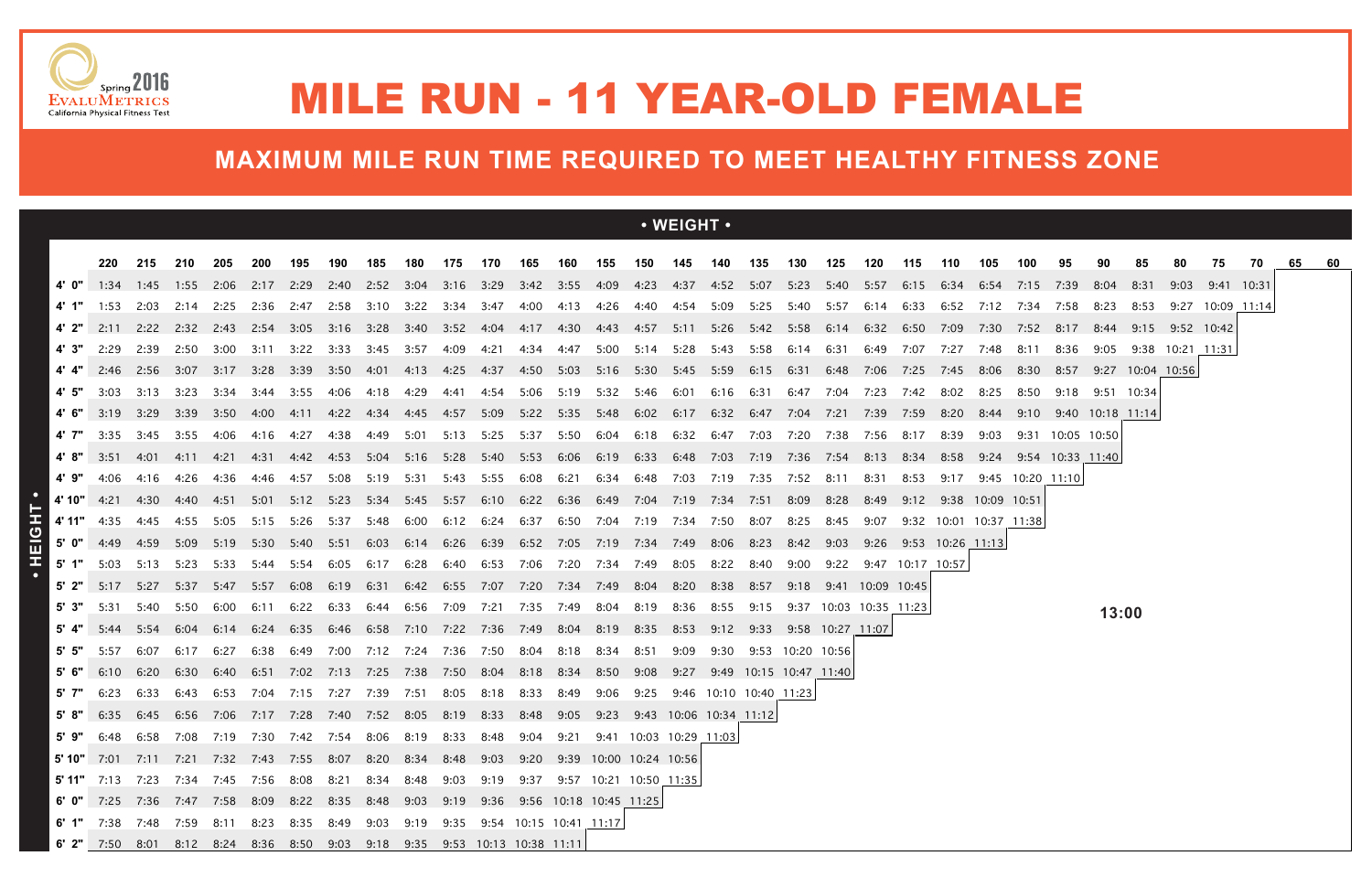|       |                                                                                                                                                     |                     |                  |       |           |                |                                                             |      |           |                               |           |                               |      |      |                | $\cdot$ WEIGHT $\cdot$                                                                                                            |           |                          |                  |      |                        |                  |                        |      |                  |                            |                       |                 |                  |                  |    |    |     |
|-------|-----------------------------------------------------------------------------------------------------------------------------------------------------|---------------------|------------------|-------|-----------|----------------|-------------------------------------------------------------|------|-----------|-------------------------------|-----------|-------------------------------|------|------|----------------|-----------------------------------------------------------------------------------------------------------------------------------|-----------|--------------------------|------------------|------|------------------------|------------------|------------------------|------|------------------|----------------------------|-----------------------|-----------------|------------------|------------------|----|----|-----|
|       | 220                                                                                                                                                 | 215                 | 210              | 205   | -200      | 195            | 190                                                         | 185  | 180       | 175                           | 170       | 165                           | 160  | 155  |                | 150  145  140  135  130                                                                                                           |           |                          |                  | 125  | 120                    | 115              | 110                    | 105  | 100              | 95                         | 90                    | 85              | 80               | 75               | 70 | 65 | -60 |
| 4'0"  |                                                                                                                                                     | 1:34 1:45 1:55 2:06 |                  |       | 2:17 2:29 |                |                                                             |      |           |                               |           |                               |      |      |                | 2:40 2:52 3:04 3:16 3:29 3:42 3:55 4:09 4:23 4:37 4:52 5:07 5:23 5:40 5:57 6:15 6:34 6:54 7:15 7:39                               |           |                          |                  |      |                        |                  |                        |      |                  |                            | 8:04                  | 8:31            | 9:03             | 9:41 10:31       |    |    |     |
| 4' 1" | 1:53                                                                                                                                                |                     |                  |       |           |                |                                                             |      |           |                               |           |                               |      |      |                | 2:03 2:14 2:25 2:36 2:47 2:58 3:10 3:22 3:34 3:47 4:00 4:13 4:26 4:40 4:54 5:09 5:25 5:40 5:57 6:14 6:33 6:52 7:12 7:34 7:58 8:23 |           |                          |                  |      |                        |                  |                        |      |                  |                            |                       | 8:53            |                  | 9:27 10:09 11:14 |    |    |     |
| 4' 2" |                                                                                                                                                     |                     |                  |       |           |                |                                                             |      |           |                               |           |                               |      |      |                | 2:11 2:22 2:32 2:43 2:54 3:05 3:16 3:28 3:40 3:52 4:04 4:17 4:30 4:43 4:57 5:11 5:26 5:42 5:58 6:14 6:32 6:50 7:09                |           |                          |                  |      |                        |                  |                        | 7:30 |                  | 7:52 8:17                  | 8:44                  | 9:15 9:52 10:42 |                  |                  |    |    |     |
| 4' 3" | 2:29                                                                                                                                                | 2:39                | 2:50             | 3:00  | 3:11      | 3:22           | 3:33                                                        | 3:45 | 3:57      | 4:09                          | 4:21      | 4:34                          | 4:47 |      |                | 5:00 5:14 5:28                                                                                                                    | 5:43      | 5:58                     | 6:14             | 6:31 | 6:49                   | 7:07             | 7:27                   | 7:48 | 8:11             | 8:36                       | 9:05                  |                 | 9:38 10:21 11:31 |                  |    |    |     |
|       |                                                                                                                                                     |                     |                  |       |           |                |                                                             |      |           |                               |           |                               |      |      |                | 2:46 2:56 3:07 3:17 3:28 3:39 3:50 4:01 4:13 4:25 4:37 4:50 5:03 5:16 5:30 5:45 5:59 6:15 6:31 6:48 7:06                          |           |                          |                  |      |                        | 7:25 7:45 8:06   |                        |      |                  | 8:30 8:57 9:27 10:04 10:56 |                       |                 |                  |                  |    |    |     |
| 4' 5" | 3:03                                                                                                                                                |                     |                  |       |           |                | 3:13 3:23 3:34 3:44 3:55 4:06 4:18 4:29                     |      |           | 4:41                          |           | 4:54 5:06 5:19 5:32 5:46 6:01 |      |      |                |                                                                                                                                   |           | 6:16 6:31 6:47 7:04 7:23 |                  |      |                        | 7:42 8:02        |                        | 8:25 | 8:50             |                            | $9:18$ $9:51$ $10:34$ |                 |                  |                  |    |    |     |
|       | 4' 6" 3:19 3:29 3:39 3:50 4:00 4:11 4:22 4:34 4:45 4:57 5:09 5:22 5:35 5:48 6:02 6:17 6:32 6:47 7:04 7:21 7:39 7:59 8:20 8:44 9:10 9:40 10:18 11:14 |                     |                  |       |           |                |                                                             |      |           |                               |           |                               |      |      |                |                                                                                                                                   |           |                          |                  |      |                        |                  |                        |      |                  |                            |                       |                 |                  |                  |    |    |     |
| 4' 7" | 3:35                                                                                                                                                |                     | 3:45 3:55 4:06   |       | 4:16      | 4:27           | 4:38                                                        |      |           |                               |           |                               |      |      |                | 4:49 5:01 5:13 5:25 5:37 5:50 6:04 6:18 6:32 6:47 7:03                                                                            |           |                          | 7:20  7:38  7:56 |      |                        | 8:17             | 8:39                   | 9:03 |                  | 9:31 10:05 10:50           |                       |                 |                  |                  |    |    |     |
| 4'8"  | 3:51                                                                                                                                                |                     | 4:01  4:11  4:21 |       |           |                |                                                             |      |           |                               |           |                               |      |      |                | 4:31 4:42 4:53 5:04 5:16 5:28 5:40 5:53 6:06 6:19 6:33 6:48 7:03 7:19 7:36 7:54 8:13                                              |           |                          |                  |      |                        | 8:34             |                        |      |                  | 8:58 9:24 9:54 10:33 11:40 |                       |                 |                  |                  |    |    |     |
| 4' 9" | 4:06                                                                                                                                                | 4:16                | 4:26             | 4:36  | 4:46      | 4:57           | 5:08                                                        | 5:19 | 5:31      | 5:43                          | 5:55 6:08 |                               | 6:21 |      |                | 6:34 6:48 7:03 7:19                                                                                                               |           | 7:35                     | 7:52             | 8:11 | 8:31                   | 8:53             | 9:17                   |      | 9:45 10:20 11:10 |                            |                       |                 |                  |                  |    |    |     |
|       | 4' 10" 4:21                                                                                                                                         |                     | 4:30  4:40  4:51 |       | 5:01      |                |                                                             |      |           |                               |           |                               |      |      |                | 5:12 5:23 5:34 5:45 5:57 6:10 6:22 6:36 6:49 7:04 7:19 7:34 7:51 8:09                                                             |           |                          |                  | 8:28 | 8:49                   |                  | 9:12 9:38 10:09 10:51  |      |                  |                            |                       |                 |                  |                  |    |    |     |
|       | 4' $11"$ 4:35                                                                                                                                       |                     |                  |       |           |                |                                                             |      |           |                               |           |                               |      |      |                | 4:45 4:55 5:05 5:15 5:26 5:37 5:48 6:00 6:12 6:24 6:37 6:50 7:04 7:19 7:34 7:50 8:07                                              |           |                          | 8:25 8:45 9:07   |      |                        |                  | 9:32 10:01 10:37 11:38 |      |                  |                            |                       |                 |                  |                  |    |    |     |
|       | 5' $0''$ 4:49 4:59 5:09                                                                                                                             |                     |                  | 5:19  |           | 5:30 5:40 5:51 |                                                             |      | 6:03 6:14 |                               |           |                               |      |      |                | 6:26 6:39 6:52 7:05 7:19 7:34 7:49 8:06 8:23                                                                                      |           |                          | 8:42 9:03        |      | 9:26                   | 9:53 10:26 11:13 |                        |      |                  |                            |                       |                 |                  |                  |    |    |     |
| 5' 1" | 5:03                                                                                                                                                | 5:13                | 5:23             | -5:33 | 5:44      | 5:54           | 6:05                                                        | 6:17 | 6:28      | 6:40                          | 6:53      | 7:06                          | 7:20 |      | 7:34 7:49      | 8:05                                                                                                                              | 8:22 8:40 |                          | 9:00             |      | 9:22 9:47 10:17 10:57  |                  |                        |      |                  |                            |                       |                 |                  |                  |    |    |     |
|       | 5:17                                                                                                                                                | 5:27                | 5:37             | 5:47  | 5:57      | 6:08           | 6:19                                                        |      |           |                               |           |                               |      |      |                | 6:31 6:42 6:55 7:07 7:20 7:34 7:49 8:04 8:20 8:38 8:57                                                                            |           |                          |                  |      | 9:18 9:41 10:09 10:45  |                  |                        |      |                  |                            |                       |                 |                  |                  |    |    |     |
| 5' 3" | 5:31                                                                                                                                                | 5:40                | 5:50             | 6:00  | 6:11      | 6:22           | 6:33                                                        |      | 6:44 6:56 | 7:09                          | 7:21      | 7:35                          |      |      | 7:49 8:04 8:19 | 8:36                                                                                                                              | 8:55      | 9:15                     |                  |      | 9:37 10:03 10:35 11:23 |                  |                        |      |                  |                            | 13:00                 |                 |                  |                  |    |    |     |
|       | 5' 4" $5:44$                                                                                                                                        | 5:54                | 6:04             |       |           |                | 6:14 6:24 6:35 6:46 6:58 7:10 7:22 7:36 7:49 8:04 8:19 8:35 |      |           |                               |           |                               |      |      |                | 8:53 9:12 9:33 9:58 10:27 11:07                                                                                                   |           |                          |                  |      |                        |                  |                        |      |                  |                            |                       |                 |                  |                  |    |    |     |
| 5'5"  | 5:57                                                                                                                                                | 6:07                | 6:17             | 6:27  | 6:38      | 6:49           |                                                             |      |           | 7:00 7:12 7:24 7:36 7:50 8:04 |           |                               | 8:18 | 8:34 | 8:51           | 9:09                                                                                                                              |           | 9:30 9:53 10:20 10:56    |                  |      |                        |                  |                        |      |                  |                            |                       |                 |                  |                  |    |    |     |
|       | 6:10                                                                                                                                                | 6:20                | 6:30             | 6:40  | 6:51      |                | 7:02 7:13 7:25 7:38 7:50 8:04 8:18                          |      |           |                               |           |                               |      |      | 8:34 8:50 9:08 | 9:27                                                                                                                              |           |                          |                  |      |                        |                  |                        |      |                  |                            |                       |                 |                  |                  |    |    |     |
| 5'7"  | 6:23                                                                                                                                                | 6:33                | 6:43             | 6:53  | 7:04      | 7:15           | 7:27                                                        | 7:39 | 7:51      | 8:05                          | 8:18 8:33 |                               | 8:49 |      | 9:06 9:25      |                                                                                                                                   |           | 9:46 10:10 10:40 11:23   |                  |      |                        |                  |                        |      |                  |                            |                       |                 |                  |                  |    |    |     |
|       | 5' 8" 6:35 6:45 6:56 7:06 7:17 7:28 7:40 7:52 8:05 8:19 8:33 8:48 9:05 9:23 9:43 10:06 10:34 11:12                                                  |                     |                  |       |           |                |                                                             |      |           |                               |           |                               |      |      |                |                                                                                                                                   |           |                          |                  |      |                        |                  |                        |      |                  |                            |                       |                 |                  |                  |    |    |     |
|       | 5 9" 6:48 6:58 7:08 7:19 7:30 7:42 7:54 8:06 8:19 8:33 8:48 9:04 9:21 9:41 10:03 10:29 11:03                                                        |                     |                  |       |           |                |                                                             |      |           |                               |           |                               |      |      |                |                                                                                                                                   |           |                          |                  |      |                        |                  |                        |      |                  |                            |                       |                 |                  |                  |    |    |     |
|       | <b>5' 10"</b> 7:01 7:11 7:21 7:32 7:43 7:55 8:07 8:20 8:34 8:48 9:03 9:20 9:39 10:00 10:24 10:56                                                    |                     |                  |       |           |                |                                                             |      |           |                               |           |                               |      |      |                |                                                                                                                                   |           |                          |                  |      |                        |                  |                        |      |                  |                            |                       |                 |                  |                  |    |    |     |
|       | 5' 11" 7:13 7:23 7:34 7:45 7:56 8:08 8:21 8:34 8:48 9:03 9:19 9:37 9:57 10:21 10:50 11:35                                                           |                     |                  |       |           |                |                                                             |      |           |                               |           |                               |      |      |                |                                                                                                                                   |           |                          |                  |      |                        |                  |                        |      |                  |                            |                       |                 |                  |                  |    |    |     |
|       | 6' 0" 7:25 7:36 7:47 7:58 8:09 8:22 8:35 8:48 9:03 9:19 9:36 9:56 10:18 10:45 11:25                                                                 |                     |                  |       |           |                |                                                             |      |           |                               |           |                               |      |      |                |                                                                                                                                   |           |                          |                  |      |                        |                  |                        |      |                  |                            |                       |                 |                  |                  |    |    |     |
|       | 6' 1" 7:38 7:48 7:59 8:11 8:23 8:35 8:49 9:03 9:19 9:35 9:54 10:15 10:41 11:17                                                                      |                     |                  |       |           |                |                                                             |      |           |                               |           |                               |      |      |                |                                                                                                                                   |           |                          |                  |      |                        |                  |                        |      |                  |                            |                       |                 |                  |                  |    |    |     |
|       | 6' 2" 7:50 8:01 8:12 8:24 8:36 8:50 9:03 9:18 9:35 9:53 10:13 10:38 11:11                                                                           |                     |                  |       |           |                |                                                             |      |           |                               |           |                               |      |      |                |                                                                                                                                   |           |                          |                  |      |                        |                  |                        |      |                  |                            |                       |                 |                  |                  |    |    |     |





## MILE RUN - 11 YEAR-OLD FEMALE